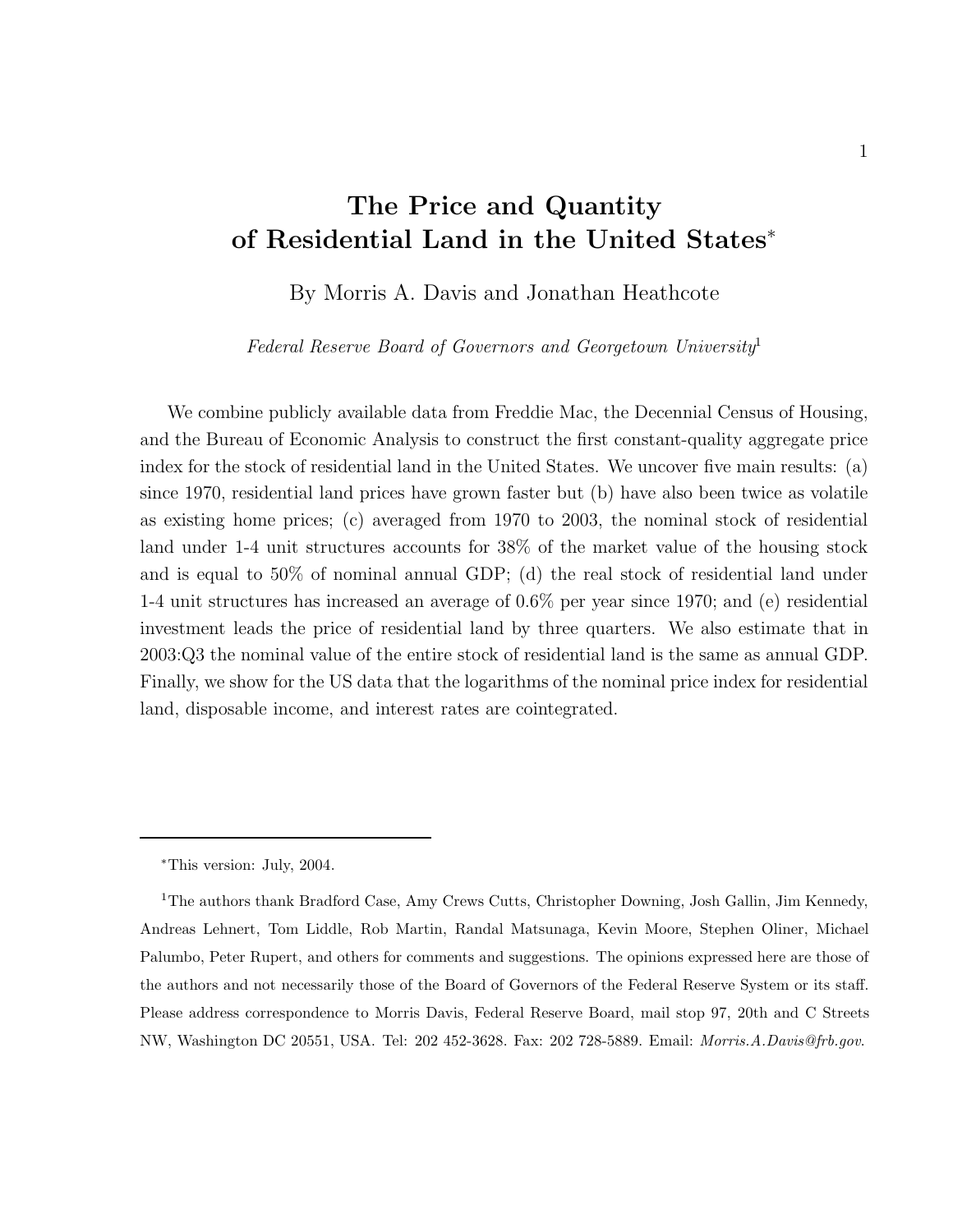# **The Price and Quantity of Residential Land in the United States**<sup>∗</sup>

By Morris A. Davis and Jonathan Heathcote

Federal Reserve Board of Governors and Georgetown University<sup>1</sup>

We combine publicly available data from Freddie Mac, the Decennial Census of Housing, and the Bureau of Economic Analysis to construct the first constant-quality aggregate price index for the stock of residential land in the United States. We uncover five main results: (a) since 1970, residential land prices have grown faster but (b) have also been twice as volatile as existing home prices; (c) averaged from 1970 to 2003, the nominal stock of residential land under 1-4 unit structures accounts for 38% of the market value of the housing stock and is equal to 50% of nominal annual GDP; (d) the real stock of residential land under 1-4 unit structures has increased an average of 0.6% per year since 1970; and (e) residential investment leads the price of residential land by three quarters. We also estimate that in 2003:Q3 the nominal value of the entire stock of residential land is the same as annual GDP. Finally, we show for the US data that the logarithms of the nominal price index for residential land, disposable income, and interest rates are cointegrated.

<sup>∗</sup>This version: July, 2004.

<sup>&</sup>lt;sup>1</sup>The authors thank Bradford Case, Amy Crews Cutts, Christopher Downing, Josh Gallin, Jim Kennedy, Andreas Lehnert, Tom Liddle, Rob Martin, Randal Matsunaga, Kevin Moore, Stephen Oliner, Michael Palumbo, Peter Rupert, and others for comments and suggestions. The opinions expressed here are those of the authors and not necessarily those of the Board of Governors of the Federal Reserve System or its staff. Please address correspondence to Morris Davis, Federal Reserve Board, mail stop 97, 20th and C Streets NW, Washington DC 20551, USA. Tel: 202 452-3628. Fax: 202 728-5889. Email: *Morris.A.Davis@frb.gov*.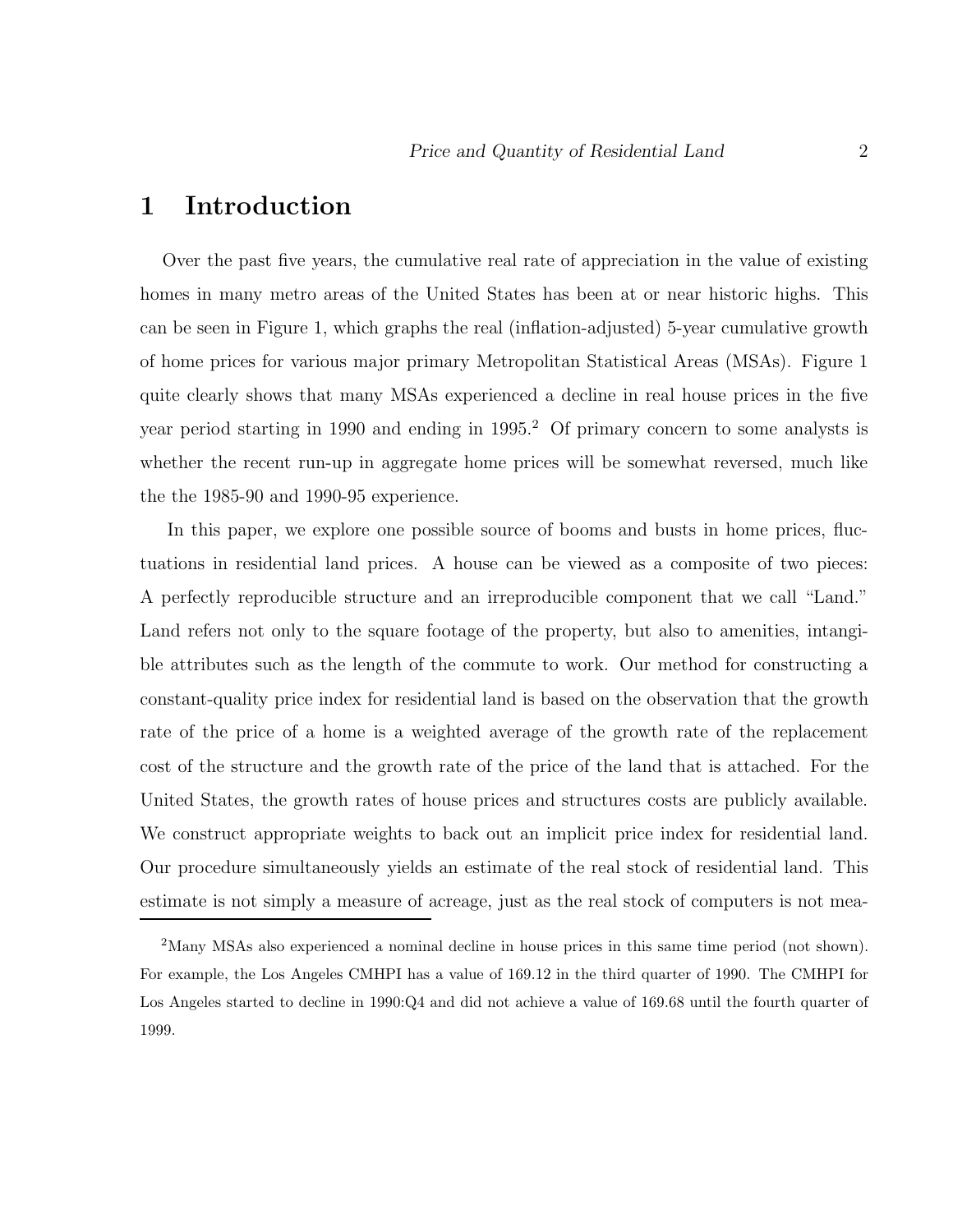## **1 Introduction**

Over the past five years, the cumulative real rate of appreciation in the value of existing homes in many metro areas of the United States has been at or near historic highs. This can be seen in Figure 1, which graphs the real (inflation-adjusted) 5-year cumulative growth of home prices for various major primary Metropolitan Statistical Areas (MSAs). Figure 1 quite clearly shows that many MSAs experienced a decline in real house prices in the five year period starting in 1990 and ending in 1995.<sup>2</sup> Of primary concern to some analysts is whether the recent run-up in aggregate home prices will be somewhat reversed, much like the the 1985-90 and 1990-95 experience.

In this paper, we explore one possible source of booms and busts in home prices, fluctuations in residential land prices. A house can be viewed as a composite of two pieces: A perfectly reproducible structure and an irreproducible component that we call "Land." Land refers not only to the square footage of the property, but also to amenities, intangible attributes such as the length of the commute to work. Our method for constructing a constant-quality price index for residential land is based on the observation that the growth rate of the price of a home is a weighted average of the growth rate of the replacement cost of the structure and the growth rate of the price of the land that is attached. For the United States, the growth rates of house prices and structures costs are publicly available. We construct appropriate weights to back out an implicit price index for residential land. Our procedure simultaneously yields an estimate of the real stock of residential land. This estimate is not simply a measure of acreage, just as the real stock of computers is not mea-

<sup>&</sup>lt;sup>2</sup>Many MSAs also experienced a nominal decline in house prices in this same time period (not shown). For example, the Los Angeles CMHPI has a value of 169.12 in the third quarter of 1990. The CMHPI for Los Angeles started to decline in 1990:Q4 and did not achieve a value of 169.68 until the fourth quarter of 1999.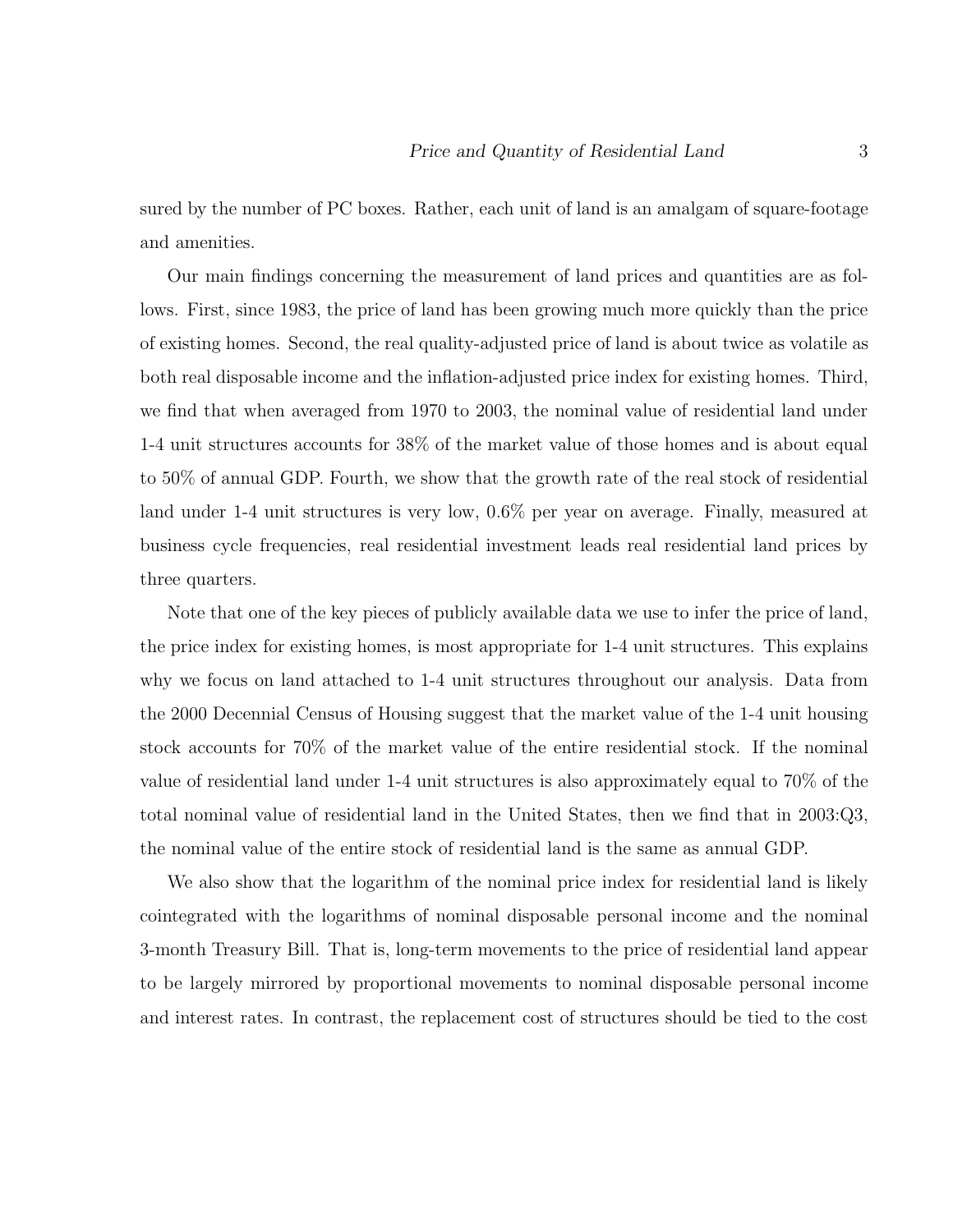sured by the number of PC boxes. Rather, each unit of land is an amalgam of square-footage and amenities.

Our main findings concerning the measurement of land prices and quantities are as follows. First, since 1983, the price of land has been growing much more quickly than the price of existing homes. Second, the real quality-adjusted price of land is about twice as volatile as both real disposable income and the inflation-adjusted price index for existing homes. Third, we find that when averaged from 1970 to 2003, the nominal value of residential land under 1-4 unit structures accounts for 38% of the market value of those homes and is about equal to 50% of annual GDP. Fourth, we show that the growth rate of the real stock of residential land under 1-4 unit structures is very low, 0.6% per year on average. Finally, measured at business cycle frequencies, real residential investment leads real residential land prices by three quarters.

Note that one of the key pieces of publicly available data we use to infer the price of land, the price index for existing homes, is most appropriate for 1-4 unit structures. This explains why we focus on land attached to 1-4 unit structures throughout our analysis. Data from the 2000 Decennial Census of Housing suggest that the market value of the 1-4 unit housing stock accounts for 70% of the market value of the entire residential stock. If the nominal value of residential land under 1-4 unit structures is also approximately equal to 70% of the total nominal value of residential land in the United States, then we find that in 2003:Q3, the nominal value of the entire stock of residential land is the same as annual GDP.

We also show that the logarithm of the nominal price index for residential land is likely cointegrated with the logarithms of nominal disposable personal income and the nominal 3-month Treasury Bill. That is, long-term movements to the price of residential land appear to be largely mirrored by proportional movements to nominal disposable personal income and interest rates. In contrast, the replacement cost of structures should be tied to the cost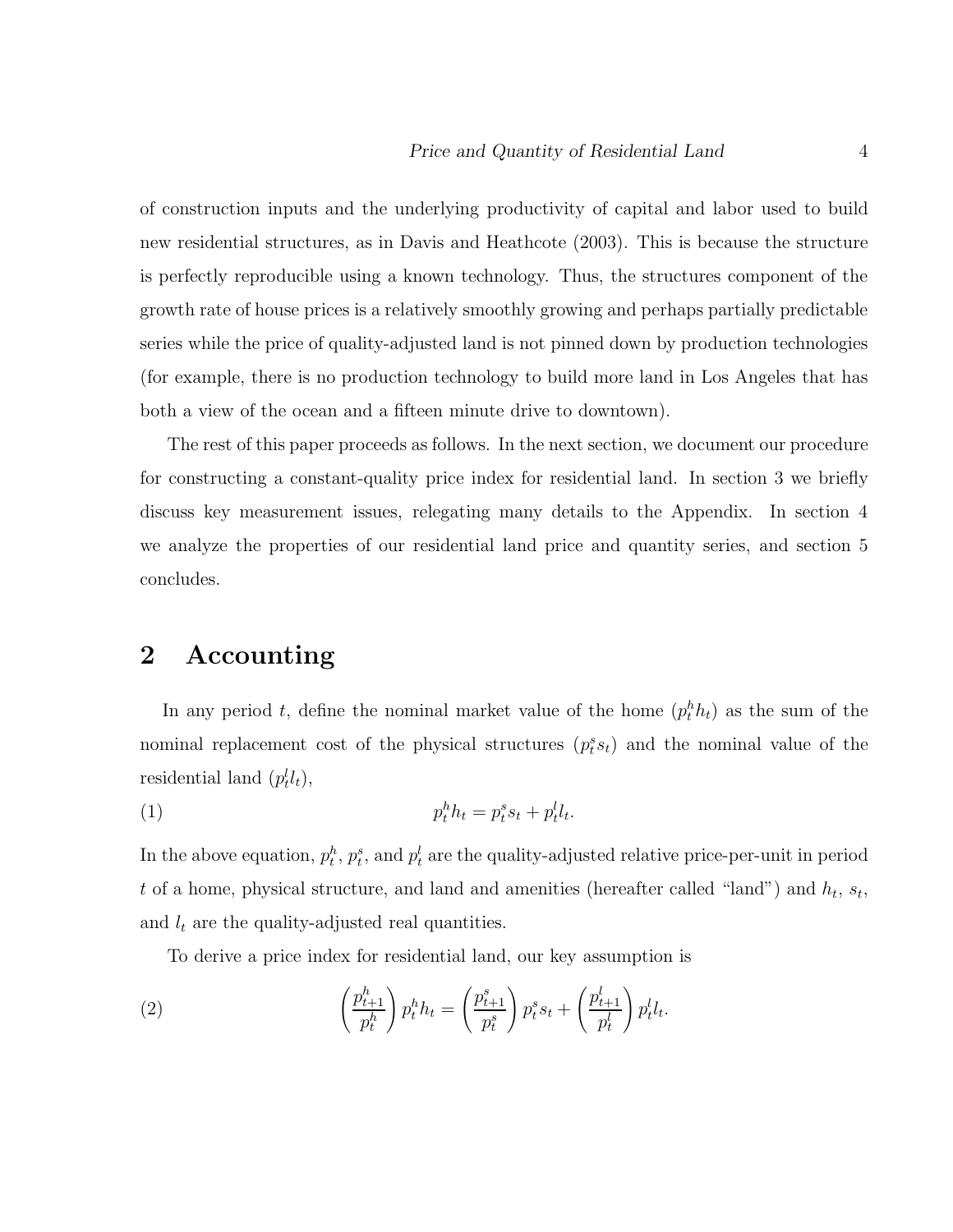of construction inputs and the underlying productivity of capital and labor used to build new residential structures, as in Davis and Heathcote (2003). This is because the structure is perfectly reproducible using a known technology. Thus, the structures component of the growth rate of house prices is a relatively smoothly growing and perhaps partially predictable series while the price of quality-adjusted land is not pinned down by production technologies (for example, there is no production technology to build more land in Los Angeles that has both a view of the ocean and a fifteen minute drive to downtown).

The rest of this paper proceeds as follows. In the next section, we document our procedure for constructing a constant-quality price index for residential land. In section 3 we briefly discuss key measurement issues, relegating many details to the Appendix. In section 4 we analyze the properties of our residential land price and quantity series, and section 5 concludes.

## **2 Accounting**

In any period t, define the nominal market value of the home  $(p_t^h h_t)$  as the sum of the nominal replacement cost of the physical structures  $(p_t^s s_t)$  and the nominal value of the residential land  $(p_t^l l_t)$ ,

$$
(1) \t\t\t p_t^h h_t = p_t^s s_t + p_t^l l_t.
$$

In the above equation,  $p_t^h$ ,  $p_t^s$ , and  $p_t^l$  are the quality-adjusted relative price-per-unit in period t of a home, physical structure, and land and amenities (hereafter called "land") and  $h_t$ ,  $s_t$ , and  $l_t$  are the quality-adjusted real quantities.

To derive a price index for residential land, our key assumption is

(2) 
$$
\left(\frac{p_{t+1}^h}{p_t^h}\right) p_t^h h_t = \left(\frac{p_{t+1}^s}{p_t^s}\right) p_t^s s_t + \left(\frac{p_{t+1}^l}{p_t^l}\right) p_t^l l_t.
$$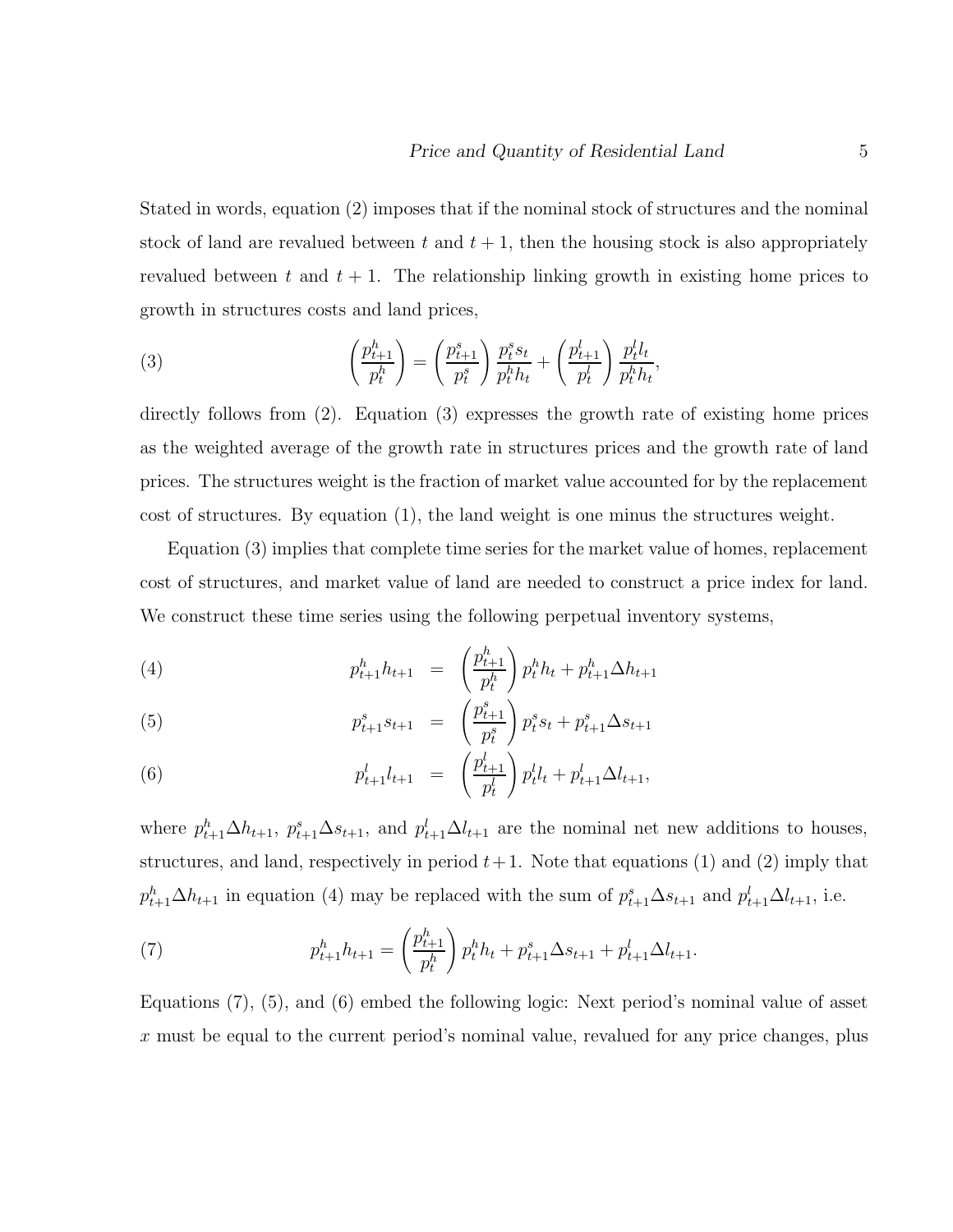Stated in words, equation (2) imposes that if the nominal stock of structures and the nominal stock of land are revalued between t and  $t + 1$ , then the housing stock is also appropriately revalued between t and  $t + 1$ . The relationship linking growth in existing home prices to growth in structures costs and land prices,

(3) 
$$
\left(\frac{p_{t+1}^h}{p_t^h}\right) = \left(\frac{p_{t+1}^s}{p_t^s}\right) \frac{p_t^s s_t}{p_t^h h_t} + \left(\frac{p_{t+1}^l}{p_t^l}\right) \frac{p_t^l l_t}{p_t^h h_t},
$$

directly follows from (2). Equation (3) expresses the growth rate of existing home prices as the weighted average of the growth rate in structures prices and the growth rate of land prices. The structures weight is the fraction of market value accounted for by the replacement cost of structures. By equation (1), the land weight is one minus the structures weight.

Equation (3) implies that complete time series for the market value of homes, replacement cost of structures, and market value of land are needed to construct a price index for land. We construct these time series using the following perpetual inventory systems,

(4) 
$$
p_{t+1}^h h_{t+1} = \left(\frac{p_{t+1}^h}{p_t^h}\right) p_t^h h_t + p_{t+1}^h \Delta h_{t+1}
$$

(5) 
$$
p_{t+1}^s s_{t+1} = \left(\frac{p_{t+1}^s}{p_t^s}\right) p_t^s s_t + p_{t+1}^s \Delta s_{t+1}
$$

(6) 
$$
p_{t+1}^l l_{t+1} = \left(\frac{p_{t+1}^l}{p_t^l}\right) p_t^l l_t + p_{t+1}^l \Delta l_{t+1},
$$

where  $p_{t+1}^h \Delta h_{t+1}$ ,  $p_{t+1}^s \Delta s_{t+1}$ , and  $p_{t+1}^l \Delta l_{t+1}$  are the nominal net new additions to houses, structures, and land, respectively in period  $t+1$ . Note that equations (1) and (2) imply that  $p_{t+1}^h \Delta h_{t+1}$  in equation (4) may be replaced with the sum of  $p_{t+1}^s \Delta s_{t+1}$  and  $p_{t+1}^l \Delta l_{t+1}$ , i.e.

(7) 
$$
p_{t+1}^h h_{t+1} = \left(\frac{p_{t+1}^h}{p_t^h}\right) p_t^h h_t + p_{t+1}^s \Delta s_{t+1} + p_{t+1}^l \Delta l_{t+1}.
$$

Equations (7), (5), and (6) embed the following logic: Next period's nominal value of asset  $x$  must be equal to the current period's nominal value, revalued for any price changes, plus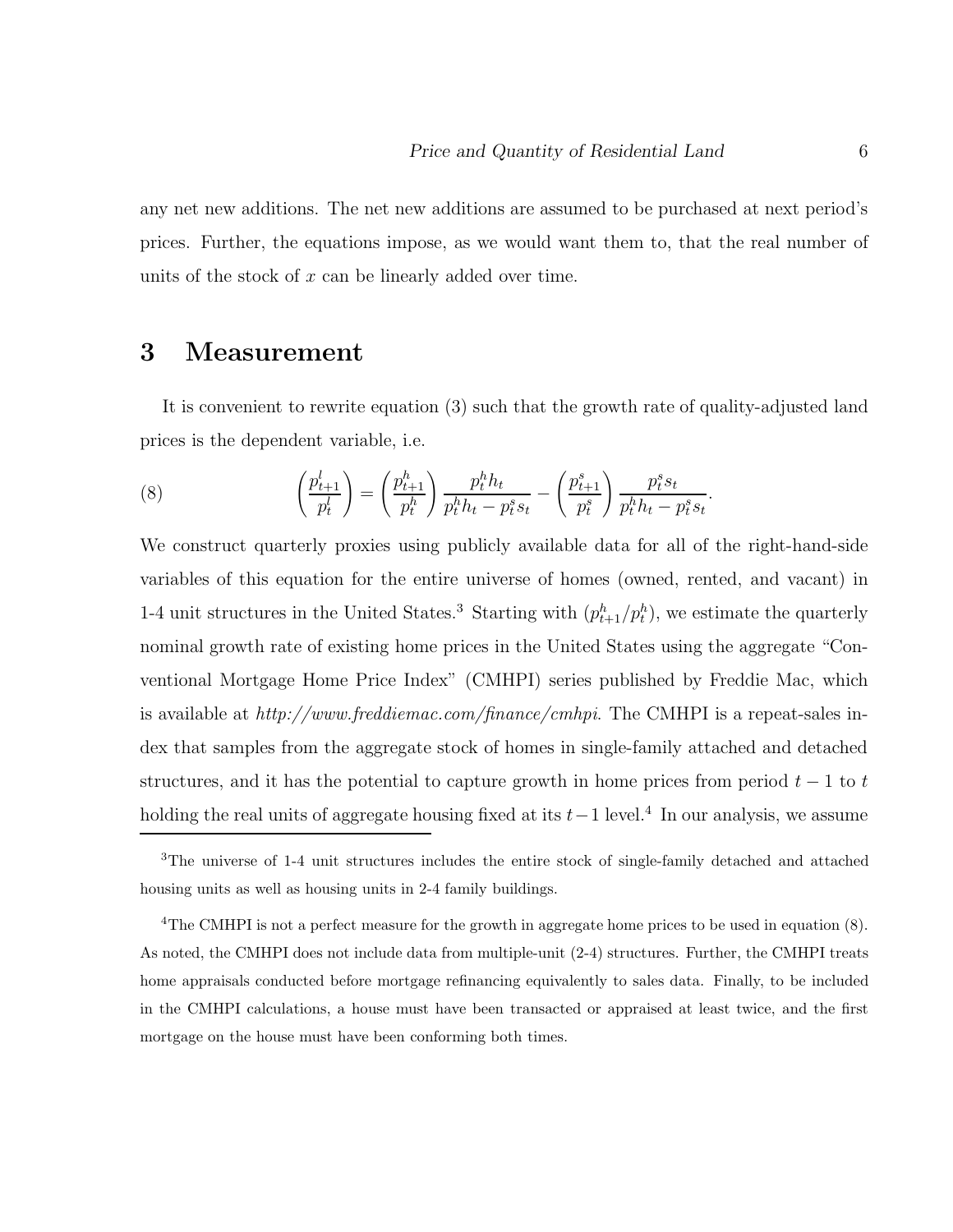any net new additions. The net new additions are assumed to be purchased at next period's prices. Further, the equations impose, as we would want them to, that the real number of units of the stock of x can be linearly added over time.

## **3 Measurement**

It is convenient to rewrite equation (3) such that the growth rate of quality-adjusted land prices is the dependent variable, i.e.

(8) 
$$
\left(\frac{p_{t+1}^l}{p_t^l}\right) = \left(\frac{p_{t+1}^h}{p_t^h}\right) \frac{p_t^h h_t}{p_t^h h_t - p_t^s s_t} - \left(\frac{p_{t+1}^s}{p_t^s}\right) \frac{p_t^s s_t}{p_t^h h_t - p_t^s s_t}.
$$

We construct quarterly proxies using publicly available data for all of the right-hand-side variables of this equation for the entire universe of homes (owned, rented, and vacant) in 1-4 unit structures in the United States.<sup>3</sup> Starting with  $(p_{t+1}^h/p_t^h)$ , we estimate the quarterly nominal growth rate of existing home prices in the United States using the aggregate "Conventional Mortgage Home Price Index" (CMHPI) series published by Freddie Mac, which is available at http://www.freddiemac.com/finance/cmhpi. The CMHPI is a repeat-sales index that samples from the aggregate stock of homes in single-family attached and detached structures, and it has the potential to capture growth in home prices from period  $t-1$  to t holding the real units of aggregate housing fixed at its  $t-1$  level.<sup>4</sup> In our analysis, we assume

<sup>3</sup>The universe of 1-4 unit structures includes the entire stock of single-family detached and attached housing units as well as housing units in 2-4 family buildings.

<sup>4</sup>The CMHPI is not a perfect measure for the growth in aggregate home prices to be used in equation (8). As noted, the CMHPI does not include data from multiple-unit (2-4) structures. Further, the CMHPI treats home appraisals conducted before mortgage refinancing equivalently to sales data. Finally, to be included in the CMHPI calculations, a house must have been transacted or appraised at least twice, and the first mortgage on the house must have been conforming both times.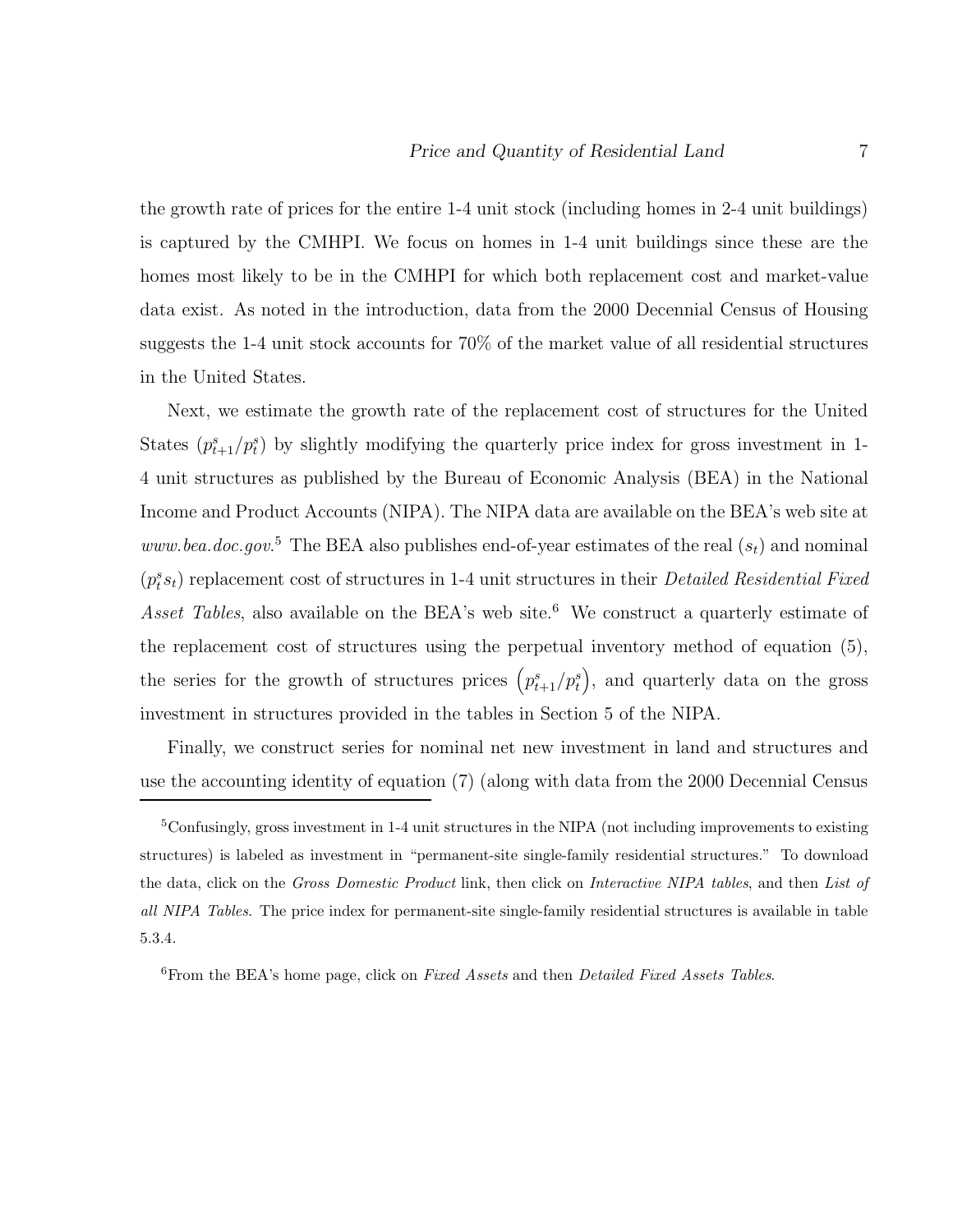the growth rate of prices for the entire 1-4 unit stock (including homes in 2-4 unit buildings) is captured by the CMHPI. We focus on homes in 1-4 unit buildings since these are the homes most likely to be in the CMHPI for which both replacement cost and market-value data exist. As noted in the introduction, data from the 2000 Decennial Census of Housing suggests the 1-4 unit stock accounts for 70% of the market value of all residential structures in the United States.

Next, we estimate the growth rate of the replacement cost of structures for the United States  $(p_{t+1}^s/p_t^s)$  by slightly modifying the quarterly price index for gross investment in 1-4 unit structures as published by the Bureau of Economic Analysis (BEA) in the National Income and Product Accounts (NIPA). The NIPA data are available on the BEA's web site at www.bea.doc.gov.<sup>5</sup> The BEA also publishes end-of-year estimates of the real  $(s_t)$  and nominal  $(p_t^s s_t)$  replacement cost of structures in 1-4 unit structures in their *Detailed Residential Fixed* Asset Tables, also available on the BEA's web site.<sup>6</sup> We construct a quarterly estimate of the replacement cost of structures using the perpetual inventory method of equation (5), the series for the growth of structures prices  $(p_{t+1}^s/p_t^s)$ , and quarterly data on the gross investment in structures provided in the tables in Section 5 of the NIPA.

Finally, we construct series for nominal net new investment in land and structures and use the accounting identity of equation (7) (along with data from the 2000 Decennial Census

<sup>5</sup>Confusingly, gross investment in 1-4 unit structures in the NIPA (not including improvements to existing structures) is labeled as investment in "permanent-site single-family residential structures." To download the data, click on the *Gross Domestic Product* link, then click on *Interactive NIPA tables*, and then *List of all NIPA Tables*. The price index for permanent-site single-family residential structures is available in table 5.3.4.

<sup>6</sup>From the BEA's home page, click on *Fixed Assets* and then *Detailed Fixed Assets Tables*.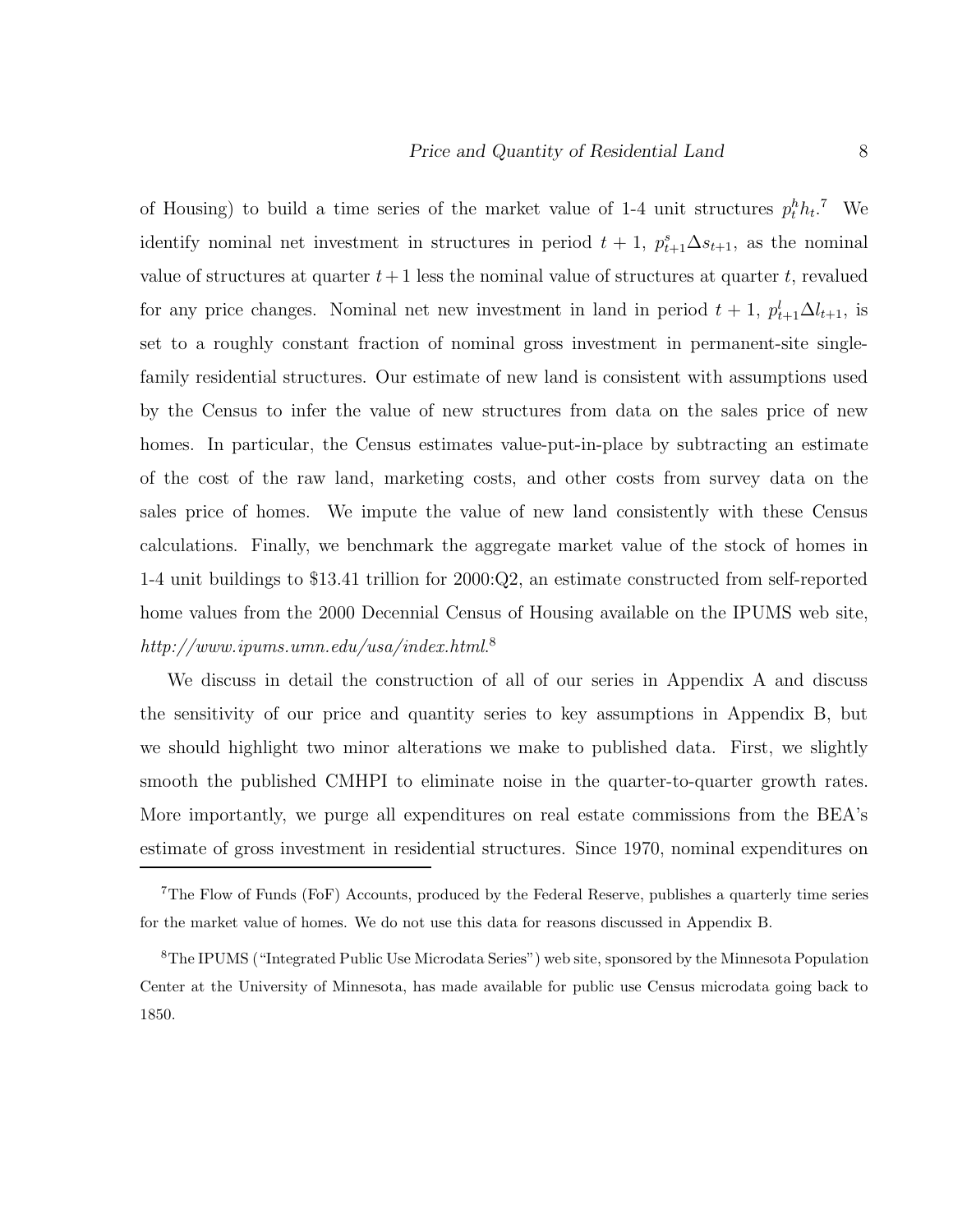of Housing) to build a time series of the market value of 1-4 unit structures  $p_t^h h_t$ .<sup>7</sup> We identify nominal net investment in structures in period  $t + 1$ ,  $p_{t+1}^s \Delta s_{t+1}$ , as the nominal value of structures at quarter  $t+1$  less the nominal value of structures at quarter t, revalued for any price changes. Nominal net new investment in land in period  $t + 1$ ,  $p_{t+1}^l \Delta l_{t+1}$ , is set to a roughly constant fraction of nominal gross investment in permanent-site singlefamily residential structures. Our estimate of new land is consistent with assumptions used by the Census to infer the value of new structures from data on the sales price of new homes. In particular, the Census estimates value-put-in-place by subtracting an estimate of the cost of the raw land, marketing costs, and other costs from survey data on the sales price of homes. We impute the value of new land consistently with these Census calculations. Finally, we benchmark the aggregate market value of the stock of homes in 1-4 unit buildings to \$13.41 trillion for 2000:Q2, an estimate constructed from self-reported home values from the 2000 Decennial Census of Housing available on the IPUMS web site,  $\text{http://www.ipums.umn.edu/usa/index.html.<sup>8</sup>$ 

We discuss in detail the construction of all of our series in Appendix A and discuss the sensitivity of our price and quantity series to key assumptions in Appendix B, but we should highlight two minor alterations we make to published data. First, we slightly smooth the published CMHPI to eliminate noise in the quarter-to-quarter growth rates. More importantly, we purge all expenditures on real estate commissions from the BEA's estimate of gross investment in residential structures. Since 1970, nominal expenditures on

<sup>7</sup>The Flow of Funds (FoF) Accounts, produced by the Federal Reserve, publishes a quarterly time series for the market value of homes. We do not use this data for reasons discussed in Appendix B.

<sup>8</sup>The IPUMS ("Integrated Public Use Microdata Series") web site, sponsored by the Minnesota Population Center at the University of Minnesota, has made available for public use Census microdata going back to 1850.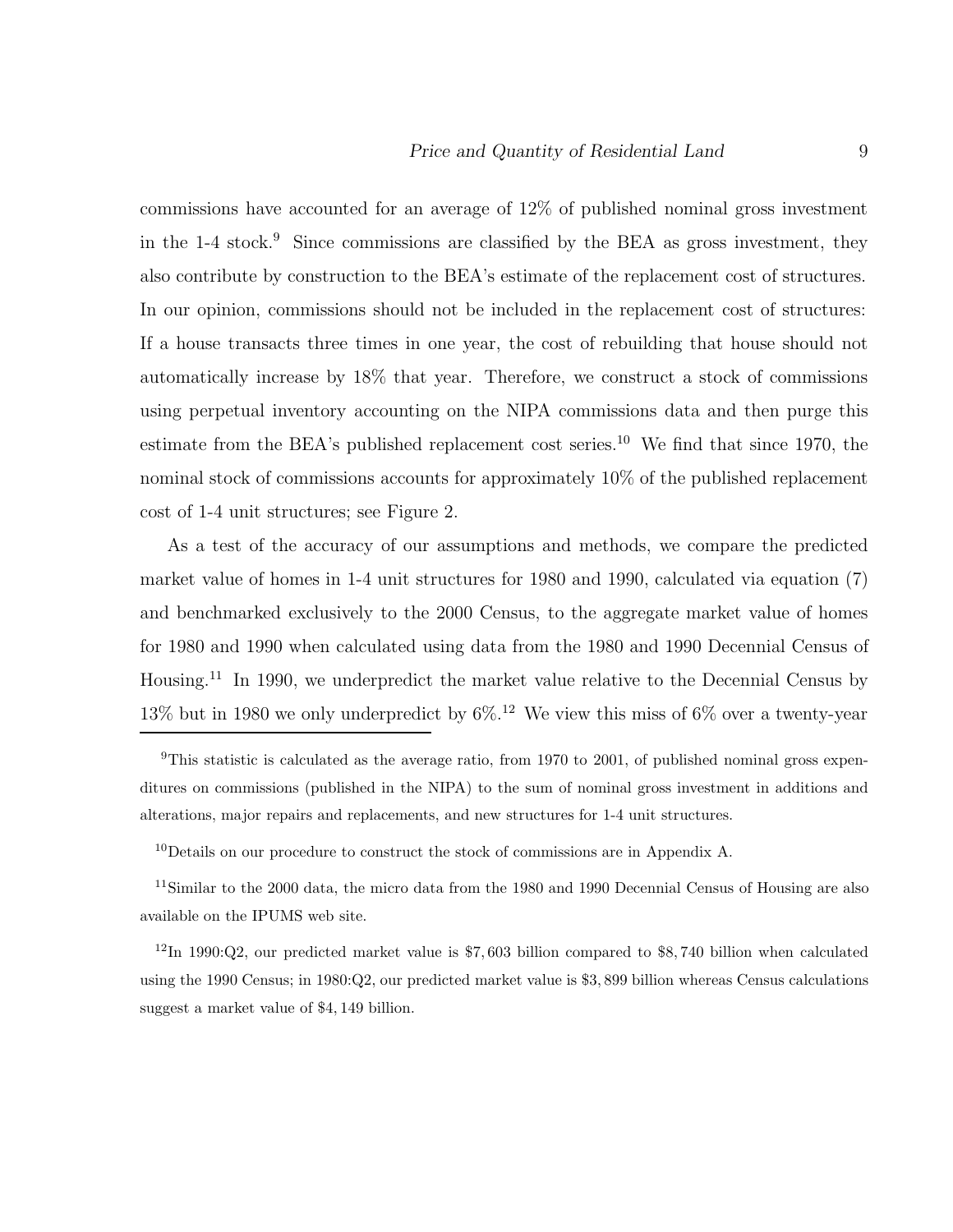commissions have accounted for an average of 12% of published nominal gross investment in the  $1-4$  stock.<sup>9</sup> Since commissions are classified by the BEA as gross investment, they also contribute by construction to the BEA's estimate of the replacement cost of structures. In our opinion, commissions should not be included in the replacement cost of structures: If a house transacts three times in one year, the cost of rebuilding that house should not automatically increase by 18% that year. Therefore, we construct a stock of commissions using perpetual inventory accounting on the NIPA commissions data and then purge this estimate from the BEA's published replacement cost series.<sup>10</sup> We find that since 1970, the nominal stock of commissions accounts for approximately 10% of the published replacement cost of 1-4 unit structures; see Figure 2.

As a test of the accuracy of our assumptions and methods, we compare the predicted market value of homes in 1-4 unit structures for 1980 and 1990, calculated via equation (7) and benchmarked exclusively to the 2000 Census, to the aggregate market value of homes for 1980 and 1990 when calculated using data from the 1980 and 1990 Decennial Census of Housing.<sup>11</sup> In 1990, we underpredict the market value relative to the Decennial Census by 13% but in 1980 we only underpredict by 6%.<sup>12</sup> We view this miss of 6% over a twenty-year

<sup>&</sup>lt;sup>9</sup>This statistic is calculated as the average ratio, from 1970 to 2001, of published nominal gross expenditures on commissions (published in the NIPA) to the sum of nominal gross investment in additions and alterations, major repairs and replacements, and new structures for 1-4 unit structures.

<sup>&</sup>lt;sup>10</sup>Details on our procedure to construct the stock of commissions are in Appendix A.

<sup>11</sup>Similar to the 2000 data, the micro data from the 1980 and 1990 Decennial Census of Housing are also available on the IPUMS web site.

<sup>12</sup>In 1990:Q2, our predicted market value is \$7, 603 billion compared to \$8, 740 billion when calculated using the 1990 Census; in 1980:Q2, our predicted market value is \$3, 899 billion whereas Census calculations suggest a market value of \$4, 149 billion.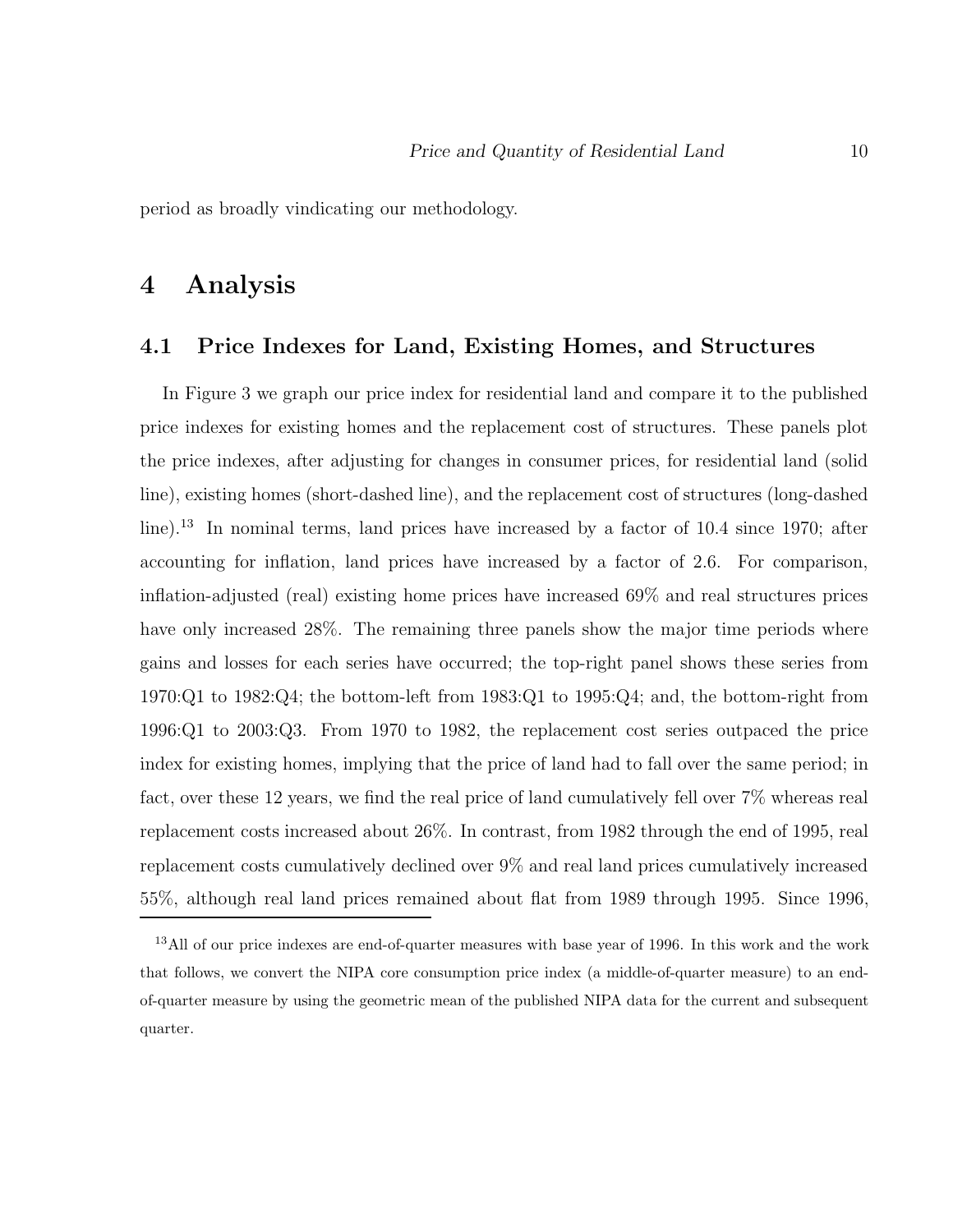period as broadly vindicating our methodology.

## **4 Analysis**

### **4.1 Price Indexes for Land, Existing Homes, and Structures**

In Figure 3 we graph our price index for residential land and compare it to the published price indexes for existing homes and the replacement cost of structures. These panels plot the price indexes, after adjusting for changes in consumer prices, for residential land (solid line), existing homes (short-dashed line), and the replacement cost of structures (long-dashed line).<sup>13</sup> In nominal terms, land prices have increased by a factor of 10.4 since 1970; after accounting for inflation, land prices have increased by a factor of 2.6. For comparison, inflation-adjusted (real) existing home prices have increased 69% and real structures prices have only increased 28%. The remaining three panels show the major time periods where gains and losses for each series have occurred; the top-right panel shows these series from 1970:Q1 to 1982:Q4; the bottom-left from 1983:Q1 to 1995:Q4; and, the bottom-right from 1996:Q1 to 2003:Q3. From 1970 to 1982, the replacement cost series outpaced the price index for existing homes, implying that the price of land had to fall over the same period; in fact, over these 12 years, we find the real price of land cumulatively fell over 7% whereas real replacement costs increased about 26%. In contrast, from 1982 through the end of 1995, real replacement costs cumulatively declined over 9% and real land prices cumulatively increased 55%, although real land prices remained about flat from 1989 through 1995. Since 1996,

<sup>&</sup>lt;sup>13</sup>All of our price indexes are end-of-quarter measures with base year of 1996. In this work and the work that follows, we convert the NIPA core consumption price index (a middle-of-quarter measure) to an endof-quarter measure by using the geometric mean of the published NIPA data for the current and subsequent quarter.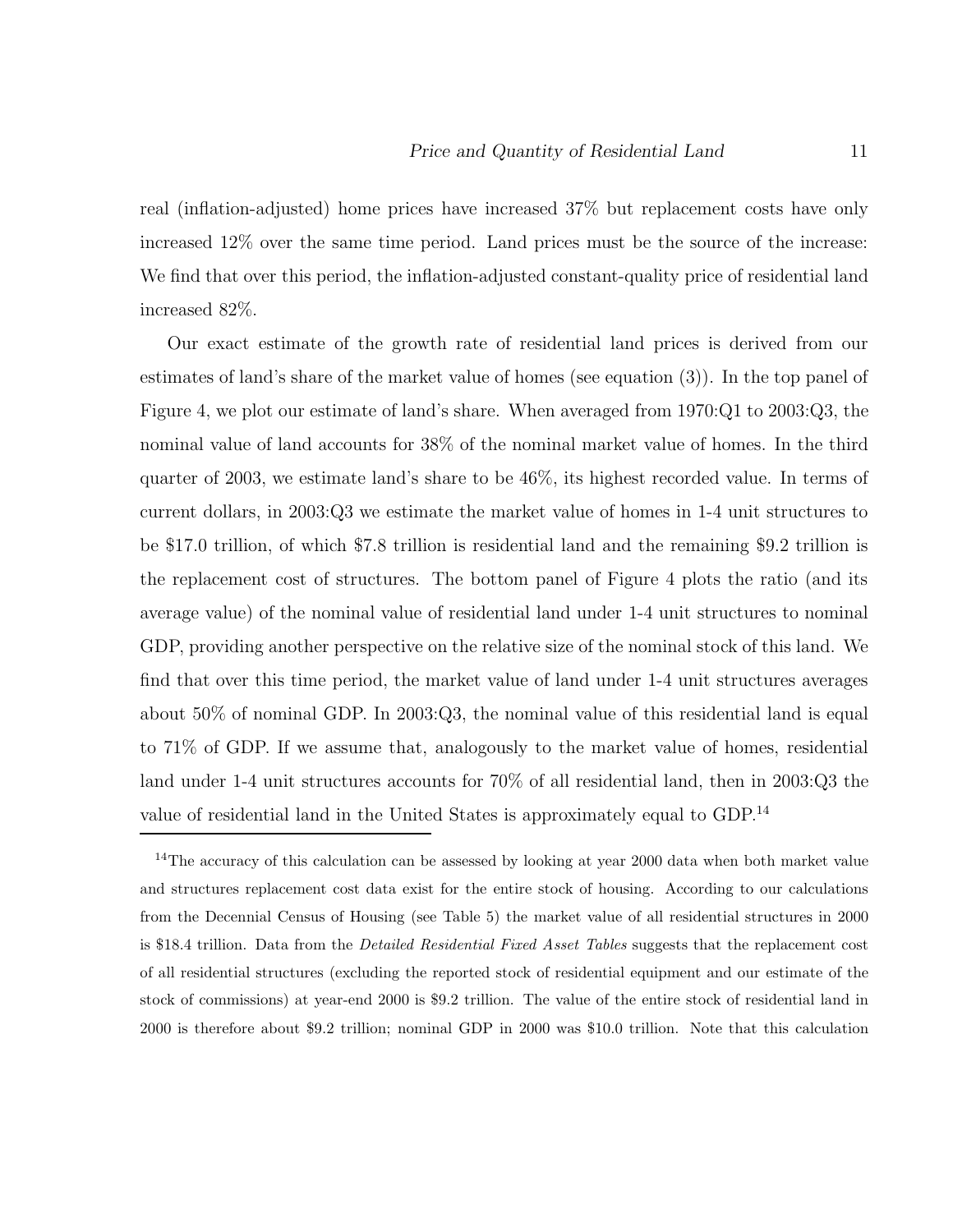real (inflation-adjusted) home prices have increased 37% but replacement costs have only increased 12% over the same time period. Land prices must be the source of the increase: We find that over this period, the inflation-adjusted constant-quality price of residential land increased 82%.

Our exact estimate of the growth rate of residential land prices is derived from our estimates of land's share of the market value of homes (see equation (3)). In the top panel of Figure 4, we plot our estimate of land's share. When averaged from 1970:Q1 to 2003:Q3, the nominal value of land accounts for 38% of the nominal market value of homes. In the third quarter of 2003, we estimate land's share to be 46%, its highest recorded value. In terms of current dollars, in 2003:Q3 we estimate the market value of homes in 1-4 unit structures to be \$17.0 trillion, of which \$7.8 trillion is residential land and the remaining \$9.2 trillion is the replacement cost of structures. The bottom panel of Figure 4 plots the ratio (and its average value) of the nominal value of residential land under 1-4 unit structures to nominal GDP, providing another perspective on the relative size of the nominal stock of this land. We find that over this time period, the market value of land under 1-4 unit structures averages about 50% of nominal GDP. In 2003:Q3, the nominal value of this residential land is equal to 71% of GDP. If we assume that, analogously to the market value of homes, residential land under 1-4 unit structures accounts for 70% of all residential land, then in 2003:Q3 the value of residential land in the United States is approximately equal to GDP.<sup>14</sup>

<sup>14</sup>The accuracy of this calculation can be assessed by looking at year 2000 data when both market value and structures replacement cost data exist for the entire stock of housing. According to our calculations from the Decennial Census of Housing (see Table 5) the market value of all residential structures in 2000 is \$18.4 trillion. Data from the *Detailed Residential Fixed Asset Tables* suggests that the replacement cost of all residential structures (excluding the reported stock of residential equipment and our estimate of the stock of commissions) at year-end 2000 is \$9.2 trillion. The value of the entire stock of residential land in 2000 is therefore about \$9.2 trillion; nominal GDP in 2000 was \$10.0 trillion. Note that this calculation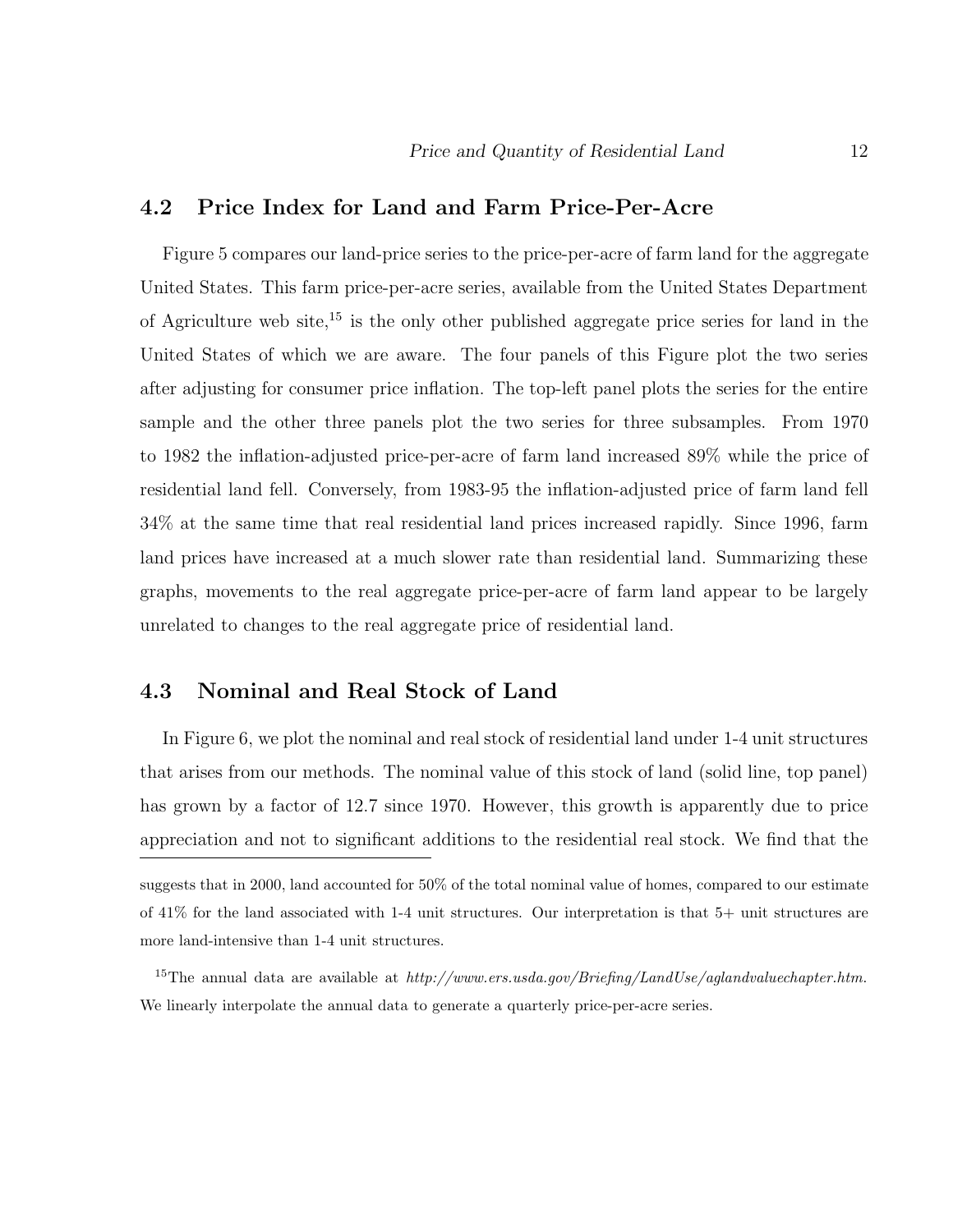### **4.2 Price Index for Land and Farm Price-Per-Acre**

Figure 5 compares our land-price series to the price-per-acre of farm land for the aggregate United States. This farm price-per-acre series, available from the United States Department of Agriculture web site,<sup>15</sup> is the only other published aggregate price series for land in the United States of which we are aware. The four panels of this Figure plot the two series after adjusting for consumer price inflation. The top-left panel plots the series for the entire sample and the other three panels plot the two series for three subsamples. From 1970 to 1982 the inflation-adjusted price-per-acre of farm land increased 89% while the price of residential land fell. Conversely, from 1983-95 the inflation-adjusted price of farm land fell 34% at the same time that real residential land prices increased rapidly. Since 1996, farm land prices have increased at a much slower rate than residential land. Summarizing these graphs, movements to the real aggregate price-per-acre of farm land appear to be largely unrelated to changes to the real aggregate price of residential land.

### **4.3 Nominal and Real Stock of Land**

In Figure 6, we plot the nominal and real stock of residential land under 1-4 unit structures that arises from our methods. The nominal value of this stock of land (solid line, top panel) has grown by a factor of 12.7 since 1970. However, this growth is apparently due to price appreciation and not to significant additions to the residential real stock. We find that the

suggests that in 2000, land accounted for 50% of the total nominal value of homes, compared to our estimate of 41% for the land associated with 1-4 unit structures. Our interpretation is that 5+ unit structures are more land-intensive than 1-4 unit structures.

<sup>15</sup>The annual data are available at *http://www.ers.usda.gov/Briefing/LandUse/aglandvaluechapter.htm*. We linearly interpolate the annual data to generate a quarterly price-per-acre series.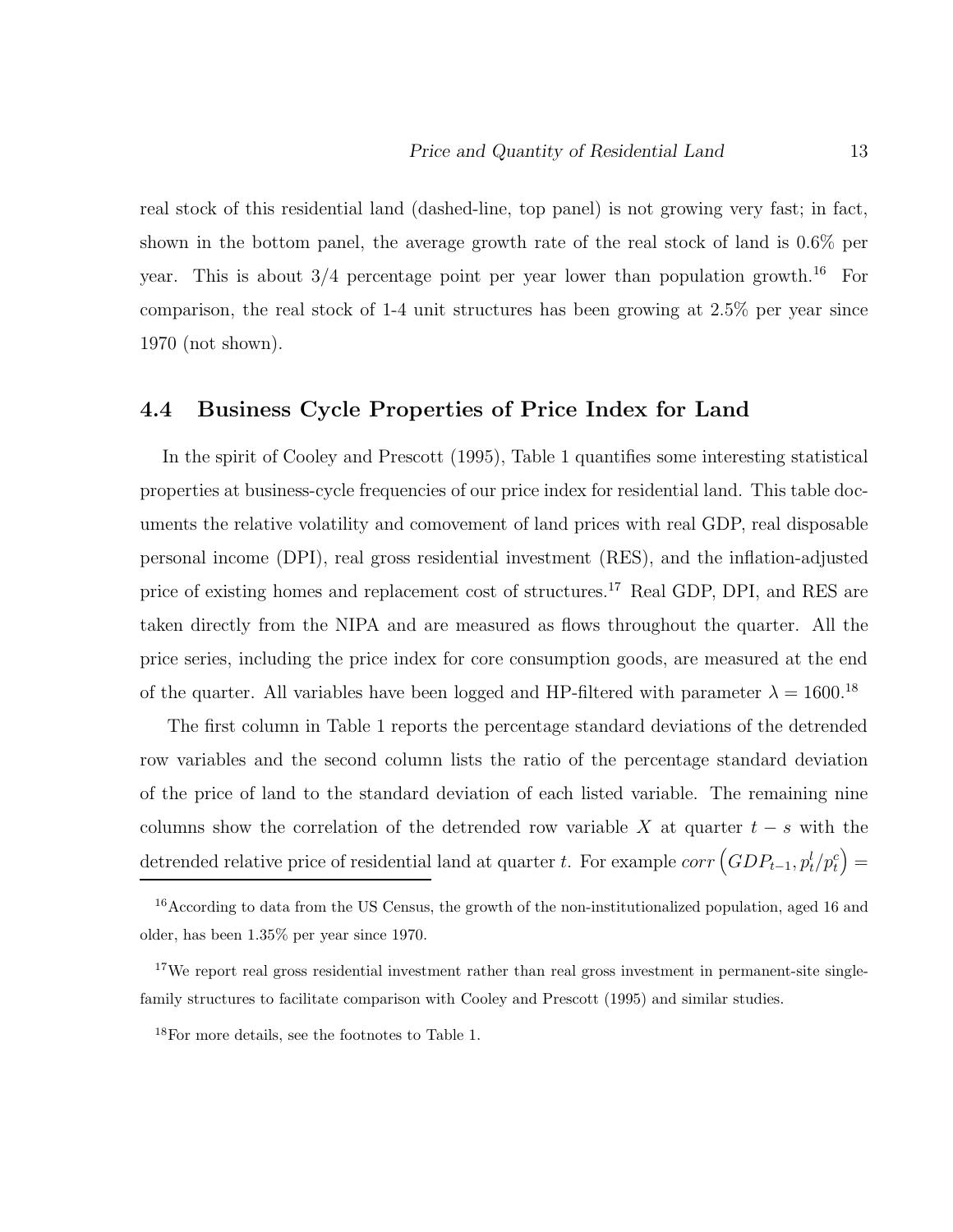real stock of this residential land (dashed-line, top panel) is not growing very fast; in fact, shown in the bottom panel, the average growth rate of the real stock of land is 0.6% per year. This is about  $3/4$  percentage point per year lower than population growth.<sup>16</sup> For comparison, the real stock of 1-4 unit structures has been growing at 2.5% per year since 1970 (not shown).

## **4.4 Business Cycle Properties of Price Index for Land**

In the spirit of Cooley and Prescott (1995), Table 1 quantifies some interesting statistical properties at business-cycle frequencies of our price index for residential land. This table documents the relative volatility and comovement of land prices with real GDP, real disposable personal income (DPI), real gross residential investment (RES), and the inflation-adjusted price of existing homes and replacement cost of structures.<sup>17</sup> Real GDP, DPI, and RES are taken directly from the NIPA and are measured as flows throughout the quarter. All the price series, including the price index for core consumption goods, are measured at the end of the quarter. All variables have been logged and HP-filtered with parameter  $\lambda=1600.^{18}$ 

The first column in Table 1 reports the percentage standard deviations of the detrended row variables and the second column lists the ratio of the percentage standard deviation of the price of land to the standard deviation of each listed variable. The remaining nine columns show the correlation of the detrended row variable X at quarter  $t - s$  with the detrended relative price of residential land at quarter t. For example  $corr (GDP_{t-1}, p_t^l/p_t^c) =$ 

<sup>&</sup>lt;sup>16</sup> According to data from the US Census, the growth of the non-institutionalized population, aged 16 and older, has been 1.35% per year since 1970.

<sup>&</sup>lt;sup>17</sup>We report real gross residential investment rather than real gross investment in permanent-site singlefamily structures to facilitate comparison with Cooley and Prescott (1995) and similar studies.

<sup>18</sup>For more details, see the footnotes to Table 1.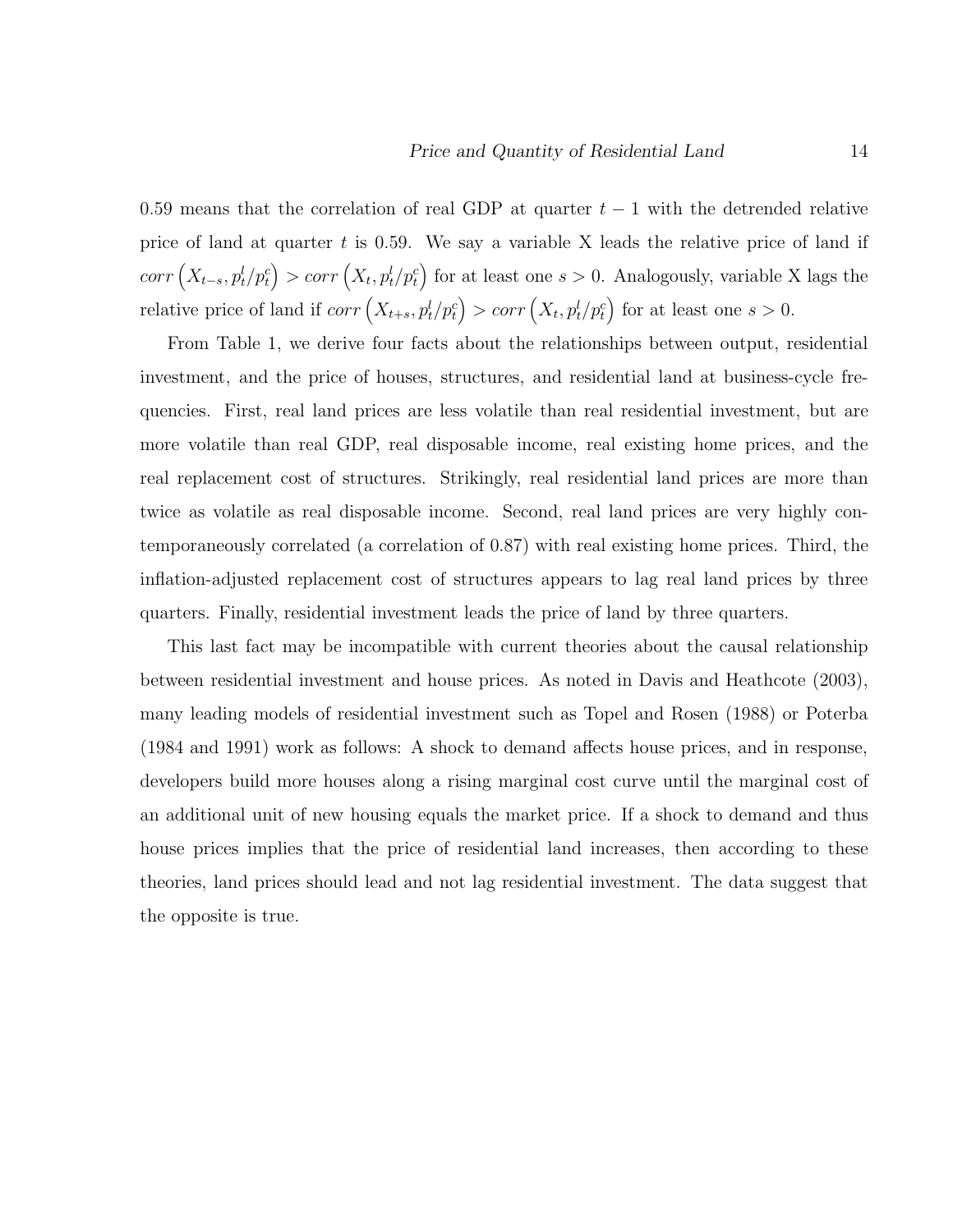0.59 means that the correlation of real GDP at quarter  $t-1$  with the detrended relative price of land at quarter  $t$  is 0.59. We say a variable X leads the relative price of land if  $corr\left(X_{t-s}, p_t^l/p_t^c\right) > corr\left(X_t, p_t^l/p_t^c\right)$  for at least one  $s > 0$ . Analogously, variable X lags the relative price of land if  $corr(X_{t+s}, p_t^l/p_t^c) > corr(X_t, p_t^l/p_t^c)$  for at least one  $s > 0$ .

From Table 1, we derive four facts about the relationships between output, residential investment, and the price of houses, structures, and residential land at business-cycle frequencies. First, real land prices are less volatile than real residential investment, but are more volatile than real GDP, real disposable income, real existing home prices, and the real replacement cost of structures. Strikingly, real residential land prices are more than twice as volatile as real disposable income. Second, real land prices are very highly contemporaneously correlated (a correlation of 0.87) with real existing home prices. Third, the inflation-adjusted replacement cost of structures appears to lag real land prices by three quarters. Finally, residential investment leads the price of land by three quarters.

This last fact may be incompatible with current theories about the causal relationship between residential investment and house prices. As noted in Davis and Heathcote (2003), many leading models of residential investment such as Topel and Rosen (1988) or Poterba (1984 and 1991) work as follows: A shock to demand affects house prices, and in response, developers build more houses along a rising marginal cost curve until the marginal cost of an additional unit of new housing equals the market price. If a shock to demand and thus house prices implies that the price of residential land increases, then according to these theories, land prices should lead and not lag residential investment. The data suggest that the opposite is true.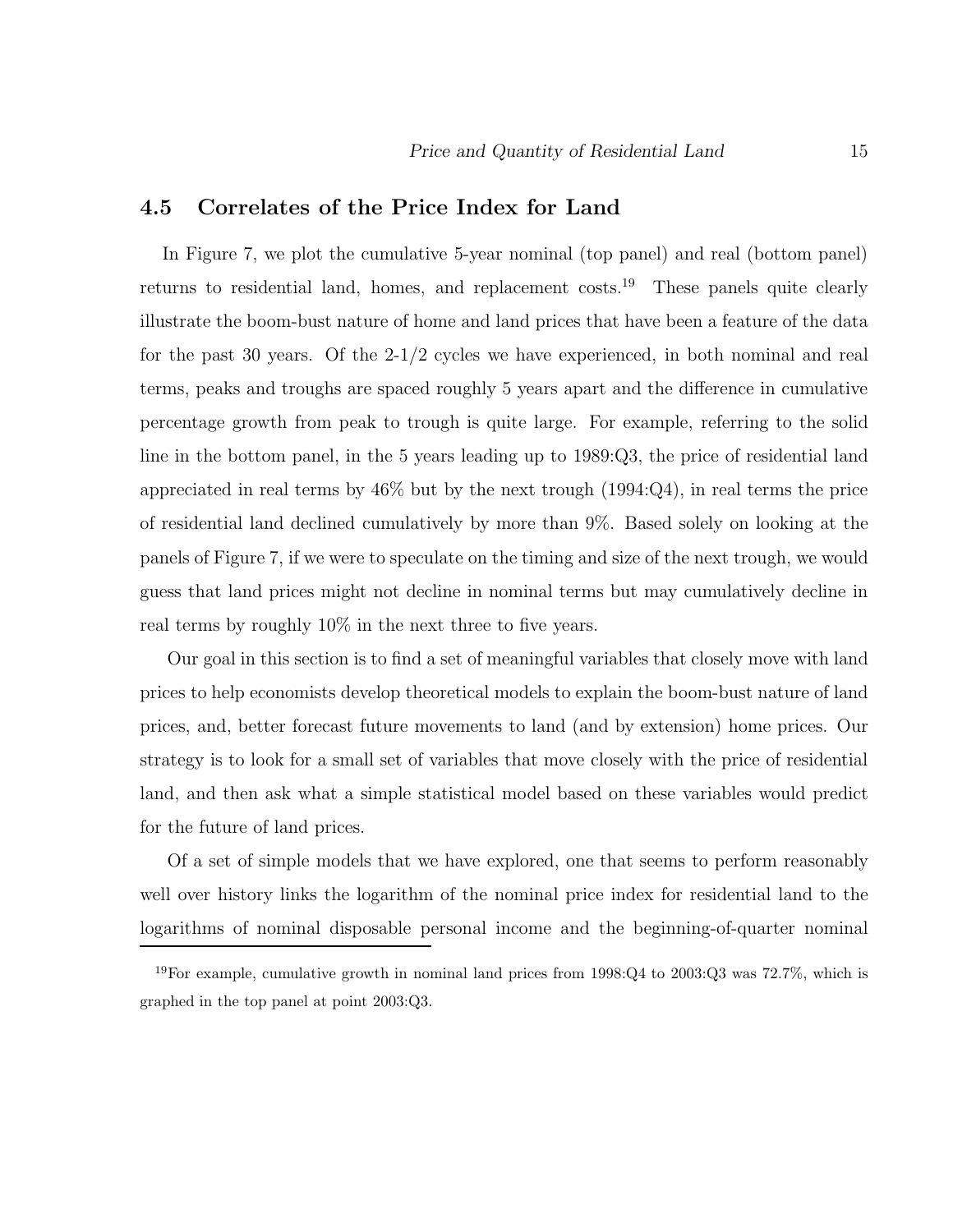### **4.5 Correlates of the Price Index for Land**

In Figure 7, we plot the cumulative 5-year nominal (top panel) and real (bottom panel) returns to residential land, homes, and replacement costs.<sup>19</sup> These panels quite clearly illustrate the boom-bust nature of home and land prices that have been a feature of the data for the past 30 years. Of the 2-1/2 cycles we have experienced, in both nominal and real terms, peaks and troughs are spaced roughly 5 years apart and the difference in cumulative percentage growth from peak to trough is quite large. For example, referring to the solid line in the bottom panel, in the 5 years leading up to 1989:Q3, the price of residential land appreciated in real terms by  $46\%$  but by the next trough  $(1994:Q4)$ , in real terms the price of residential land declined cumulatively by more than 9%. Based solely on looking at the panels of Figure 7, if we were to speculate on the timing and size of the next trough, we would guess that land prices might not decline in nominal terms but may cumulatively decline in real terms by roughly 10% in the next three to five years.

Our goal in this section is to find a set of meaningful variables that closely move with land prices to help economists develop theoretical models to explain the boom-bust nature of land prices, and, better forecast future movements to land (and by extension) home prices. Our strategy is to look for a small set of variables that move closely with the price of residential land, and then ask what a simple statistical model based on these variables would predict for the future of land prices.

Of a set of simple models that we have explored, one that seems to perform reasonably well over history links the logarithm of the nominal price index for residential land to the logarithms of nominal disposable personal income and the beginning-of-quarter nominal

<sup>&</sup>lt;sup>19</sup>For example, cumulative growth in nominal land prices from 1998:Q4 to 2003:Q3 was  $72.7\%$ , which is graphed in the top panel at point 2003:Q3.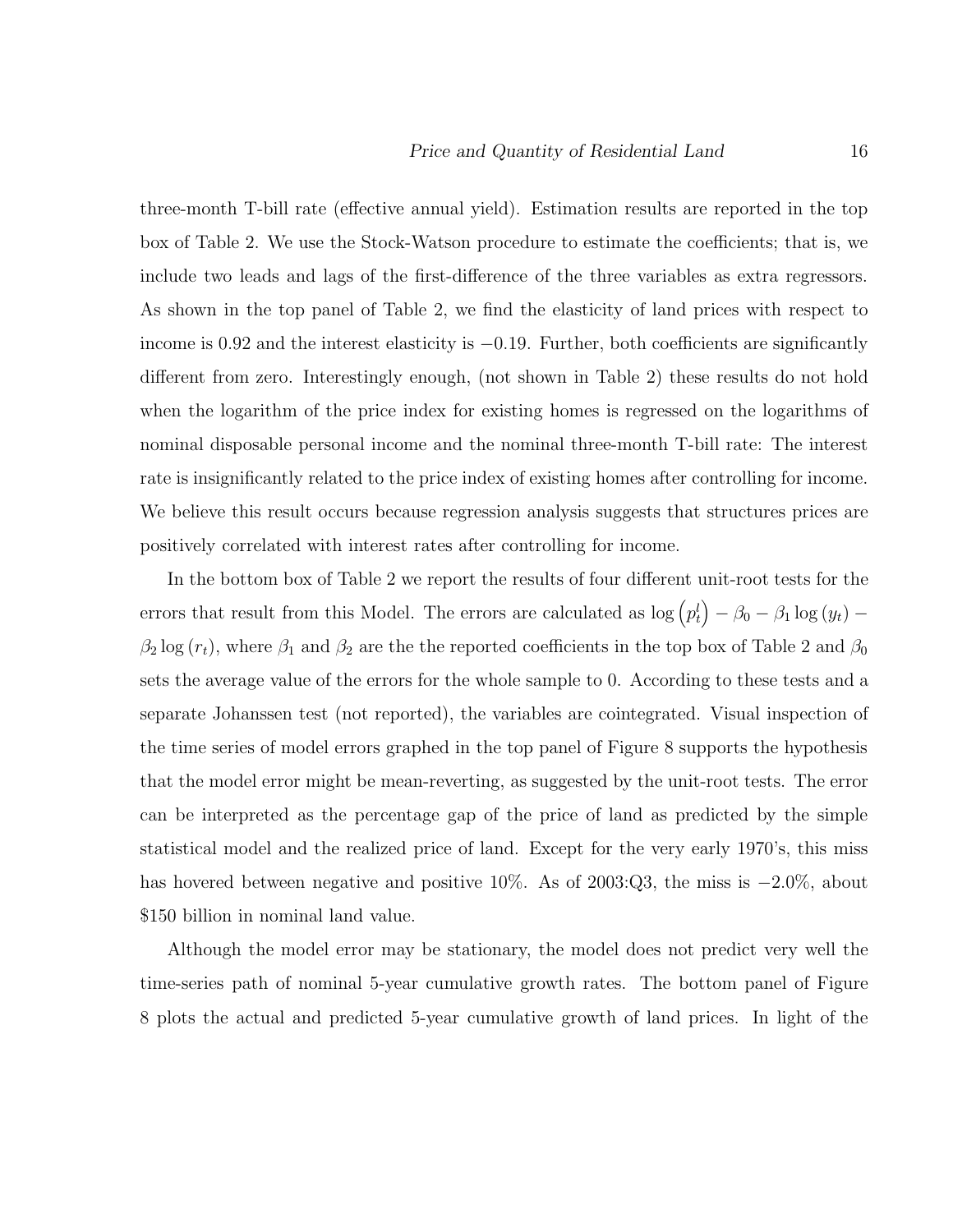three-month T-bill rate (effective annual yield). Estimation results are reported in the top box of Table 2. We use the Stock-Watson procedure to estimate the coefficients; that is, we include two leads and lags of the first-difference of the three variables as extra regressors. As shown in the top panel of Table 2, we find the elasticity of land prices with respect to income is 0.92 and the interest elasticity is  $-0.19$ . Further, both coefficients are significantly different from zero. Interestingly enough, (not shown in Table 2) these results do not hold when the logarithm of the price index for existing homes is regressed on the logarithms of nominal disposable personal income and the nominal three-month T-bill rate: The interest rate is insignificantly related to the price index of existing homes after controlling for income. We believe this result occurs because regression analysis suggests that structures prices are positively correlated with interest rates after controlling for income.

In the bottom box of Table 2 we report the results of four different unit-root tests for the errors that result from this Model. The errors are calculated as  $\log (p_t^l) - \beta_0 - \beta_1 \log (y_t) \beta_2$  log  $(r_t)$ , where  $\beta_1$  and  $\beta_2$  are the the reported coefficients in the top box of Table 2 and  $\beta_0$ sets the average value of the errors for the whole sample to 0. According to these tests and a separate Johanssen test (not reported), the variables are cointegrated. Visual inspection of the time series of model errors graphed in the top panel of Figure 8 supports the hypothesis that the model error might be mean-reverting, as suggested by the unit-root tests. The error can be interpreted as the percentage gap of the price of land as predicted by the simple statistical model and the realized price of land. Except for the very early 1970's, this miss has hovered between negative and positive 10%. As of 2003:Q3, the miss is −2.0%, about \$150 billion in nominal land value.

Although the model error may be stationary, the model does not predict very well the time-series path of nominal 5-year cumulative growth rates. The bottom panel of Figure 8 plots the actual and predicted 5-year cumulative growth of land prices. In light of the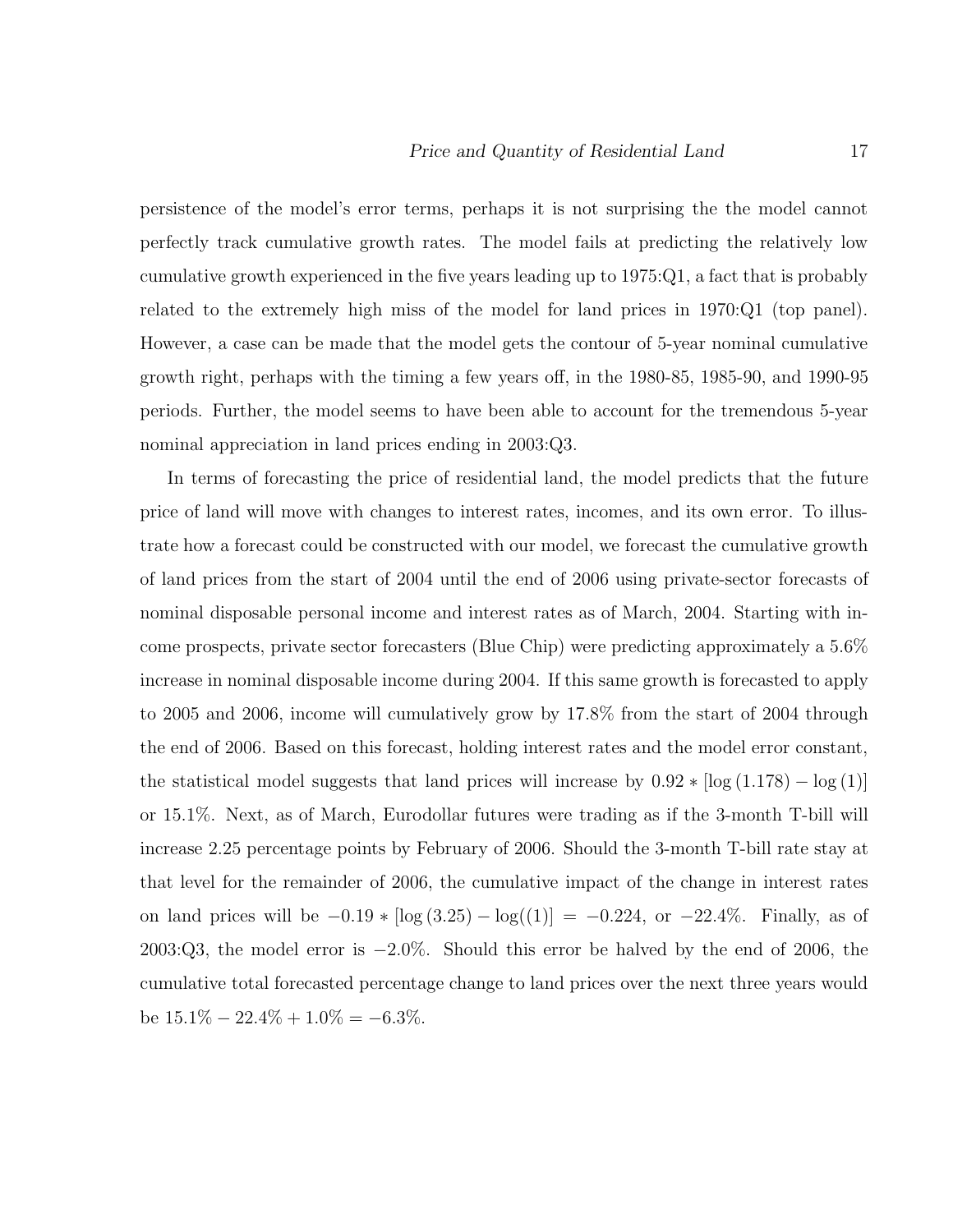persistence of the model's error terms, perhaps it is not surprising the the model cannot perfectly track cumulative growth rates. The model fails at predicting the relatively low cumulative growth experienced in the five years leading up to 1975:Q1, a fact that is probably related to the extremely high miss of the model for land prices in 1970:Q1 (top panel). However, a case can be made that the model gets the contour of 5-year nominal cumulative growth right, perhaps with the timing a few years off, in the 1980-85, 1985-90, and 1990-95 periods. Further, the model seems to have been able to account for the tremendous 5-year nominal appreciation in land prices ending in 2003:Q3.

In terms of forecasting the price of residential land, the model predicts that the future price of land will move with changes to interest rates, incomes, and its own error. To illustrate how a forecast could be constructed with our model, we forecast the cumulative growth of land prices from the start of 2004 until the end of 2006 using private-sector forecasts of nominal disposable personal income and interest rates as of March, 2004. Starting with income prospects, private sector forecasters (Blue Chip) were predicting approximately a 5.6% increase in nominal disposable income during 2004. If this same growth is forecasted to apply to 2005 and 2006, income will cumulatively grow by 17.8% from the start of 2004 through the end of 2006. Based on this forecast, holding interest rates and the model error constant, the statistical model suggests that land prices will increase by  $0.92 * [\log(1.178) - \log(1)]$ or 15.1%. Next, as of March, Eurodollar futures were trading as if the 3-month T-bill will increase 2.25 percentage points by February of 2006. Should the 3-month T-bill rate stay at that level for the remainder of 2006, the cumulative impact of the change in interest rates on land prices will be  $-0.19 * [\log(3.25) - \log((1)] = -0.224$ , or  $-22.4\%$ . Finally, as of 2003:Q3, the model error is −2.0%. Should this error be halved by the end of 2006, the cumulative total forecasted percentage change to land prices over the next three years would be  $15.1\% - 22.4\% + 1.0\% = -6.3\%$ .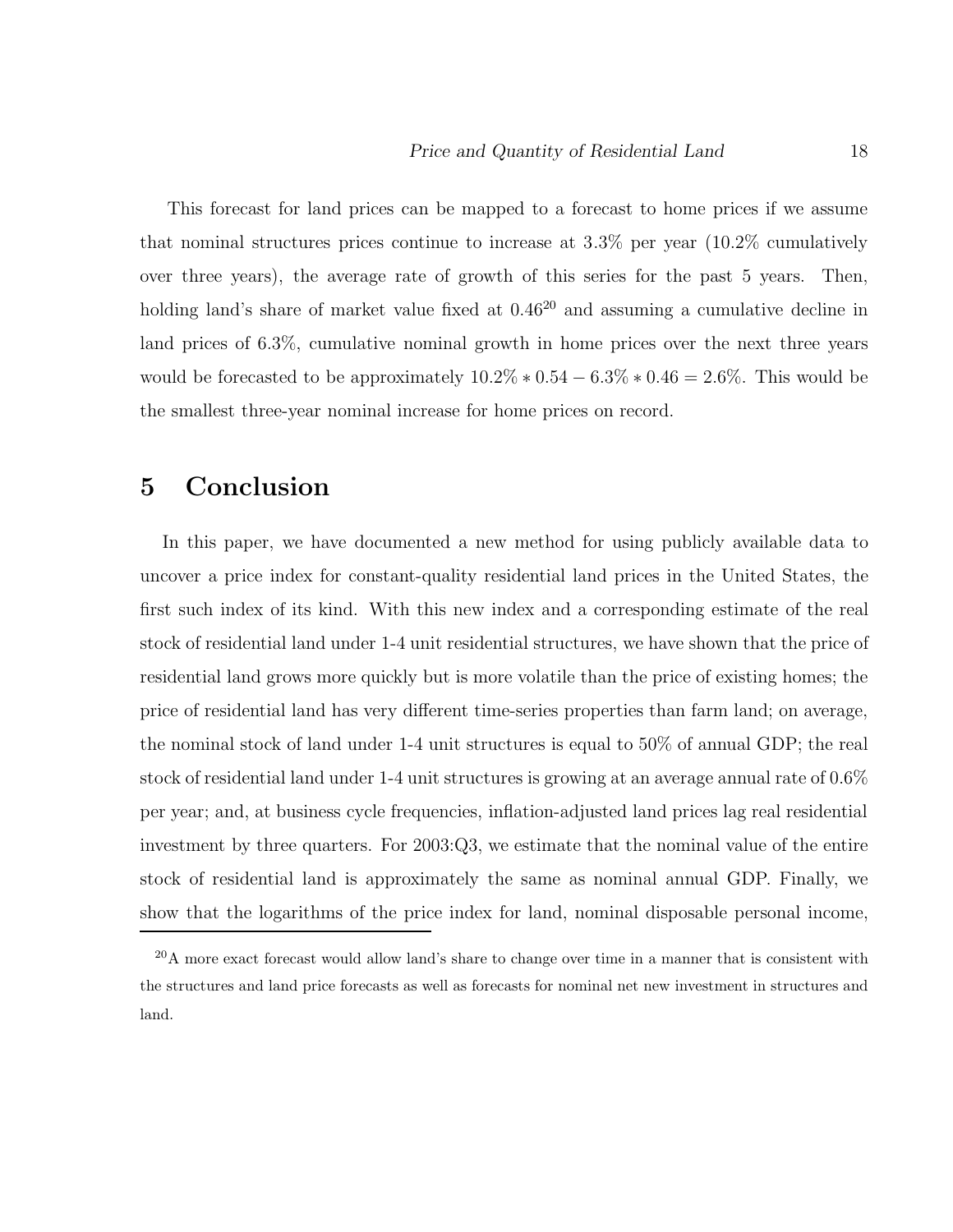This forecast for land prices can be mapped to a forecast to home prices if we assume that nominal structures prices continue to increase at 3.3% per year (10.2% cumulatively over three years), the average rate of growth of this series for the past 5 years. Then, holding land's share of market value fixed at  $0.46^{20}$  and assuming a cumulative decline in land prices of 6.3%, cumulative nominal growth in home prices over the next three years would be forecasted to be approximately  $10.2\% * 0.54 - 6.3\% * 0.46 = 2.6\%.$  This would be the smallest three-year nominal increase for home prices on record.

## **5 Conclusion**

In this paper, we have documented a new method for using publicly available data to uncover a price index for constant-quality residential land prices in the United States, the first such index of its kind. With this new index and a corresponding estimate of the real stock of residential land under 1-4 unit residential structures, we have shown that the price of residential land grows more quickly but is more volatile than the price of existing homes; the price of residential land has very different time-series properties than farm land; on average, the nominal stock of land under 1-4 unit structures is equal to 50% of annual GDP; the real stock of residential land under 1-4 unit structures is growing at an average annual rate of 0.6% per year; and, at business cycle frequencies, inflation-adjusted land prices lag real residential investment by three quarters. For 2003:Q3, we estimate that the nominal value of the entire stock of residential land is approximately the same as nominal annual GDP. Finally, we show that the logarithms of the price index for land, nominal disposable personal income,

<sup>20</sup>A more exact forecast would allow land's share to change over time in a manner that is consistent with the structures and land price forecasts as well as forecasts for nominal net new investment in structures and land.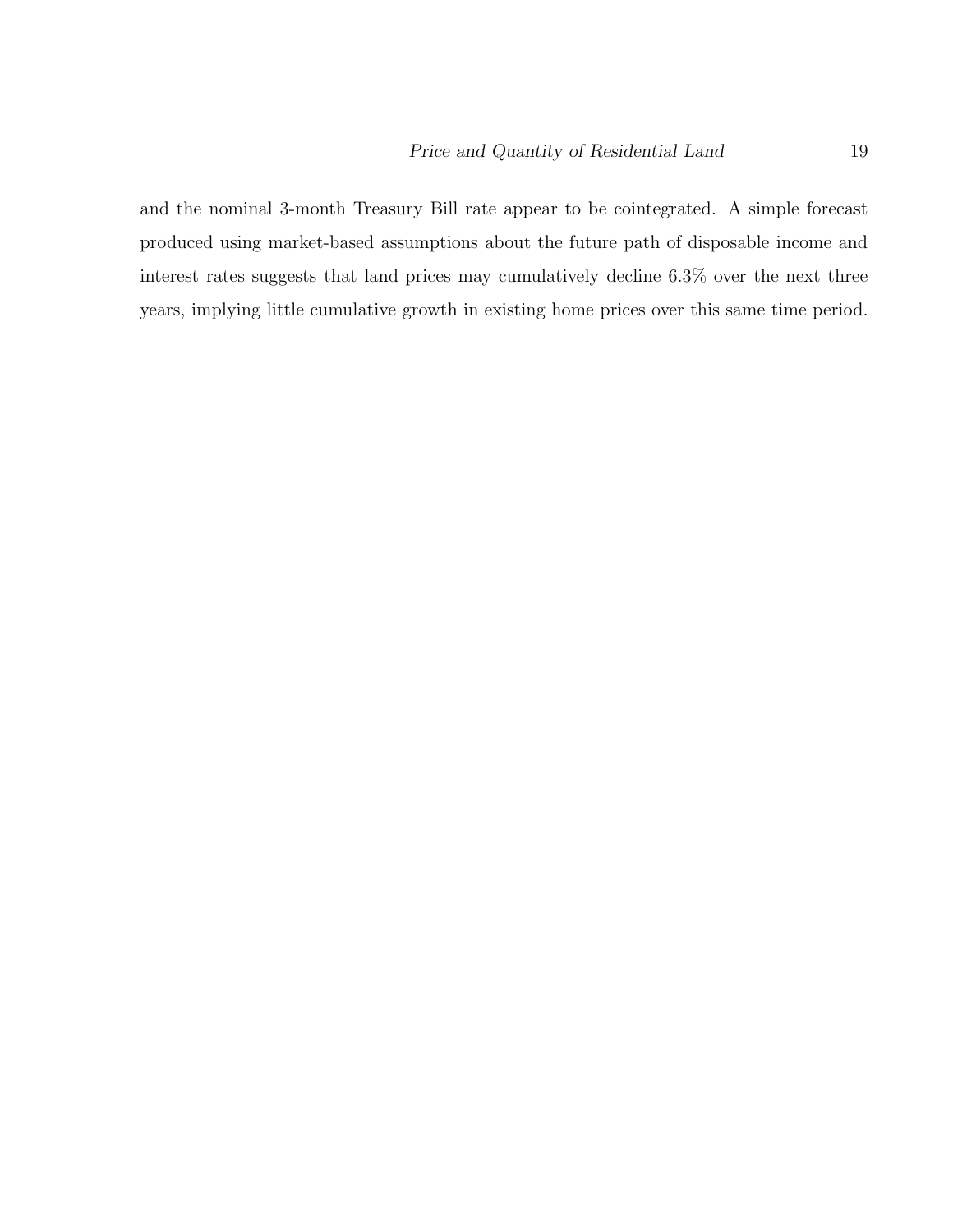and the nominal 3-month Treasury Bill rate appear to be cointegrated. A simple forecast produced using market-based assumptions about the future path of disposable income and interest rates suggests that land prices may cumulatively decline 6.3% over the next three years, implying little cumulative growth in existing home prices over this same time period.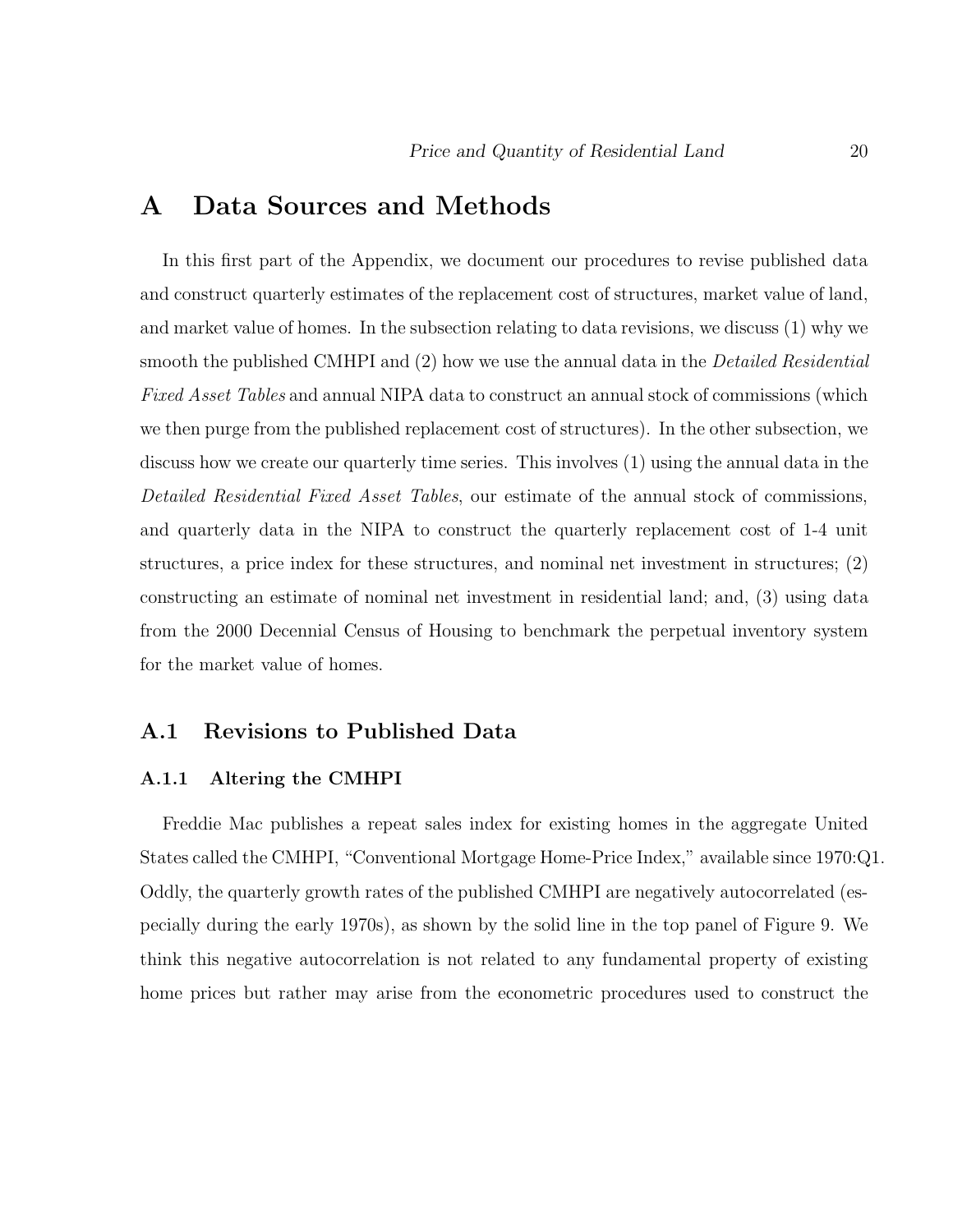## **A Data Sources and Methods**

In this first part of the Appendix, we document our procedures to revise published data and construct quarterly estimates of the replacement cost of structures, market value of land, and market value of homes. In the subsection relating to data revisions, we discuss (1) why we smooth the published CMHPI and (2) how we use the annual data in the *Detailed Residential* Fixed Asset Tables and annual NIPA data to construct an annual stock of commissions (which we then purge from the published replacement cost of structures). In the other subsection, we discuss how we create our quarterly time series. This involves (1) using the annual data in the Detailed Residential Fixed Asset Tables, our estimate of the annual stock of commissions, and quarterly data in the NIPA to construct the quarterly replacement cost of 1-4 unit structures, a price index for these structures, and nominal net investment in structures; (2) constructing an estimate of nominal net investment in residential land; and, (3) using data from the 2000 Decennial Census of Housing to benchmark the perpetual inventory system for the market value of homes.

### **A.1 Revisions to Published Data**

#### **A.1.1 Altering the CMHPI**

Freddie Mac publishes a repeat sales index for existing homes in the aggregate United States called the CMHPI, "Conventional Mortgage Home-Price Index," available since 1970:Q1. Oddly, the quarterly growth rates of the published CMHPI are negatively autocorrelated (especially during the early 1970s), as shown by the solid line in the top panel of Figure 9. We think this negative autocorrelation is not related to any fundamental property of existing home prices but rather may arise from the econometric procedures used to construct the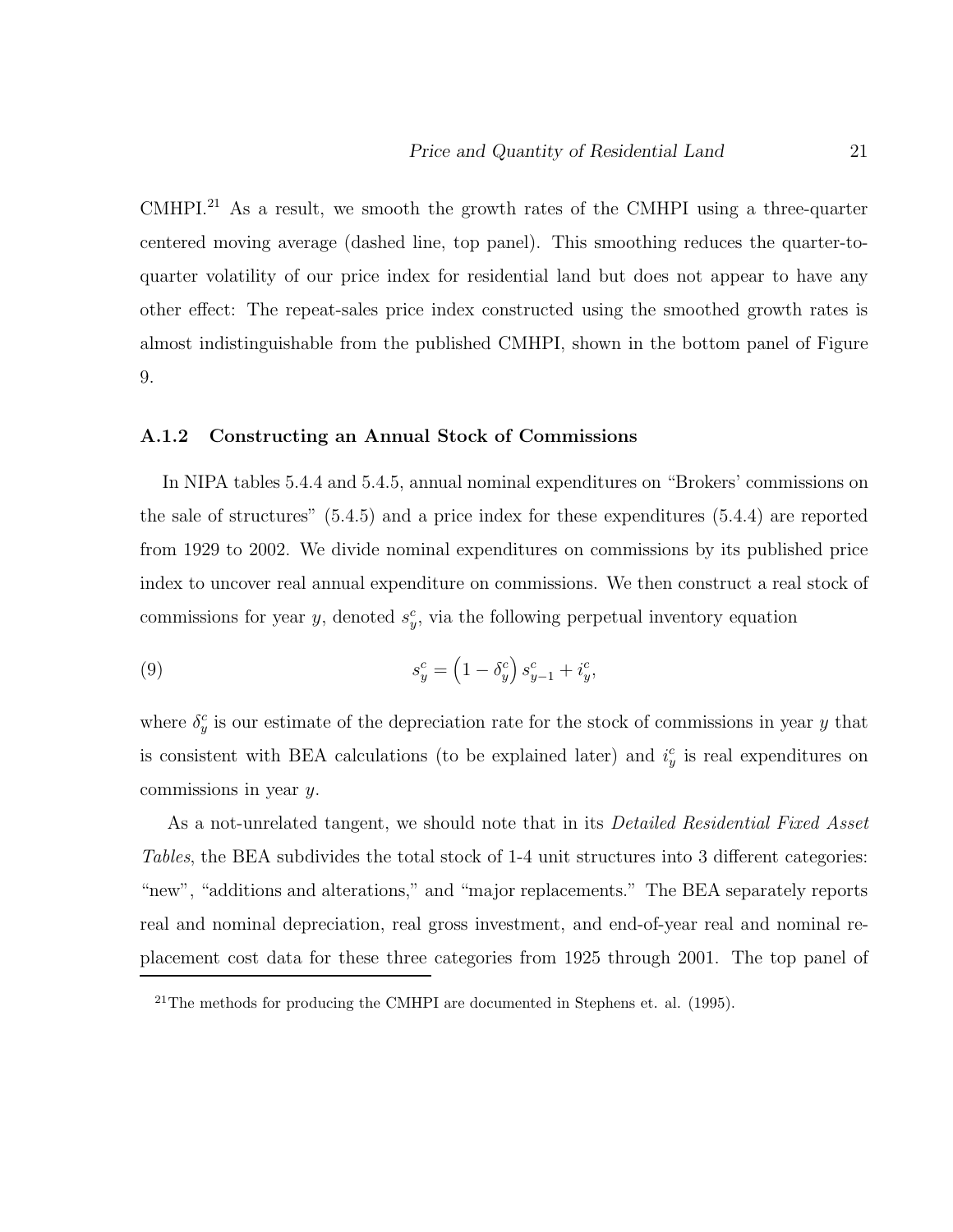CMHPI.<sup>21</sup> As a result, we smooth the growth rates of the CMHPI using a three-quarter centered moving average (dashed line, top panel). This smoothing reduces the quarter-toquarter volatility of our price index for residential land but does not appear to have any other effect: The repeat-sales price index constructed using the smoothed growth rates is almost indistinguishable from the published CMHPI, shown in the bottom panel of Figure 9.

#### **A.1.2 Constructing an Annual Stock of Commissions**

In NIPA tables 5.4.4 and 5.4.5, annual nominal expenditures on "Brokers' commissions on the sale of structures" (5.4.5) and a price index for these expenditures (5.4.4) are reported from 1929 to 2002. We divide nominal expenditures on commissions by its published price index to uncover real annual expenditure on commissions. We then construct a real stock of commissions for year y, denoted  $s_y^c$ , via the following perpetual inventory equation

(9) 
$$
s_y^c = \left(1 - \delta_y^c\right)s_{y-1}^c + i_y^c,
$$

where  $\delta_y^c$  is our estimate of the depreciation rate for the stock of commissions in year y that is consistent with BEA calculations (to be explained later) and  $i_y^c$  is real expenditures on commissions in year y.

As a not-unrelated tangent, we should note that in its *Detailed Residential Fixed Asset* Tables, the BEA subdivides the total stock of 1-4 unit structures into 3 different categories: "new", "additions and alterations," and "major replacements." The BEA separately reports real and nominal depreciation, real gross investment, and end-of-year real and nominal replacement cost data for these three categories from 1925 through 2001. The top panel of

 $^{21}$ The methods for producing the CMHPI are documented in Stephens et. al. (1995).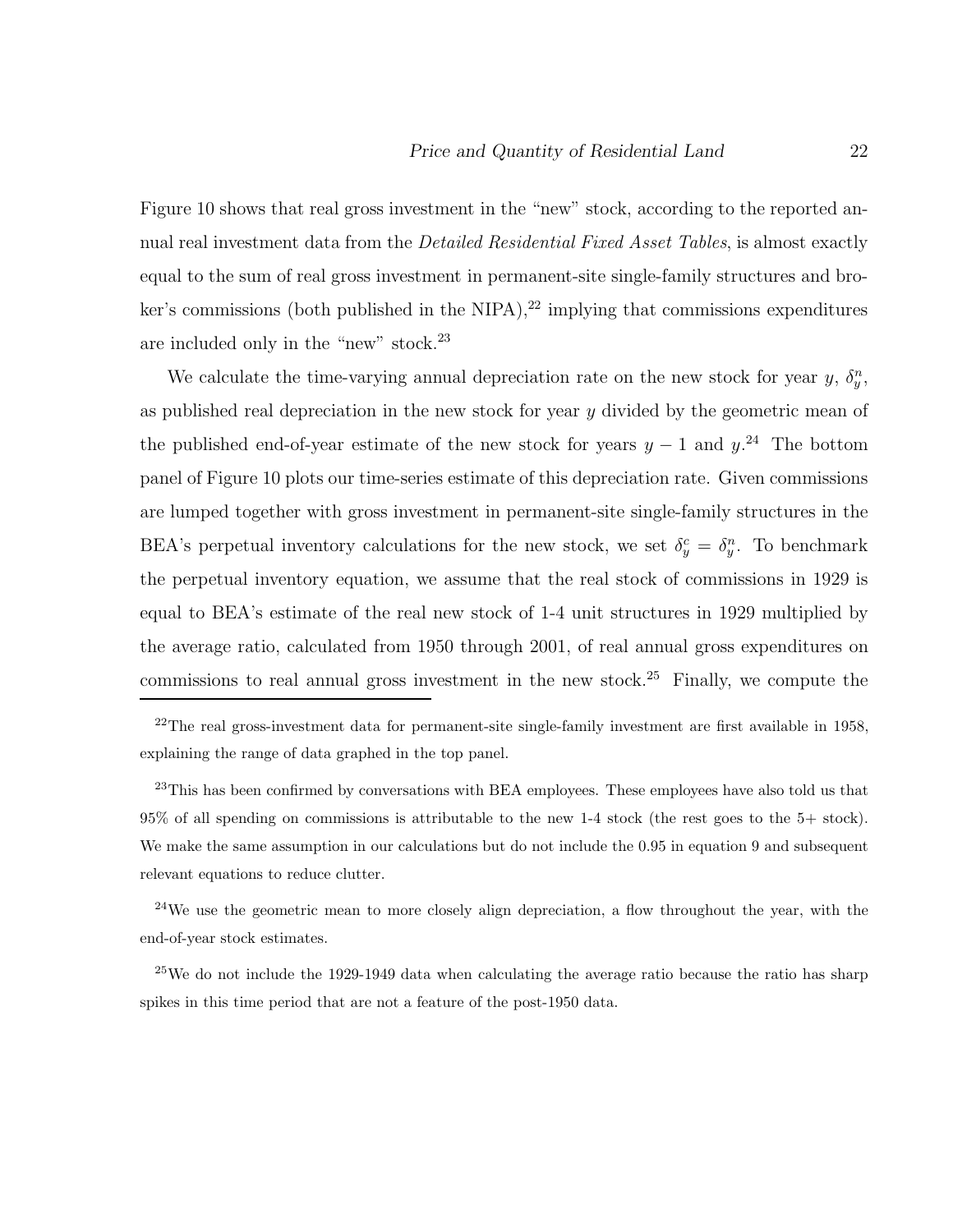Figure 10 shows that real gross investment in the "new" stock, according to the reported annual real investment data from the *Detailed Residential Fixed Asset Tables*, is almost exactly equal to the sum of real gross investment in permanent-site single-family structures and broker's commissions (both published in the NIPA),<sup>22</sup> implying that commissions expenditures are included only in the "new" stock. $^{23}$ 

We calculate the time-varying annual depreciation rate on the new stock for year y,  $\delta_y^n$ , as published real depreciation in the new stock for year  $y$  divided by the geometric mean of the published end-of-year estimate of the new stock for years  $y - 1$  and  $y$ <sup>24</sup>. The bottom panel of Figure 10 plots our time-series estimate of this depreciation rate. Given commissions are lumped together with gross investment in permanent-site single-family structures in the BEA's perpetual inventory calculations for the new stock, we set  $\delta_y^c = \delta_y^n$ . To benchmark the perpetual inventory equation, we assume that the real stock of commissions in 1929 is equal to BEA's estimate of the real new stock of 1-4 unit structures in 1929 multiplied by the average ratio, calculated from 1950 through 2001, of real annual gross expenditures on commissions to real annual gross investment in the new stock.<sup>25</sup> Finally, we compute the

<sup>23</sup>This has been confirmed by conversations with BEA employees. These employees have also told us that 95% of all spending on commissions is attributable to the new 1-4 stock (the rest goes to the 5+ stock). We make the same assumption in our calculations but do not include the 0.95 in equation 9 and subsequent relevant equations to reduce clutter.

 $24$ We use the geometric mean to more closely align depreciation, a flow throughout the year, with the end-of-year stock estimates.

 $^{25}$ We do not include the 1929-1949 data when calculating the average ratio because the ratio has sharp spikes in this time period that are not a feature of the post-1950 data.

 $^{22}$ The real gross-investment data for permanent-site single-family investment are first available in 1958, explaining the range of data graphed in the top panel.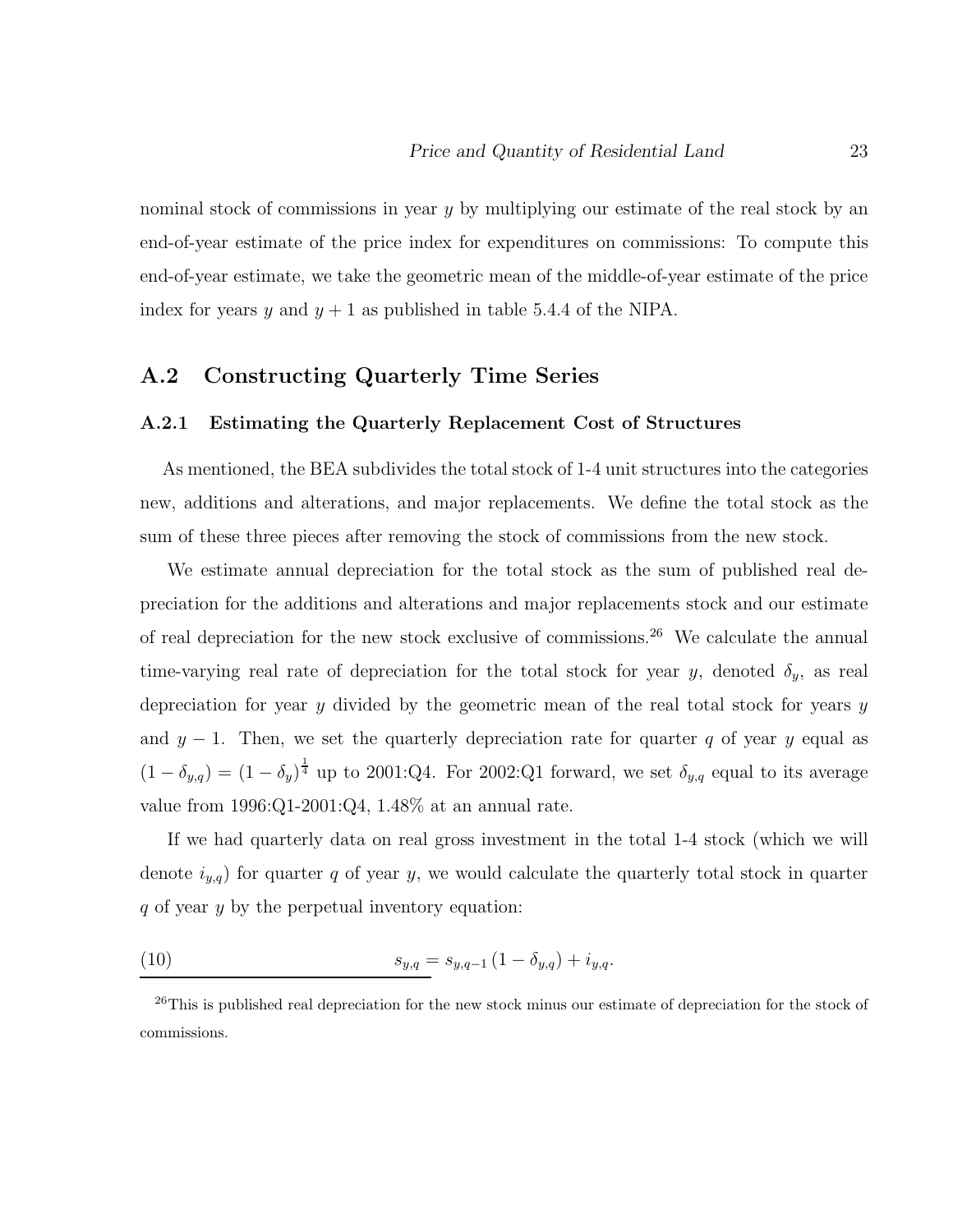nominal stock of commissions in year  $y$  by multiplying our estimate of the real stock by an end-of-year estimate of the price index for expenditures on commissions: To compute this end-of-year estimate, we take the geometric mean of the middle-of-year estimate of the price index for years y and  $y + 1$  as published in table 5.4.4 of the NIPA.

## **A.2 Constructing Quarterly Time Series**

#### **A.2.1 Estimating the Quarterly Replacement Cost of Structures**

As mentioned, the BEA subdivides the total stock of 1-4 unit structures into the categories new, additions and alterations, and major replacements. We define the total stock as the sum of these three pieces after removing the stock of commissions from the new stock.

We estimate annual depreciation for the total stock as the sum of published real depreciation for the additions and alterations and major replacements stock and our estimate of real depreciation for the new stock exclusive of commissions.<sup>26</sup> We calculate the annual time-varying real rate of depreciation for the total stock for year y, denoted  $\delta_y$ , as real depreciation for year y divided by the geometric mean of the real total stock for years  $y$ and  $y - 1$ . Then, we set the quarterly depreciation rate for quarter q of year y equal as  $(1 - \delta_{y,q}) = (1 - \delta_y)^{\frac{1}{4}}$  up to 2001:Q4. For 2002:Q1 forward, we set  $\delta_{y,q}$  equal to its average value from 1996:Q1-2001:Q4, 1.48% at an annual rate.

If we had quarterly data on real gross investment in the total 1-4 stock (which we will denote  $i_{y,q}$  for quarter q of year y, we would calculate the quarterly total stock in quarter q of year y by the perpetual inventory equation:

(10) 
$$
s_{y,q} = s_{y,q-1} \left( 1 - \delta_{y,q} \right) + i_{y,q}.
$$

<sup>&</sup>lt;sup>26</sup>This is published real depreciation for the new stock minus our estimate of depreciation for the stock of commissions.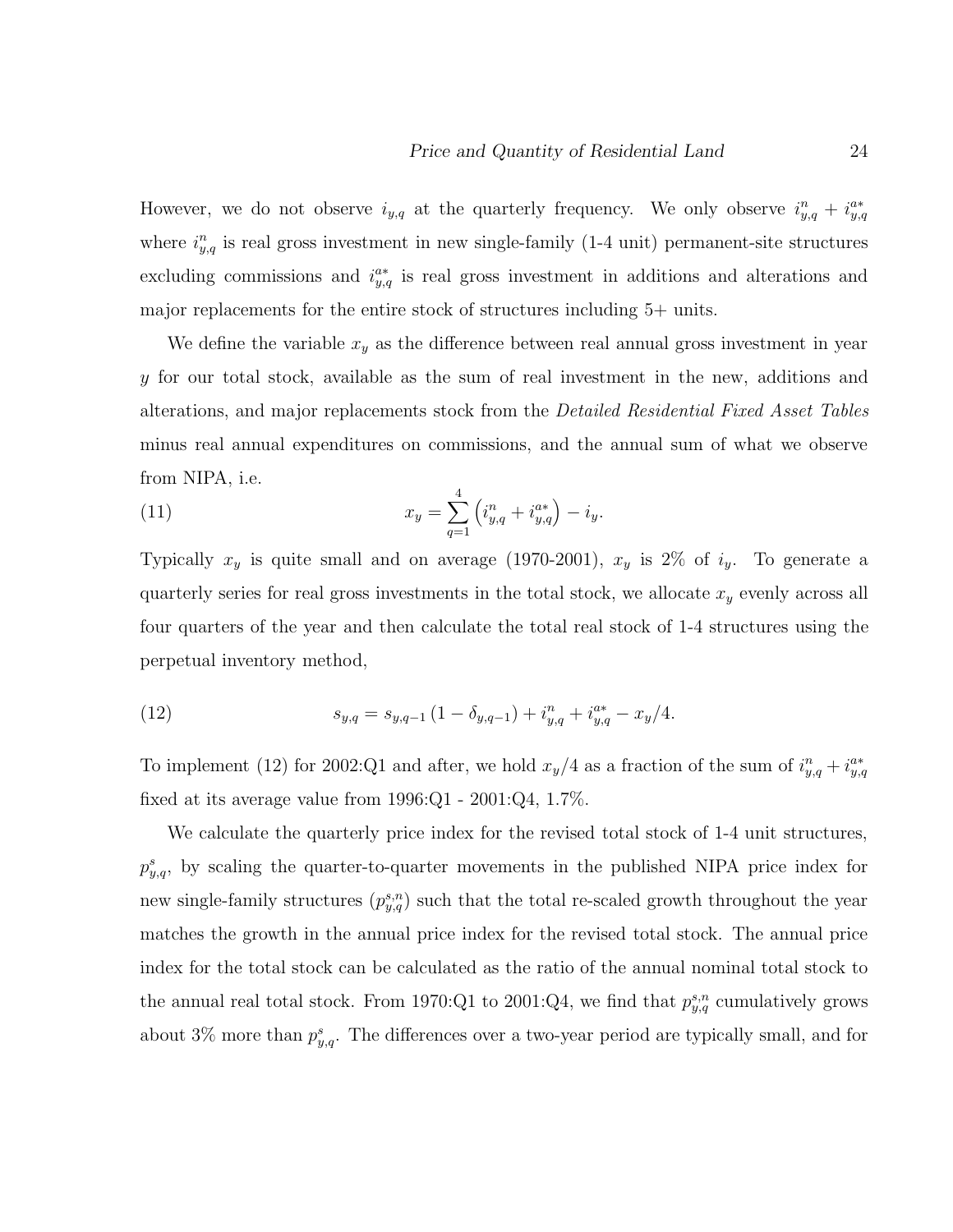However, we do not observe  $i_{y,q}$  at the quarterly frequency. We only observe  $i_{y,q}^n + i_{y,q}^{a*}$ where  $i_{y,q}$  is real gross investment in new single-family (1-4 unit) permanent-site structures excluding commissions and  $i_{y,q}^{a*}$  is real gross investment in additions and alterations and major replacements for the entire stock of structures including 5+ units.

We define the variable  $x_y$  as the difference between real annual gross investment in year y for our total stock, available as the sum of real investment in the new, additions and alterations, and major replacements stock from the Detailed Residential Fixed Asset Tables minus real annual expenditures on commissions, and the annual sum of what we observe from NIPA, i.e.

(11) 
$$
x_y = \sum_{q=1}^4 \left( i_{y,q}^n + i_{y,q}^{a*} \right) - i_y.
$$

Typically  $x_y$  is quite small and on average (1970-2001),  $x_y$  is 2% of  $i_y$ . To generate a quarterly series for real gross investments in the total stock, we allocate  $x_y$  evenly across all four quarters of the year and then calculate the total real stock of 1-4 structures using the perpetual inventory method,

(12) 
$$
s_{y,q} = s_{y,q-1} \left( 1 - \delta_{y,q-1} \right) + i_{y,q}^n + i_{y,q}^{a*} - x_y/4.
$$

To implement (12) for 2002:Q1 and after, we hold  $x_y/4$  as a fraction of the sum of  $i_{y,q}^n + i_{y,q}^{a*}$ fixed at its average value from 1996:Q1 - 2001:Q4, 1.7%.

We calculate the quarterly price index for the revised total stock of 1-4 unit structures,  $p_{y,q}^s$ , by scaling the quarter-to-quarter movements in the published NIPA price index for new single-family structures  $(p_{y,q}^{s,n})$  such that the total re-scaled growth throughout the year matches the growth in the annual price index for the revised total stock. The annual price index for the total stock can be calculated as the ratio of the annual nominal total stock to the annual real total stock. From 1970:Q1 to 2001:Q4, we find that  $p_{y,q}^{s,n}$  cumulatively grows about 3% more than  $p_{y,q}^s$ . The differences over a two-year period are typically small, and for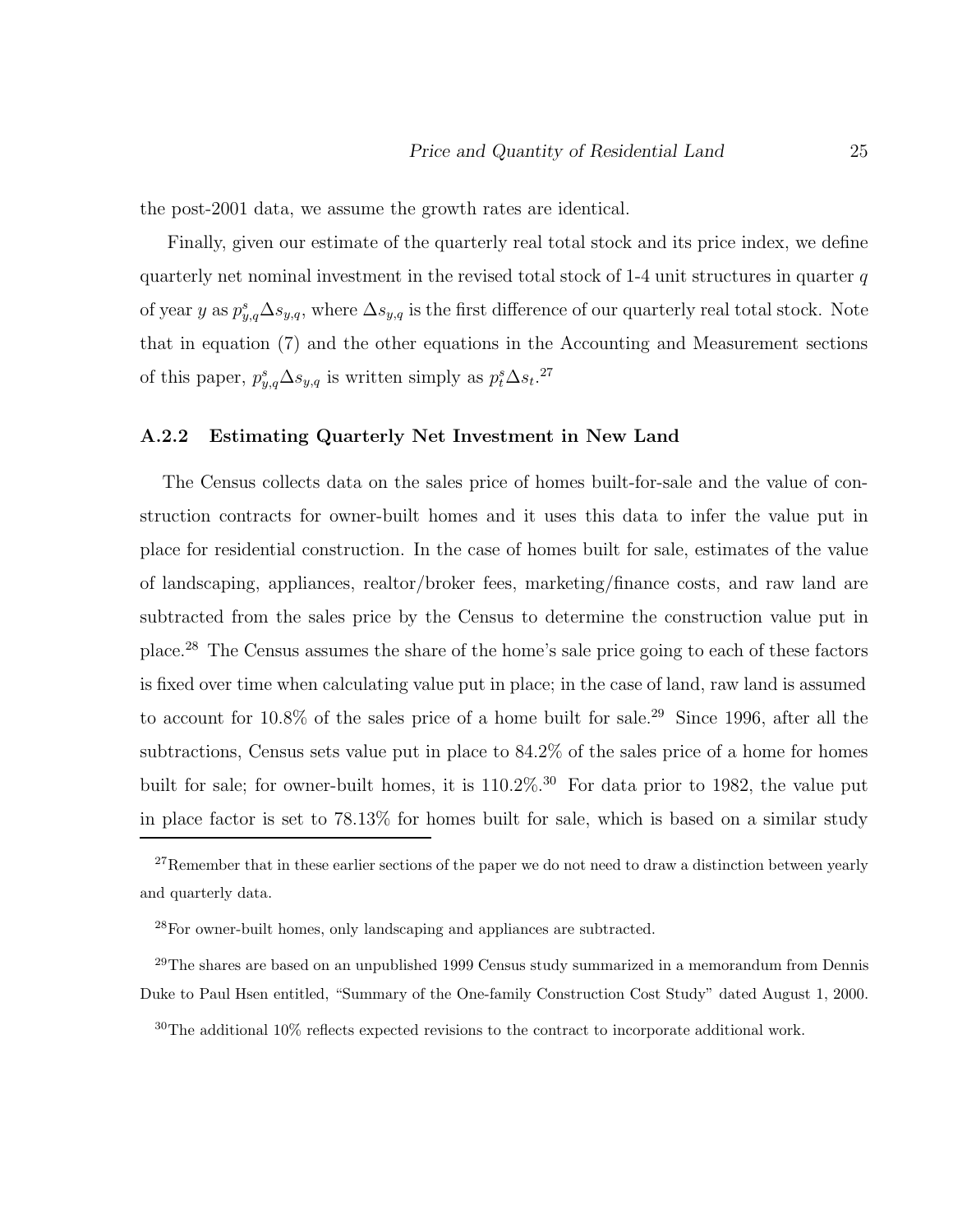the post-2001 data, we assume the growth rates are identical.

Finally, given our estimate of the quarterly real total stock and its price index, we define quarterly net nominal investment in the revised total stock of  $1-4$  unit structures in quarter q of year y as  $p_{y,q}^s \Delta s_{y,q}$ , where  $\Delta s_{y,q}$  is the first difference of our quarterly real total stock. Note that in equation (7) and the other equations in the Accounting and Measurement sections of this paper,  $p_{y,q}^s \Delta s_{y,q}$  is written simply as  $p_t^s \Delta s_t$ .<sup>27</sup>

#### **A.2.2 Estimating Quarterly Net Investment in New Land**

The Census collects data on the sales price of homes built-for-sale and the value of construction contracts for owner-built homes and it uses this data to infer the value put in place for residential construction. In the case of homes built for sale, estimates of the value of landscaping, appliances, realtor/broker fees, marketing/finance costs, and raw land are subtracted from the sales price by the Census to determine the construction value put in place.<sup>28</sup> The Census assumes the share of the home's sale price going to each of these factors is fixed over time when calculating value put in place; in the case of land, raw land is assumed to account for 10.8% of the sales price of a home built for sale.<sup>29</sup> Since 1996, after all the subtractions, Census sets value put in place to 84.2% of the sales price of a home for homes built for sale; for owner-built homes, it is  $110.2\%$ .<sup>30</sup> For data prior to 1982, the value put in place factor is set to 78.13% for homes built for sale, which is based on a similar study

 $27$ Remember that in these earlier sections of the paper we do not need to draw a distinction between yearly and quarterly data.

<sup>28</sup>For owner-built homes, only landscaping and appliances are subtracted.

<sup>&</sup>lt;sup>29</sup>The shares are based on an unpublished 1999 Census study summarized in a memorandum from Dennis Duke to Paul Hsen entitled, "Summary of the One-family Construction Cost Study" dated August 1, 2000.

<sup>30</sup>The additional 10% reflects expected revisions to the contract to incorporate additional work.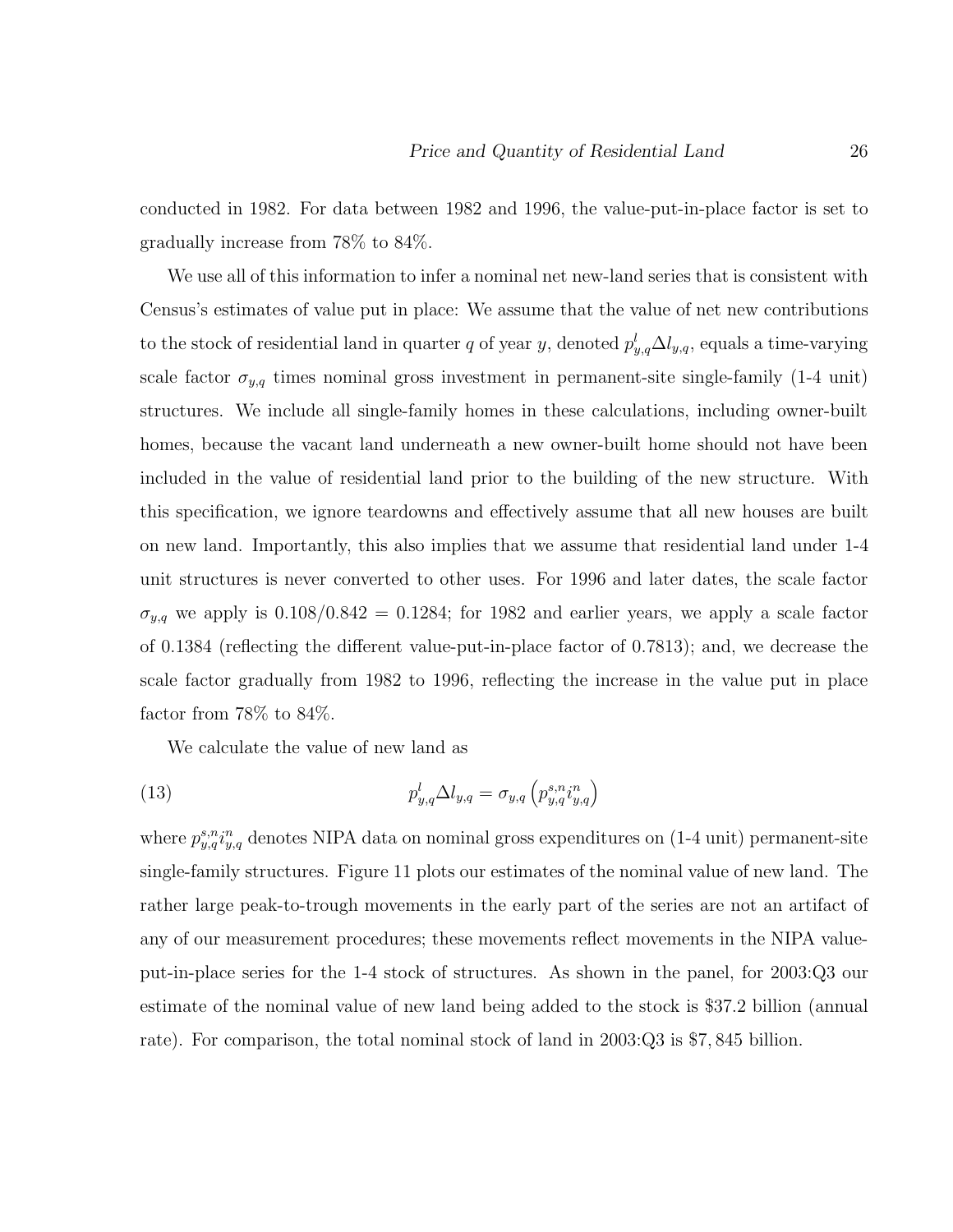conducted in 1982. For data between 1982 and 1996, the value-put-in-place factor is set to gradually increase from 78% to 84%.

We use all of this information to infer a nominal net new-land series that is consistent with Census's estimates of value put in place: We assume that the value of net new contributions to the stock of residential land in quarter q of year y, denoted  $p_{y,q}^l \Delta l_{y,q}$ , equals a time-varying scale factor  $\sigma_{y,q}$  times nominal gross investment in permanent-site single-family (1-4 unit) structures. We include all single-family homes in these calculations, including owner-built homes, because the vacant land underneath a new owner-built home should not have been included in the value of residential land prior to the building of the new structure. With this specification, we ignore teardowns and effectively assume that all new houses are built on new land. Importantly, this also implies that we assume that residential land under 1-4 unit structures is never converted to other uses. For 1996 and later dates, the scale factor  $\sigma_{y,q}$  we apply is 0.108/0.842 = 0.1284; for 1982 and earlier years, we apply a scale factor of 0.1384 (reflecting the different value-put-in-place factor of 0.7813); and, we decrease the scale factor gradually from 1982 to 1996, reflecting the increase in the value put in place factor from 78% to 84%.

We calculate the value of new land as

(13) 
$$
p_{y,q}^{l} \Delta l_{y,q} = \sigma_{y,q} \left( p_{y,q}^{s,n} i_{y,q}^{n} \right)
$$

where  $p_{y,q}^{s,n}i_{y,q}^n$  denotes NIPA data on nominal gross expenditures on (1-4 unit) permanent-site single-family structures. Figure 11 plots our estimates of the nominal value of new land. The rather large peak-to-trough movements in the early part of the series are not an artifact of any of our measurement procedures; these movements reflect movements in the NIPA valueput-in-place series for the 1-4 stock of structures. As shown in the panel, for 2003:Q3 our estimate of the nominal value of new land being added to the stock is \$37.2 billion (annual rate). For comparison, the total nominal stock of land in 2003:Q3 is \$7, 845 billion.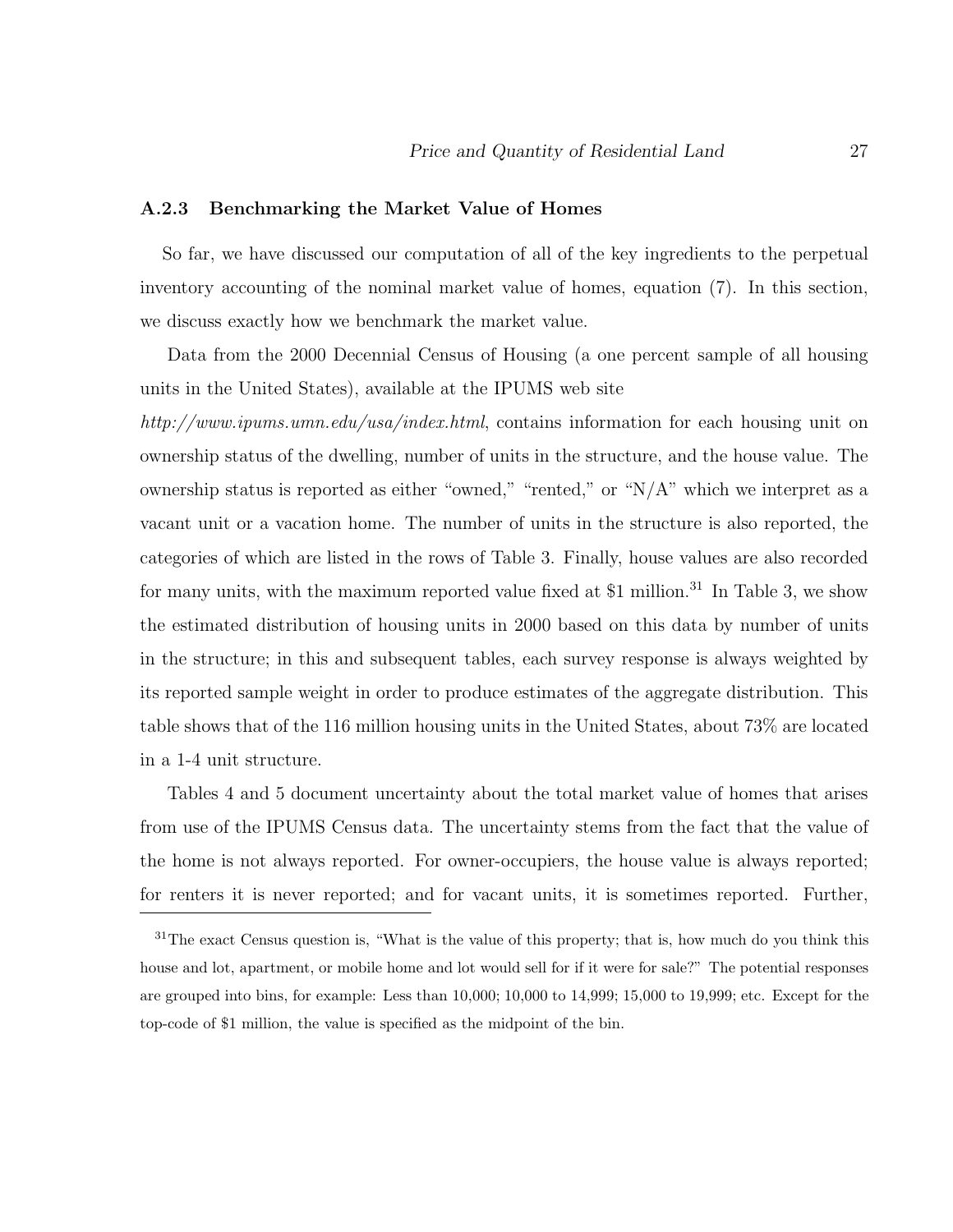#### **A.2.3 Benchmarking the Market Value of Homes**

So far, we have discussed our computation of all of the key ingredients to the perpetual inventory accounting of the nominal market value of homes, equation (7). In this section, we discuss exactly how we benchmark the market value.

Data from the 2000 Decennial Census of Housing (a one percent sample of all housing units in the United States), available at the IPUMS web site

http://www.ipums.umn.edu/usa/index.html, contains information for each housing unit on ownership status of the dwelling, number of units in the structure, and the house value. The ownership status is reported as either "owned," "rented," or "N/A" which we interpret as a vacant unit or a vacation home. The number of units in the structure is also reported, the categories of which are listed in the rows of Table 3. Finally, house values are also recorded for many units, with the maximum reported value fixed at \$1 million.<sup>31</sup> In Table 3, we show the estimated distribution of housing units in 2000 based on this data by number of units in the structure; in this and subsequent tables, each survey response is always weighted by its reported sample weight in order to produce estimates of the aggregate distribution. This table shows that of the 116 million housing units in the United States, about 73% are located in a 1-4 unit structure.

Tables 4 and 5 document uncertainty about the total market value of homes that arises from use of the IPUMS Census data. The uncertainty stems from the fact that the value of the home is not always reported. For owner-occupiers, the house value is always reported; for renters it is never reported; and for vacant units, it is sometimes reported. Further,

<sup>&</sup>lt;sup>31</sup>The exact Census question is, "What is the value of this property; that is, how much do you think this house and lot, apartment, or mobile home and lot would sell for if it were for sale?" The potential responses are grouped into bins, for example: Less than 10,000; 10,000 to 14,999; 15,000 to 19,999; etc. Except for the top-code of \$1 million, the value is specified as the midpoint of the bin.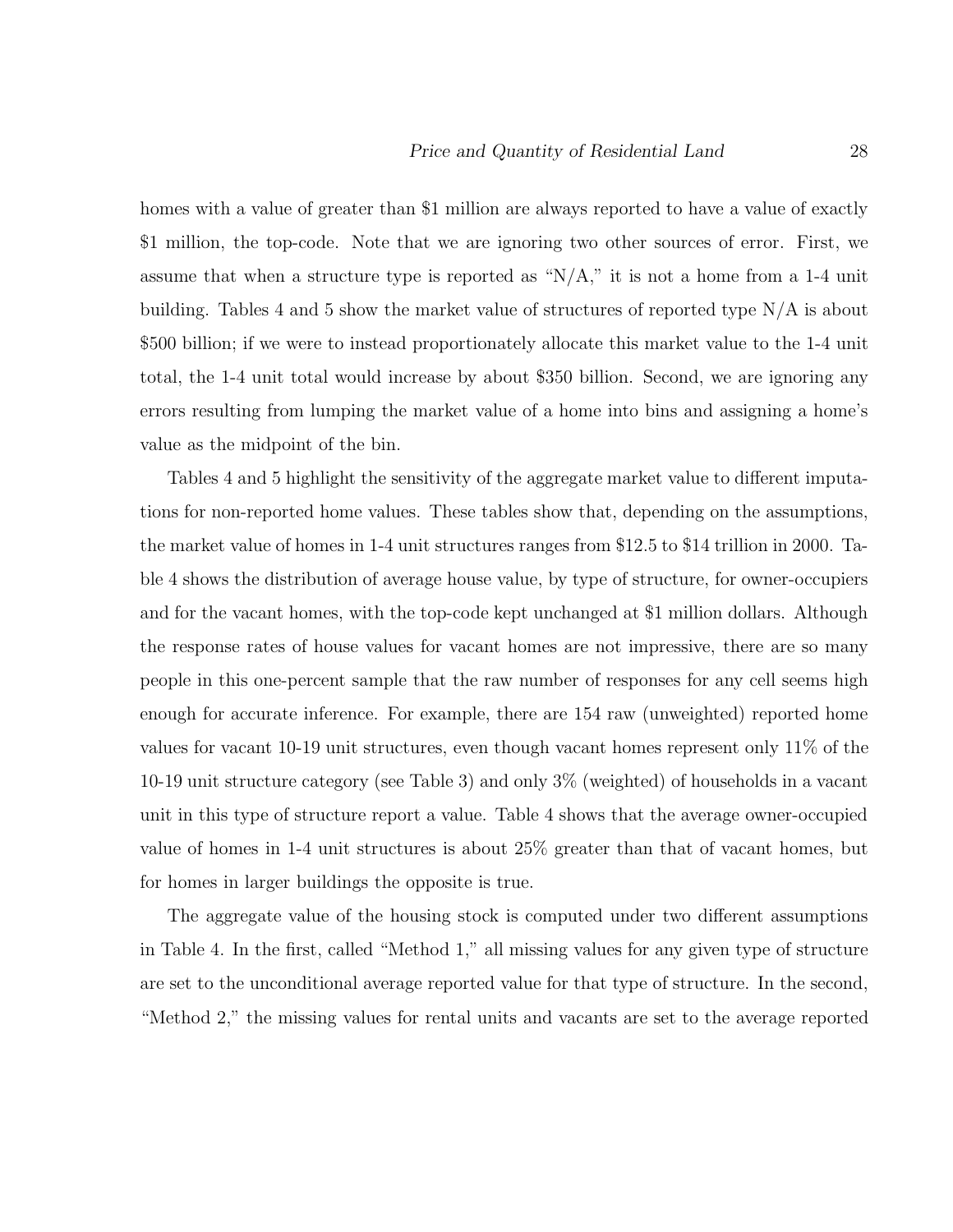homes with a value of greater than \$1 million are always reported to have a value of exactly \$1 million, the top-code. Note that we are ignoring two other sources of error. First, we assume that when a structure type is reported as " $N/A$ ," it is not a home from a 1-4 unit building. Tables 4 and 5 show the market value of structures of reported type N/A is about \$500 billion; if we were to instead proportionately allocate this market value to the 1-4 unit total, the 1-4 unit total would increase by about \$350 billion. Second, we are ignoring any errors resulting from lumping the market value of a home into bins and assigning a home's value as the midpoint of the bin.

Tables 4 and 5 highlight the sensitivity of the aggregate market value to different imputations for non-reported home values. These tables show that, depending on the assumptions, the market value of homes in 1-4 unit structures ranges from \$12.5 to \$14 trillion in 2000. Table 4 shows the distribution of average house value, by type of structure, for owner-occupiers and for the vacant homes, with the top-code kept unchanged at \$1 million dollars. Although the response rates of house values for vacant homes are not impressive, there are so many people in this one-percent sample that the raw number of responses for any cell seems high enough for accurate inference. For example, there are 154 raw (unweighted) reported home values for vacant 10-19 unit structures, even though vacant homes represent only 11% of the 10-19 unit structure category (see Table 3) and only 3% (weighted) of households in a vacant unit in this type of structure report a value. Table 4 shows that the average owner-occupied value of homes in 1-4 unit structures is about 25% greater than that of vacant homes, but for homes in larger buildings the opposite is true.

The aggregate value of the housing stock is computed under two different assumptions in Table 4. In the first, called "Method 1," all missing values for any given type of structure are set to the unconditional average reported value for that type of structure. In the second, "Method 2," the missing values for rental units and vacants are set to the average reported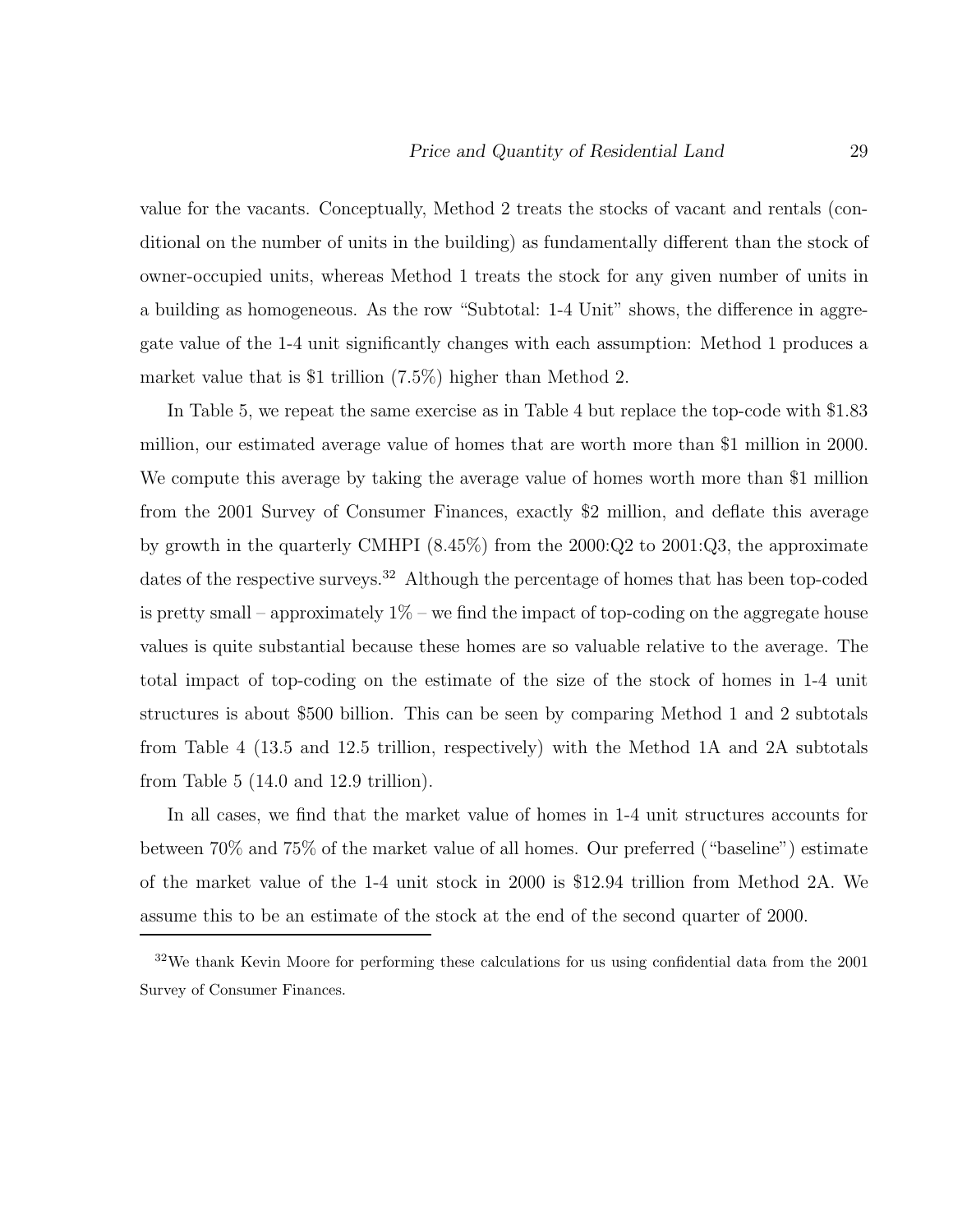value for the vacants. Conceptually, Method 2 treats the stocks of vacant and rentals (conditional on the number of units in the building) as fundamentally different than the stock of owner-occupied units, whereas Method 1 treats the stock for any given number of units in a building as homogeneous. As the row "Subtotal: 1-4 Unit" shows, the difference in aggregate value of the 1-4 unit significantly changes with each assumption: Method 1 produces a market value that is \$1 trillion (7.5%) higher than Method 2.

In Table 5, we repeat the same exercise as in Table 4 but replace the top-code with \$1.83 million, our estimated average value of homes that are worth more than \$1 million in 2000. We compute this average by taking the average value of homes worth more than \$1 million from the 2001 Survey of Consumer Finances, exactly \$2 million, and deflate this average by growth in the quarterly CMHPI (8.45%) from the 2000:Q2 to 2001:Q3, the approximate dates of the respective surveys.<sup>32</sup> Although the percentage of homes that has been top-coded is pretty small – approximately  $1\%$  – we find the impact of top-coding on the aggregate house values is quite substantial because these homes are so valuable relative to the average. The total impact of top-coding on the estimate of the size of the stock of homes in 1-4 unit structures is about \$500 billion. This can be seen by comparing Method 1 and 2 subtotals from Table 4 (13.5 and 12.5 trillion, respectively) with the Method 1A and 2A subtotals from Table 5 (14.0 and 12.9 trillion).

In all cases, we find that the market value of homes in 1-4 unit structures accounts for between 70% and 75% of the market value of all homes. Our preferred ("baseline") estimate of the market value of the 1-4 unit stock in 2000 is \$12.94 trillion from Method 2A. We assume this to be an estimate of the stock at the end of the second quarter of 2000.

<sup>32</sup>We thank Kevin Moore for performing these calculations for us using confidential data from the 2001 Survey of Consumer Finances.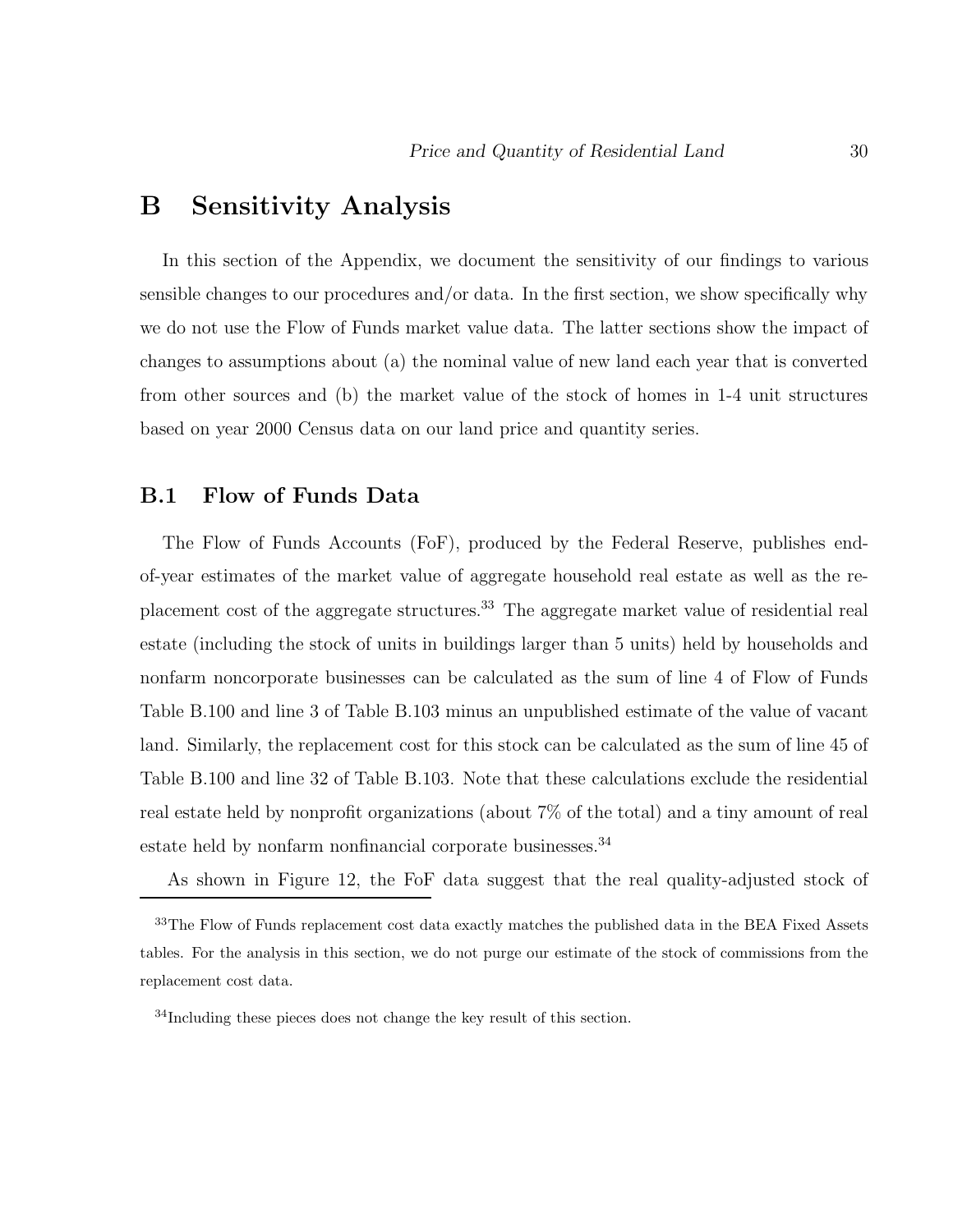## **B Sensitivity Analysis**

In this section of the Appendix, we document the sensitivity of our findings to various sensible changes to our procedures and/or data. In the first section, we show specifically why we do not use the Flow of Funds market value data. The latter sections show the impact of changes to assumptions about (a) the nominal value of new land each year that is converted from other sources and (b) the market value of the stock of homes in 1-4 unit structures based on year 2000 Census data on our land price and quantity series.

### **B.1 Flow of Funds Data**

The Flow of Funds Accounts (FoF), produced by the Federal Reserve, publishes endof-year estimates of the market value of aggregate household real estate as well as the replacement cost of the aggregate structures.<sup>33</sup> The aggregate market value of residential real estate (including the stock of units in buildings larger than 5 units) held by households and nonfarm noncorporate businesses can be calculated as the sum of line 4 of Flow of Funds Table B.100 and line 3 of Table B.103 minus an unpublished estimate of the value of vacant land. Similarly, the replacement cost for this stock can be calculated as the sum of line 45 of Table B.100 and line 32 of Table B.103. Note that these calculations exclude the residential real estate held by nonprofit organizations (about 7% of the total) and a tiny amount of real estate held by nonfarm nonfinancial corporate businesses.<sup>34</sup>

As shown in Figure 12, the FoF data suggest that the real quality-adjusted stock of

<sup>&</sup>lt;sup>33</sup>The Flow of Funds replacement cost data exactly matches the published data in the BEA Fixed Assets tables. For the analysis in this section, we do not purge our estimate of the stock of commissions from the replacement cost data.

<sup>&</sup>lt;sup>34</sup>Including these pieces does not change the key result of this section.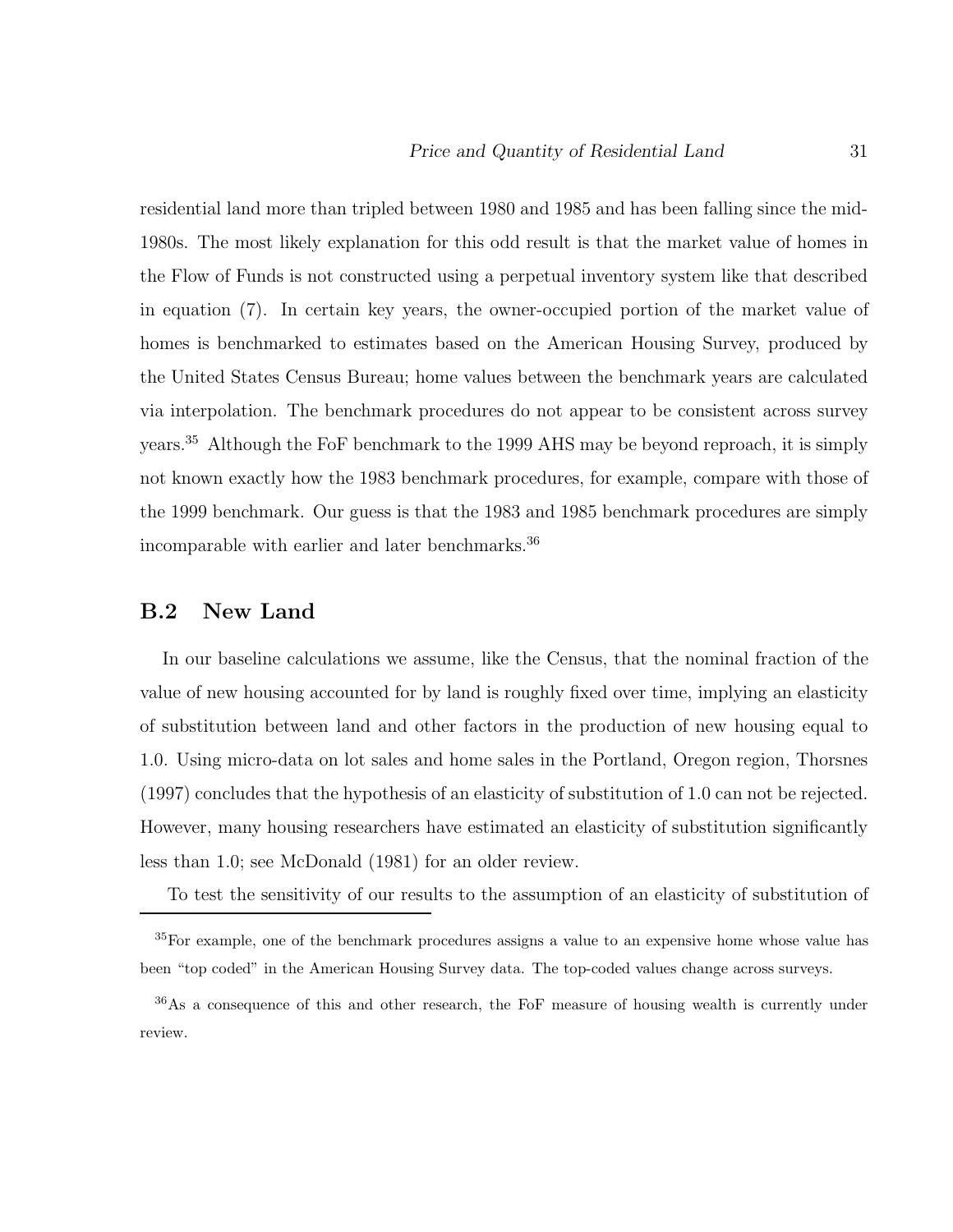residential land more than tripled between 1980 and 1985 and has been falling since the mid-1980s. The most likely explanation for this odd result is that the market value of homes in the Flow of Funds is not constructed using a perpetual inventory system like that described in equation (7). In certain key years, the owner-occupied portion of the market value of homes is benchmarked to estimates based on the American Housing Survey, produced by the United States Census Bureau; home values between the benchmark years are calculated via interpolation. The benchmark procedures do not appear to be consistent across survey years.<sup>35</sup> Although the FoF benchmark to the 1999 AHS may be beyond reproach, it is simply not known exactly how the 1983 benchmark procedures, for example, compare with those of the 1999 benchmark. Our guess is that the 1983 and 1985 benchmark procedures are simply incomparable with earlier and later benchmarks.<sup>36</sup>

### **B.2 New Land**

In our baseline calculations we assume, like the Census, that the nominal fraction of the value of new housing accounted for by land is roughly fixed over time, implying an elasticity of substitution between land and other factors in the production of new housing equal to 1.0. Using micro-data on lot sales and home sales in the Portland, Oregon region, Thorsnes (1997) concludes that the hypothesis of an elasticity of substitution of 1.0 can not be rejected. However, many housing researchers have estimated an elasticity of substitution significantly less than 1.0; see McDonald (1981) for an older review.

To test the sensitivity of our results to the assumption of an elasticity of substitution of

<sup>&</sup>lt;sup>35</sup>For example, one of the benchmark procedures assigns a value to an expensive home whose value has been "top coded" in the American Housing Survey data. The top-coded values change across surveys.

<sup>36</sup>As a consequence of this and other research, the FoF measure of housing wealth is currently under review.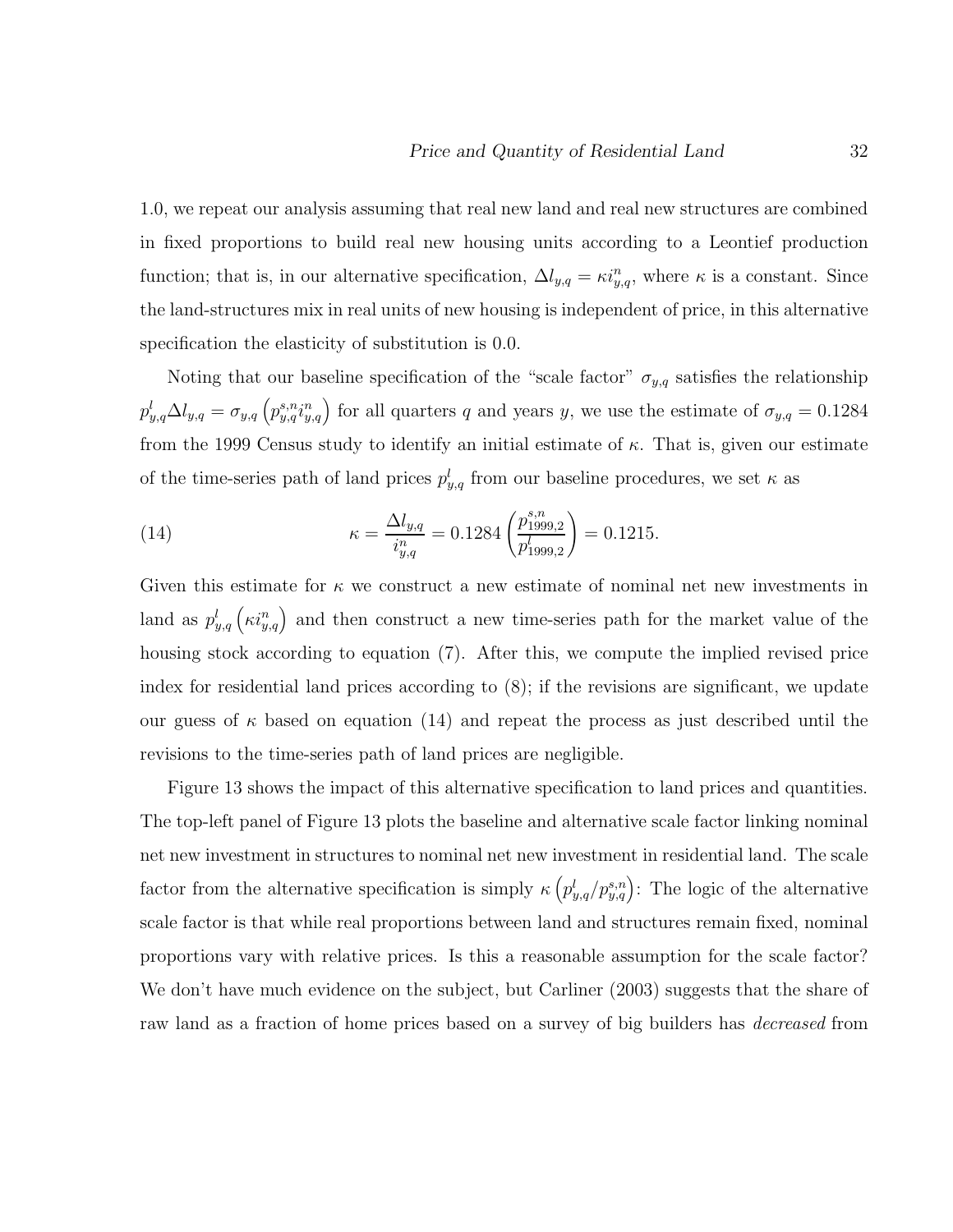1.0, we repeat our analysis assuming that real new land and real new structures are combined in fixed proportions to build real new housing units according to a Leontief production function; that is, in our alternative specification,  $\Delta l_{y,q} = \kappa i_{y,q}^n$ , where  $\kappa$  is a constant. Since the land-structures mix in real units of new housing is independent of price, in this alternative specification the elasticity of substitution is 0.0.

Noting that our baseline specification of the "scale factor"  $\sigma_{y,q}$  satisfies the relationship  $p_{y,q}^l \Delta l_{y,q} = \sigma_{y,q} (p_{y,q}^{s,n} i_{y,q}^n)$  for all quarters q and years y, we use the estimate of  $\sigma_{y,q} = 0.1284$ from the 1999 Census study to identify an initial estimate of  $\kappa$ . That is, given our estimate of the time-series path of land prices  $p_{y,q}^l$  from our baseline procedures, we set  $\kappa$  as

(14) 
$$
\kappa = \frac{\Delta l_{y,q}}{i_{y,q}^n} = 0.1284 \left( \frac{p_{1999,2}^{s,n}}{p_{1999,2}^l} \right) = 0.1215.
$$

Given this estimate for  $\kappa$  we construct a new estimate of nominal net new investments in land as  $p_{y,q}^l(\kappa i_{y,q}^n)$  and then construct a new time-series path for the market value of the housing stock according to equation (7). After this, we compute the implied revised price index for residential land prices according to (8); if the revisions are significant, we update our guess of  $\kappa$  based on equation (14) and repeat the process as just described until the revisions to the time-series path of land prices are negligible.

Figure 13 shows the impact of this alternative specification to land prices and quantities. The top-left panel of Figure 13 plots the baseline and alternative scale factor linking nominal net new investment in structures to nominal net new investment in residential land. The scale factor from the alternative specification is simply  $\kappa \left( p_{y,q}^l / p_{y,q}^{s,n} \right)$ : The logic of the alternative scale factor is that while real proportions between land and structures remain fixed, nominal proportions vary with relative prices. Is this a reasonable assumption for the scale factor? We don't have much evidence on the subject, but Carliner (2003) suggests that the share of raw land as a fraction of home prices based on a survey of big builders has *decreased* from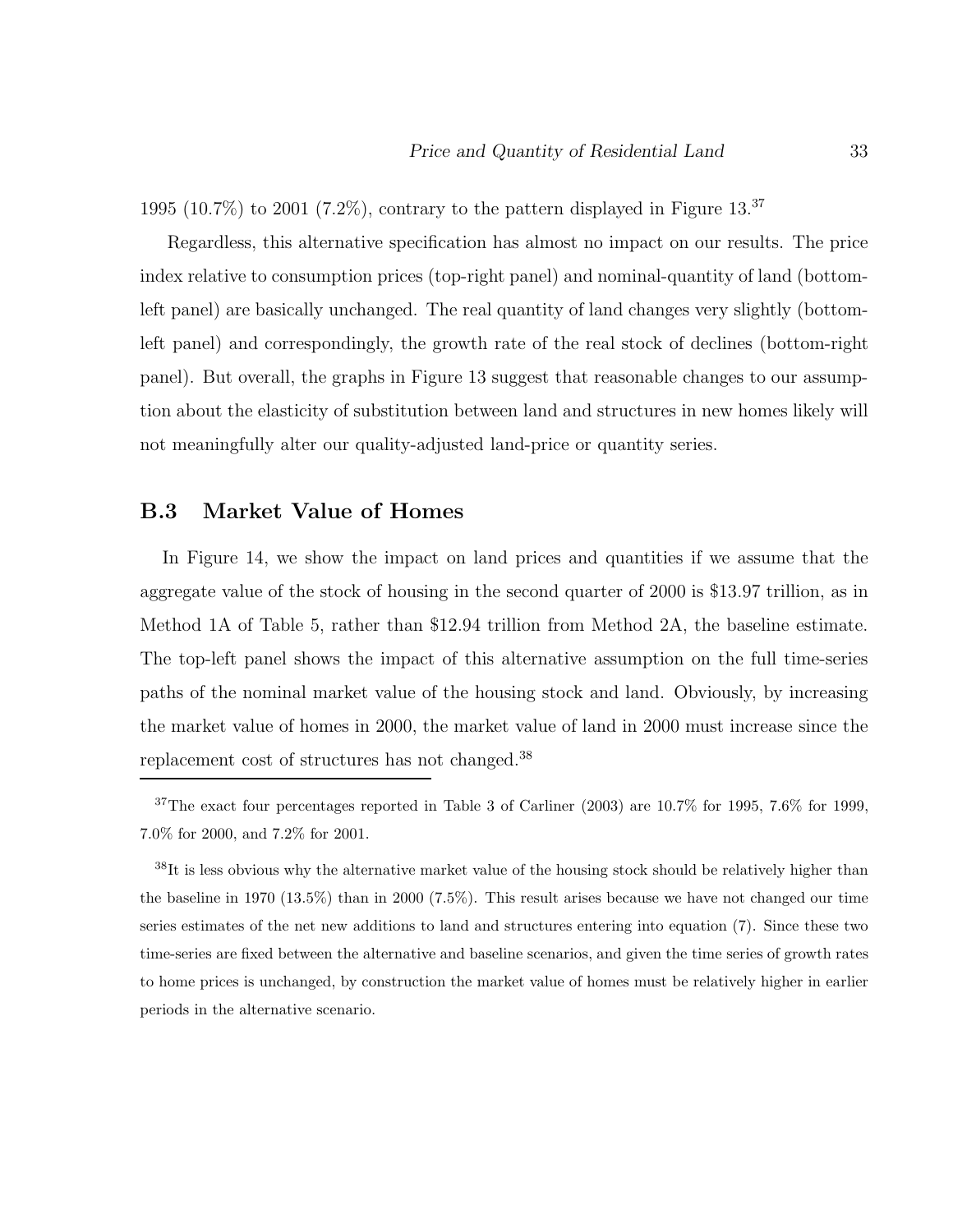1995 (10.7%) to 2001 (7.2%), contrary to the pattern displayed in Figure 13.<sup>37</sup>

Regardless, this alternative specification has almost no impact on our results. The price index relative to consumption prices (top-right panel) and nominal-quantity of land (bottomleft panel) are basically unchanged. The real quantity of land changes very slightly (bottomleft panel) and correspondingly, the growth rate of the real stock of declines (bottom-right panel). But overall, the graphs in Figure 13 suggest that reasonable changes to our assumption about the elasticity of substitution between land and structures in new homes likely will not meaningfully alter our quality-adjusted land-price or quantity series.

### **B.3 Market Value of Homes**

In Figure 14, we show the impact on land prices and quantities if we assume that the aggregate value of the stock of housing in the second quarter of 2000 is \$13.97 trillion, as in Method 1A of Table 5, rather than \$12.94 trillion from Method 2A, the baseline estimate. The top-left panel shows the impact of this alternative assumption on the full time-series paths of the nominal market value of the housing stock and land. Obviously, by increasing the market value of homes in 2000, the market value of land in 2000 must increase since the replacement cost of structures has not changed.<sup>38</sup>

<sup>38</sup>It is less obvious why the alternative market value of the housing stock should be relatively higher than the baseline in 1970 (13.5%) than in 2000 (7.5%). This result arises because we have not changed our time series estimates of the net new additions to land and structures entering into equation (7). Since these two time-series are fixed between the alternative and baseline scenarios, and given the time series of growth rates to home prices is unchanged, by construction the market value of homes must be relatively higher in earlier periods in the alternative scenario.

 $37$ The exact four percentages reported in Table 3 of Carliner (2003) are 10.7% for 1995, 7.6% for 1999, 7.0% for 2000, and 7.2% for 2001.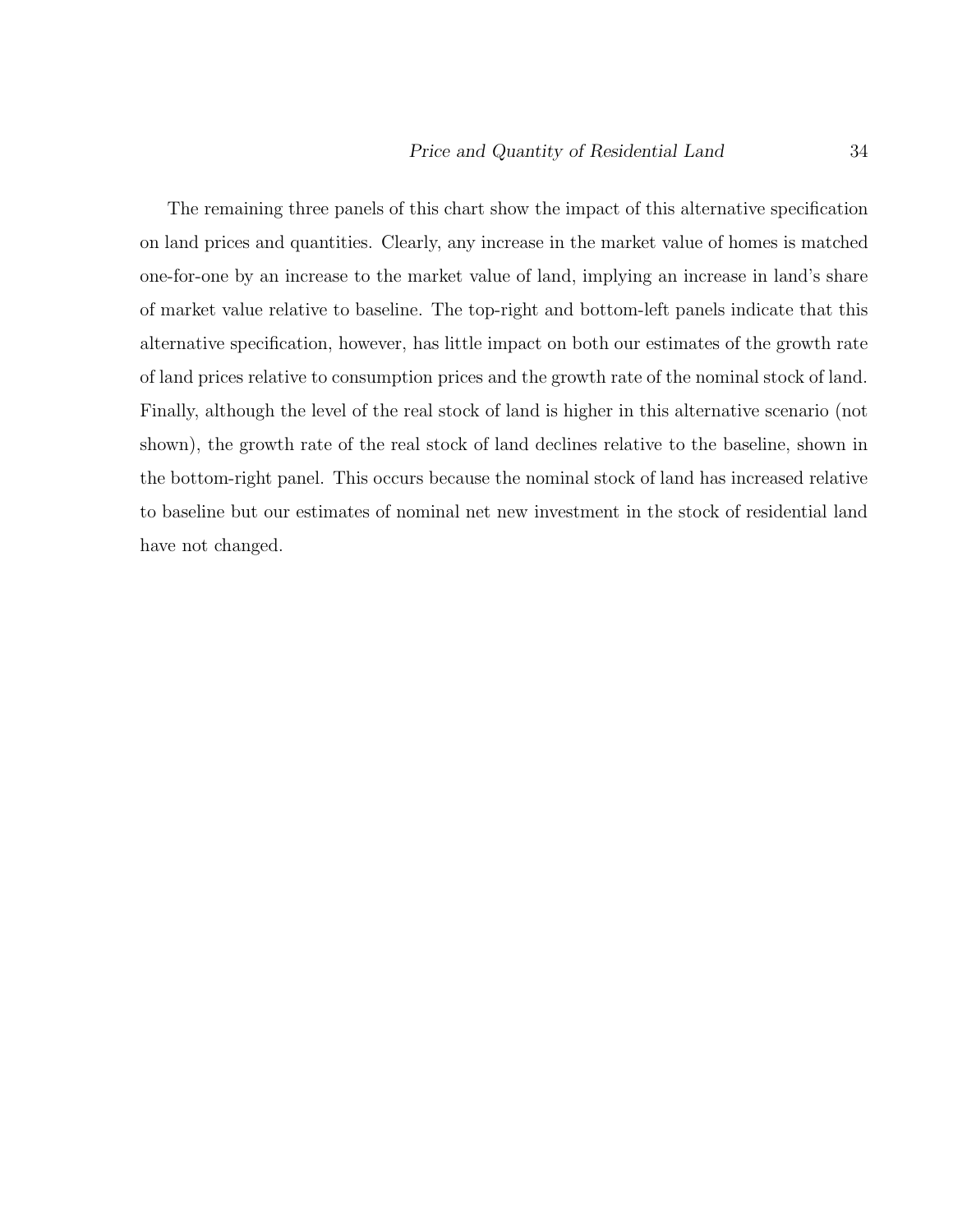The remaining three panels of this chart show the impact of this alternative specification on land prices and quantities. Clearly, any increase in the market value of homes is matched one-for-one by an increase to the market value of land, implying an increase in land's share of market value relative to baseline. The top-right and bottom-left panels indicate that this alternative specification, however, has little impact on both our estimates of the growth rate of land prices relative to consumption prices and the growth rate of the nominal stock of land. Finally, although the level of the real stock of land is higher in this alternative scenario (not shown), the growth rate of the real stock of land declines relative to the baseline, shown in the bottom-right panel. This occurs because the nominal stock of land has increased relative to baseline but our estimates of nominal net new investment in the stock of residential land have not changed.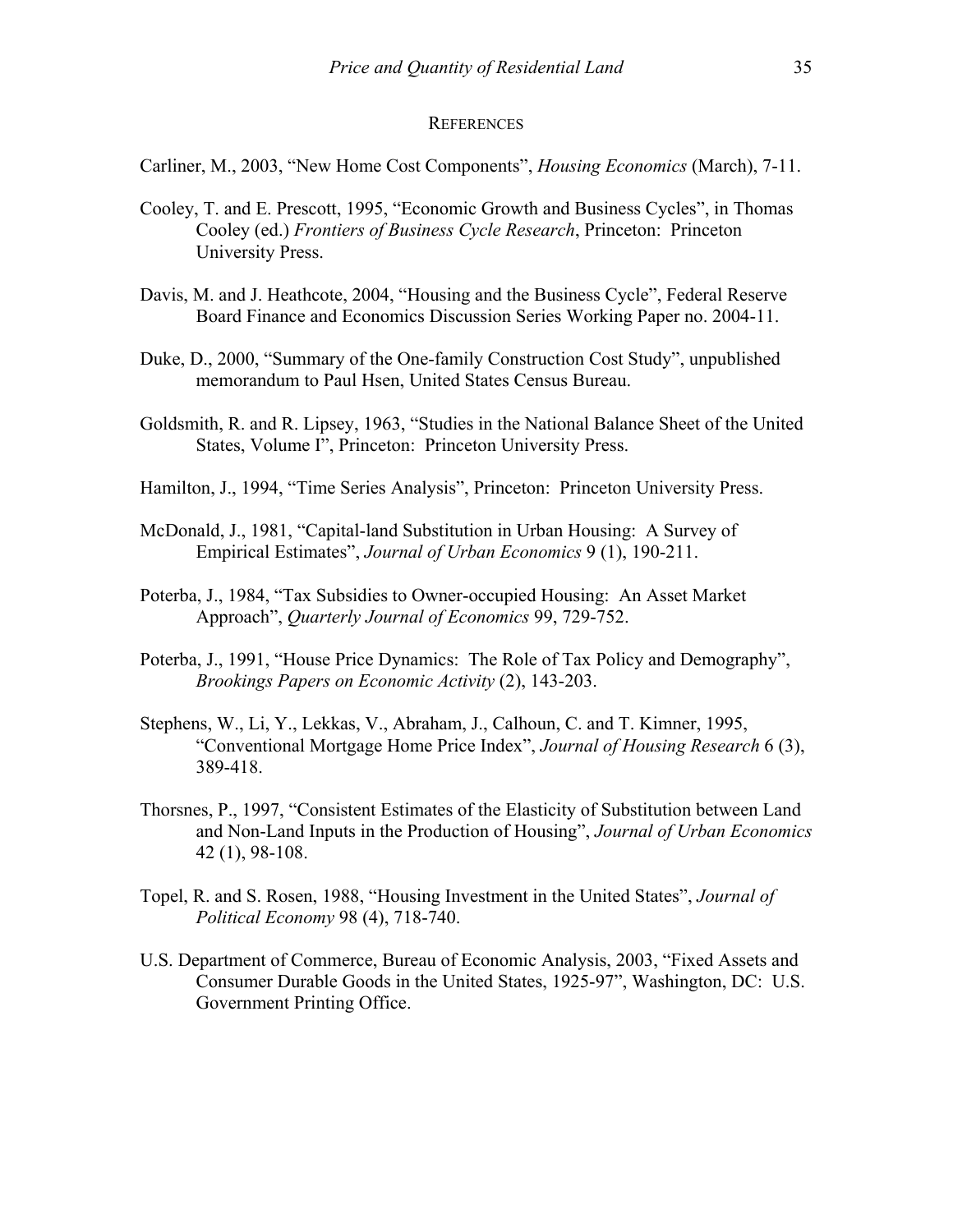#### **REFERENCES**

Carliner, M., 2003, "New Home Cost Components", *Housing Economics* (March), 7-11.

- Cooley, T. and E. Prescott, 1995, "Economic Growth and Business Cycles", in Thomas Cooley (ed.) *Frontiers of Business Cycle Research*, Princeton: Princeton University Press.
- Davis, M. and J. Heathcote, 2004, "Housing and the Business Cycle", Federal Reserve Board Finance and Economics Discussion Series Working Paper no. 2004-11.
- Duke, D., 2000, "Summary of the One-family Construction Cost Study", unpublished memorandum to Paul Hsen, United States Census Bureau.
- Goldsmith, R. and R. Lipsey, 1963, "Studies in the National Balance Sheet of the United States, Volume I", Princeton: Princeton University Press.
- Hamilton, J., 1994, "Time Series Analysis", Princeton: Princeton University Press.
- McDonald, J., 1981, "Capital-land Substitution in Urban Housing: A Survey of Empirical Estimates", *Journal of Urban Economics* 9 (1), 190-211.
- Poterba, J., 1984, "Tax Subsidies to Owner-occupied Housing: An Asset Market Approach", *Quarterly Journal of Economics* 99, 729-752.
- Poterba, J., 1991, "House Price Dynamics: The Role of Tax Policy and Demography", *Brookings Papers on Economic Activity* (2), 143-203.
- Stephens, W., Li, Y., Lekkas, V., Abraham, J., Calhoun, C. and T. Kimner, 1995, "Conventional Mortgage Home Price Index", *Journal of Housing Research* 6 (3), 389-418.
- Thorsnes, P., 1997, "Consistent Estimates of the Elasticity of Substitution between Land and Non-Land Inputs in the Production of Housing", *Journal of Urban Economics*  42 (1), 98-108.
- Topel, R. and S. Rosen, 1988, "Housing Investment in the United States", *Journal of Political Economy* 98 (4), 718-740.
- U.S. Department of Commerce, Bureau of Economic Analysis, 2003, "Fixed Assets and Consumer Durable Goods in the United States, 1925-97", Washington, DC: U.S. Government Printing Office.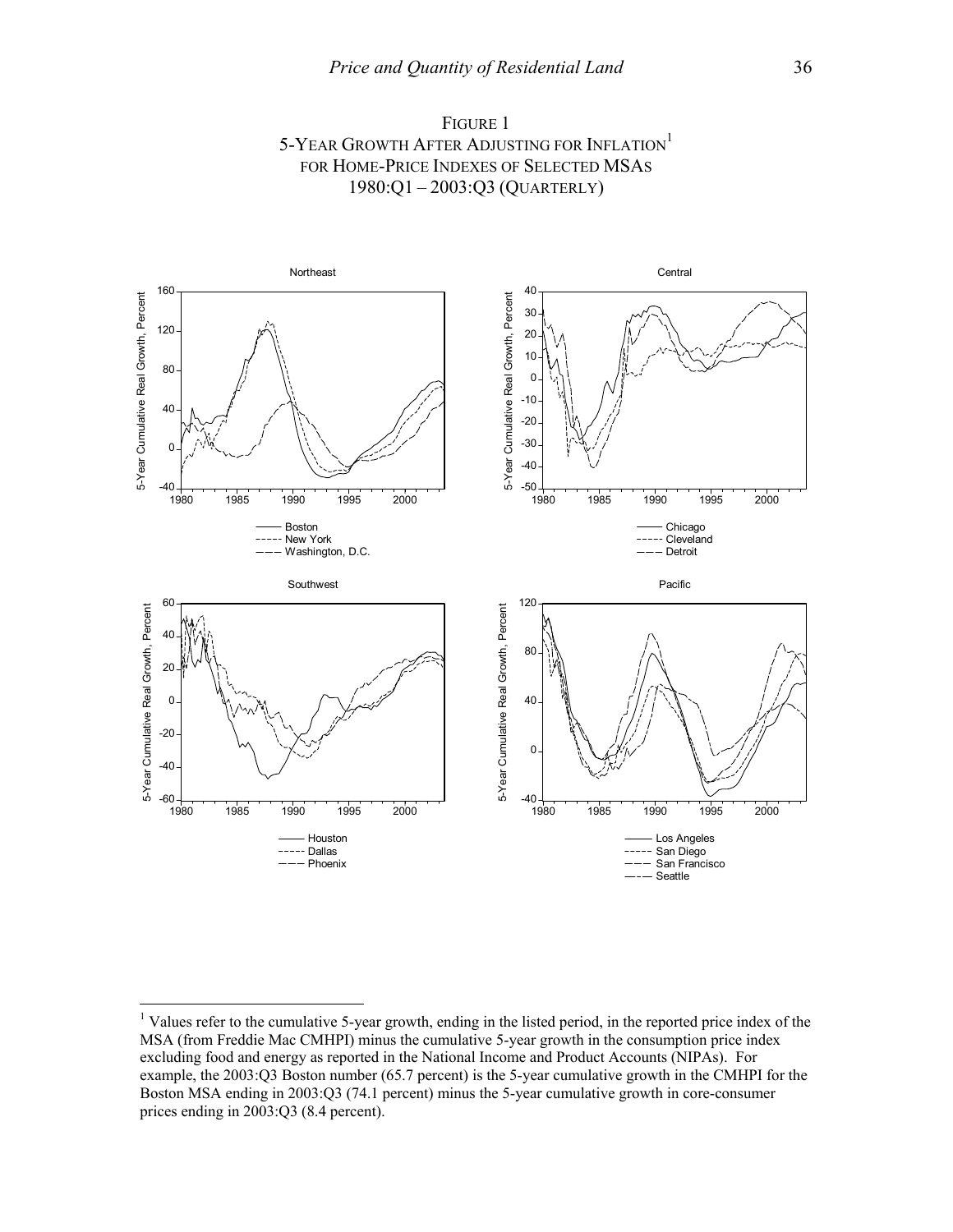



<sup>&</sup>lt;sup>1</sup> Values refer to the cumulative 5-year growth, ending in the listed period, in the reported price index of the MSA (from Freddie Mac CMHPI) minus the cumulative 5-year growth in the consumption price index excluding food and energy as reported in the National Income and Product Accounts (NIPAs). For example, the 2003:Q3 Boston number (65.7 percent) is the 5-year cumulative growth in the CMHPI for the Boston MSA ending in 2003:Q3 (74.1 percent) minus the 5-year cumulative growth in core-consumer prices ending in 2003:Q3 (8.4 percent).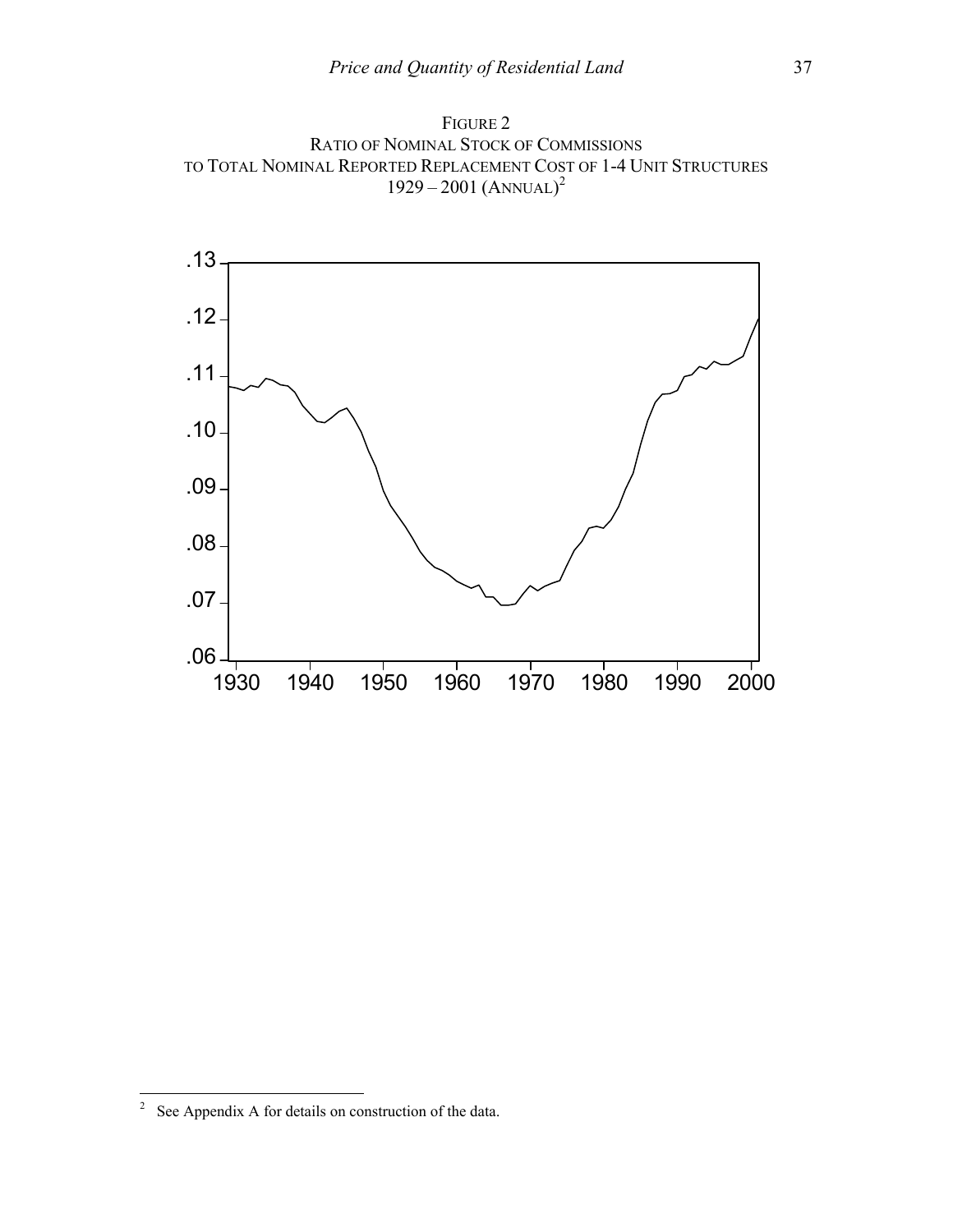



 $\frac{1}{2}$ See Appendix A for details on construction of the data.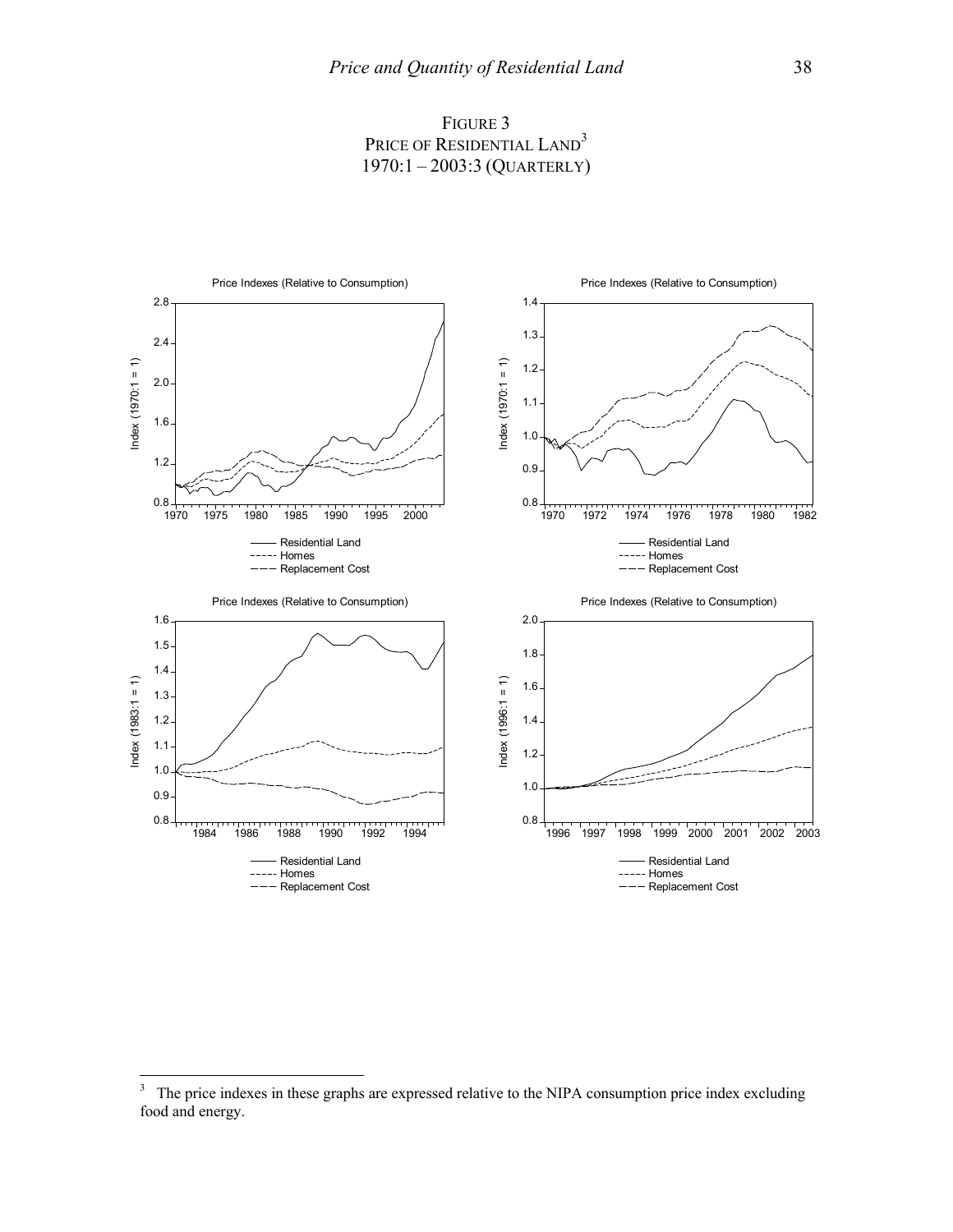



 3 The price indexes in these graphs are expressed relative to the NIPA consumption price index excluding food and energy.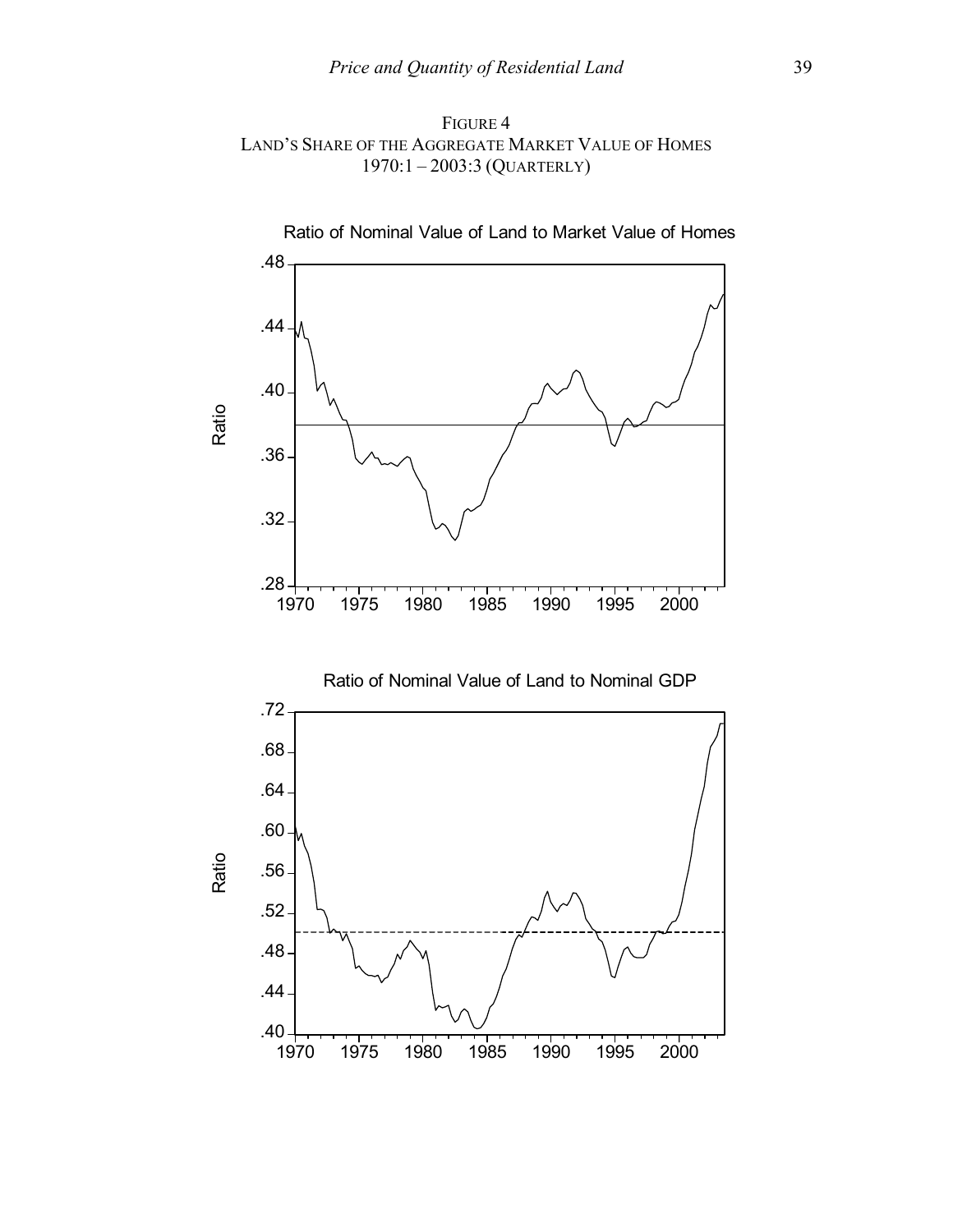FIGURE 4 LAND'S SHARE OF THE AGGREGATE MARKET VALUE OF HOMES 1970:1 – 2003:3 (QUARTERLY)



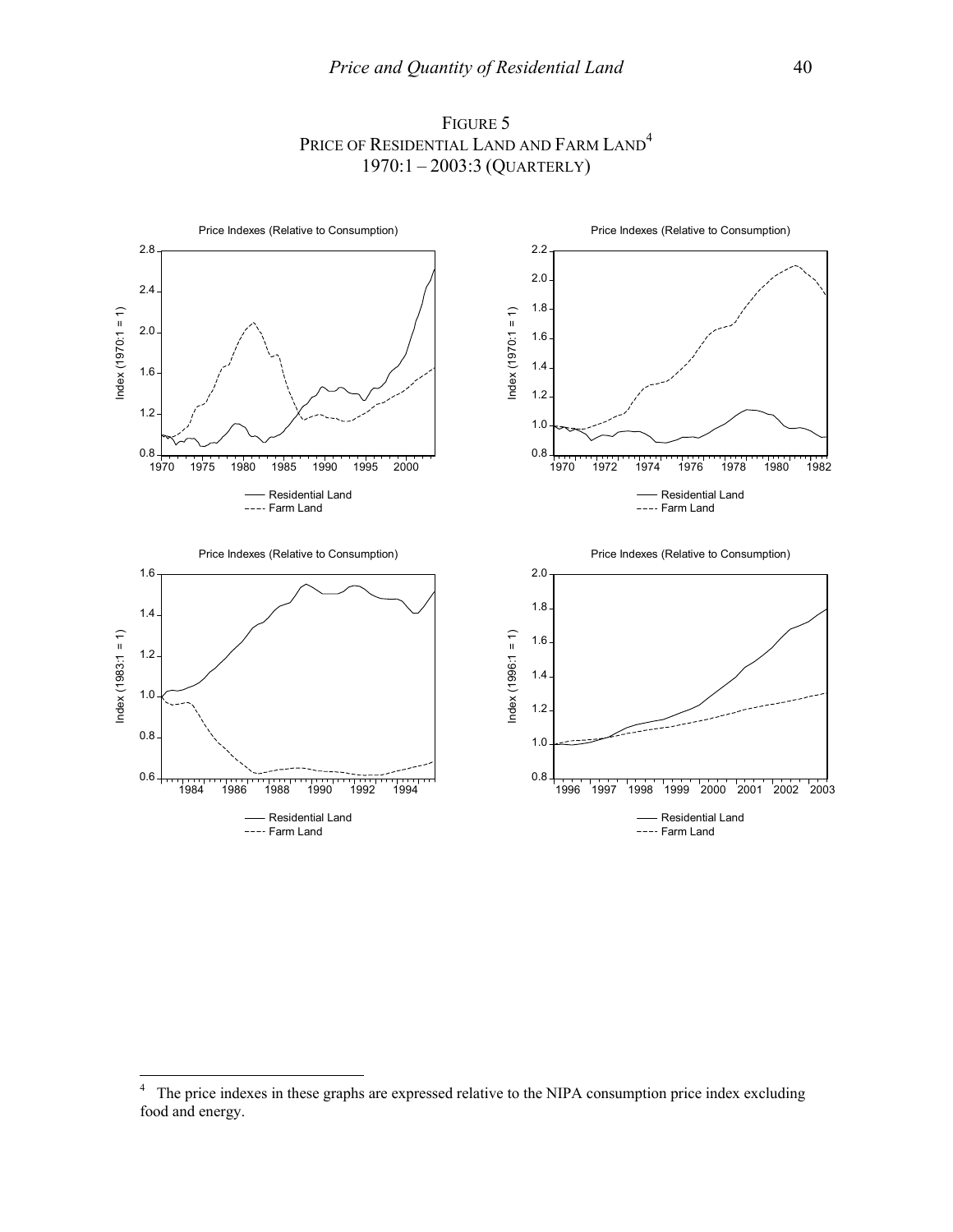

FIGURE 5 PRICE OF RESIDENTIAL LAND AND FARM LAND<sup>4</sup> 1970:1 – 2003:3 (QUARTERLY)

 $\frac{1}{4}$  The price indexes in these graphs are expressed relative to the NIPA consumption price index excluding food and energy.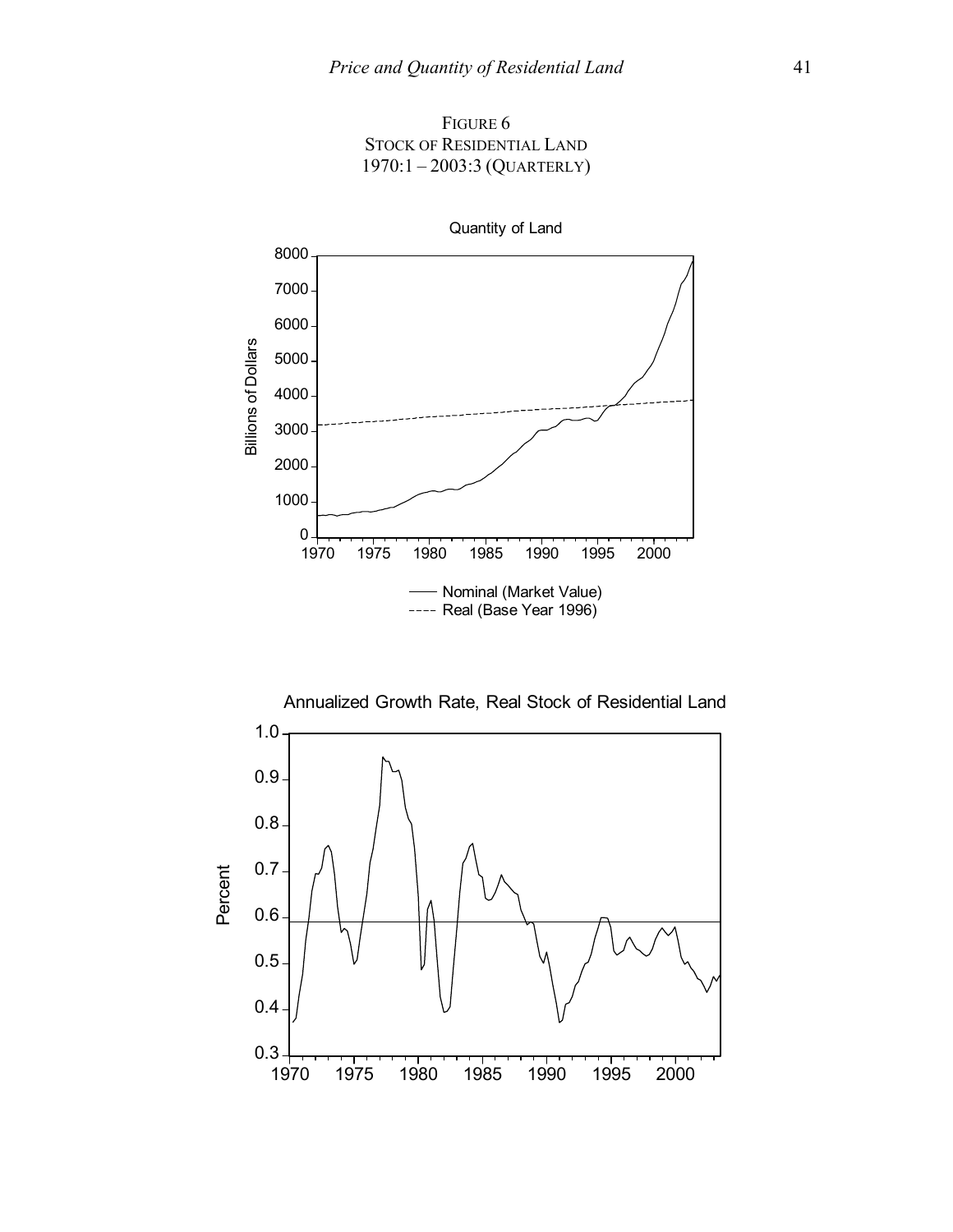



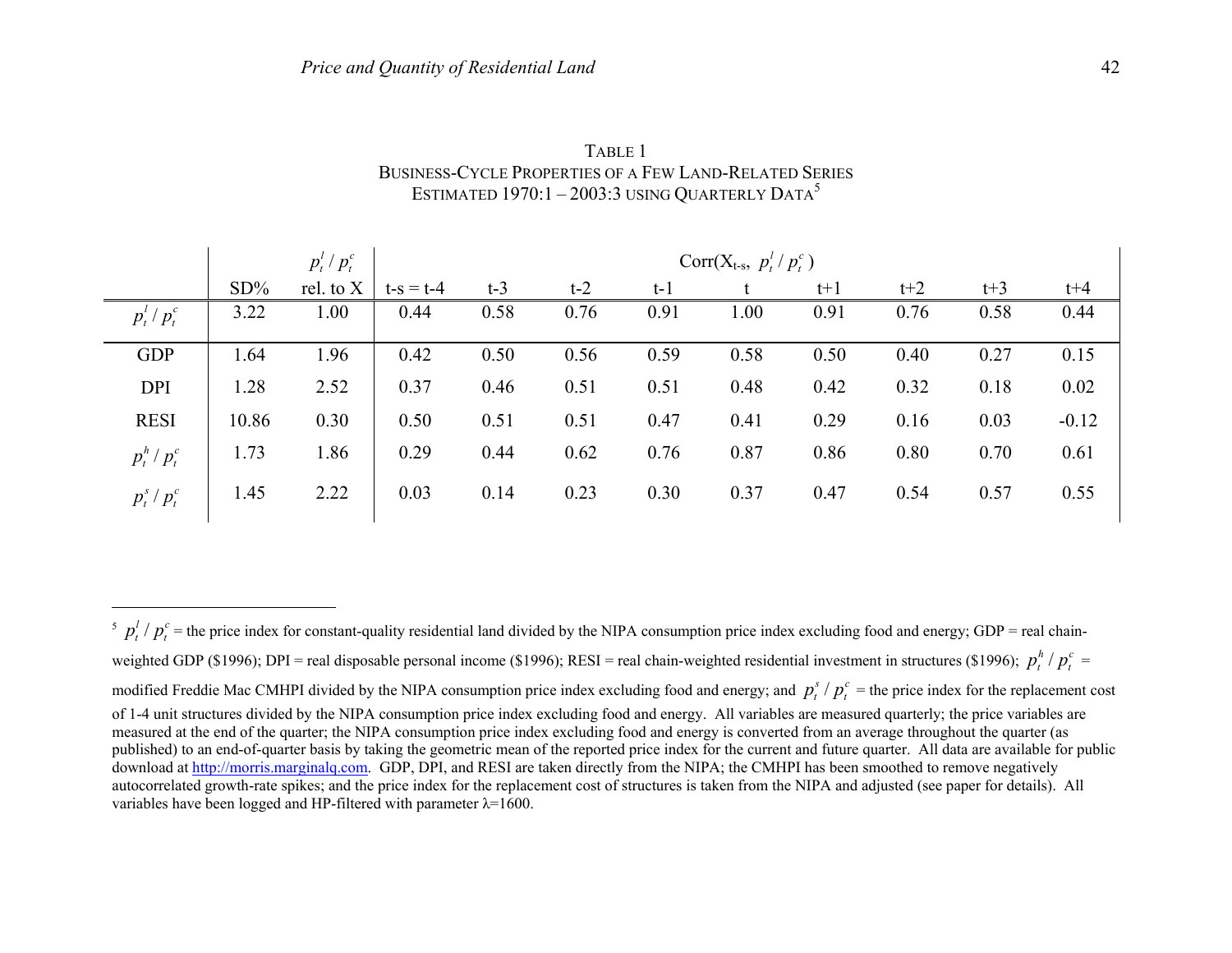|                   | $p_t^l/p_t^c$<br>$Corr(X_{t-s}, p_t'/p_t^c)$ |           |             |       |       |       |      |       |       |       |         |
|-------------------|----------------------------------------------|-----------|-------------|-------|-------|-------|------|-------|-------|-------|---------|
|                   | $SD\%$                                       | rel. to X | $t-s = t-4$ | $t-3$ | $t-2$ | $t-1$ |      | $t+1$ | $t+2$ | $t+3$ | $t + 4$ |
| $p_t^{l}/p_t^{c}$ | 3.22                                         | 1.00      | 0.44        | 0.58  | 0.76  | 0.91  | 1.00 | 0.91  | 0.76  | 0.58  | 0.44    |
| <b>GDP</b>        | 1.64                                         | 1.96      | 0.42        | 0.50  | 0.56  | 0.59  | 0.58 | 0.50  | 0.40  | 0.27  | 0.15    |
| <b>DPI</b>        | 1.28                                         | 2.52      | 0.37        | 0.46  | 0.51  | 0.51  | 0.48 | 0.42  | 0.32  | 0.18  | 0.02    |
| <b>RESI</b>       | 10.86                                        | 0.30      | 0.50        | 0.51  | 0.51  | 0.47  | 0.41 | 0.29  | 0.16  | 0.03  | $-0.12$ |
| $p_t^h / p_t^c$   | 1.73                                         | 1.86      | 0.29        | 0.44  | 0.62  | 0.76  | 0.87 | 0.86  | 0.80  | 0.70  | 0.61    |
| $p_t^s/p_t^c$     | 1.45                                         | 2.22      | 0.03        | 0.14  | 0.23  | 0.30  | 0.37 | 0.47  | 0.54  | 0.57  | 0.55    |

TABLE 1 BUSINESS-CYCLE PROPERTIES OF A FEW LAND-RELATED SERIES ESTIMATED 1970:1 – 2003:3 USING QUARTERLY DATA<sup>5</sup>

 $\frac{f}{f}$   $\frac{f}{f}$   $\frac{f}{f}$   $\frac{f}{f}$  = the price index for constant-quality residential land divided by the NIPA consumption price index excluding food and energy; GDP = real chainweighted GDP (\$1996); DPI = real disposable personal income (\$1996); RESI = real chain-weighted residential investment in structures (\$1996);  $p_t^h / p_t^c$  = modified Freddie Mac CMHPI divided by the NIPA consumption price index excluding food and energy; and  $p_t^s / p_t^c$  = the price index for the replacement cost of 1-4 unit structures divided by the NIPA consumption price index excluding food and energy. All variables are measured quarterly; the price variables are measured at the end of the quarter; the NIPA consumption price index excluding food and energy is converted from an average throughout the quarter (as published) to an end-of-quarter basis by taking the geometric mean of the reported price index for the current and future quarter. All data are available for public download at http://morris.marginalq.com. GDP, DPI, and RESI are taken directly from the NIPA; the CMHPI has been smoothed to remove negatively autocorrelated growth-rate spikes; and the price index for the replacement cost of structures is taken from the NIPA and adjusted (see paper for details). All variables have been logged and HP-filtered with parameter  $\lambda$ =1600.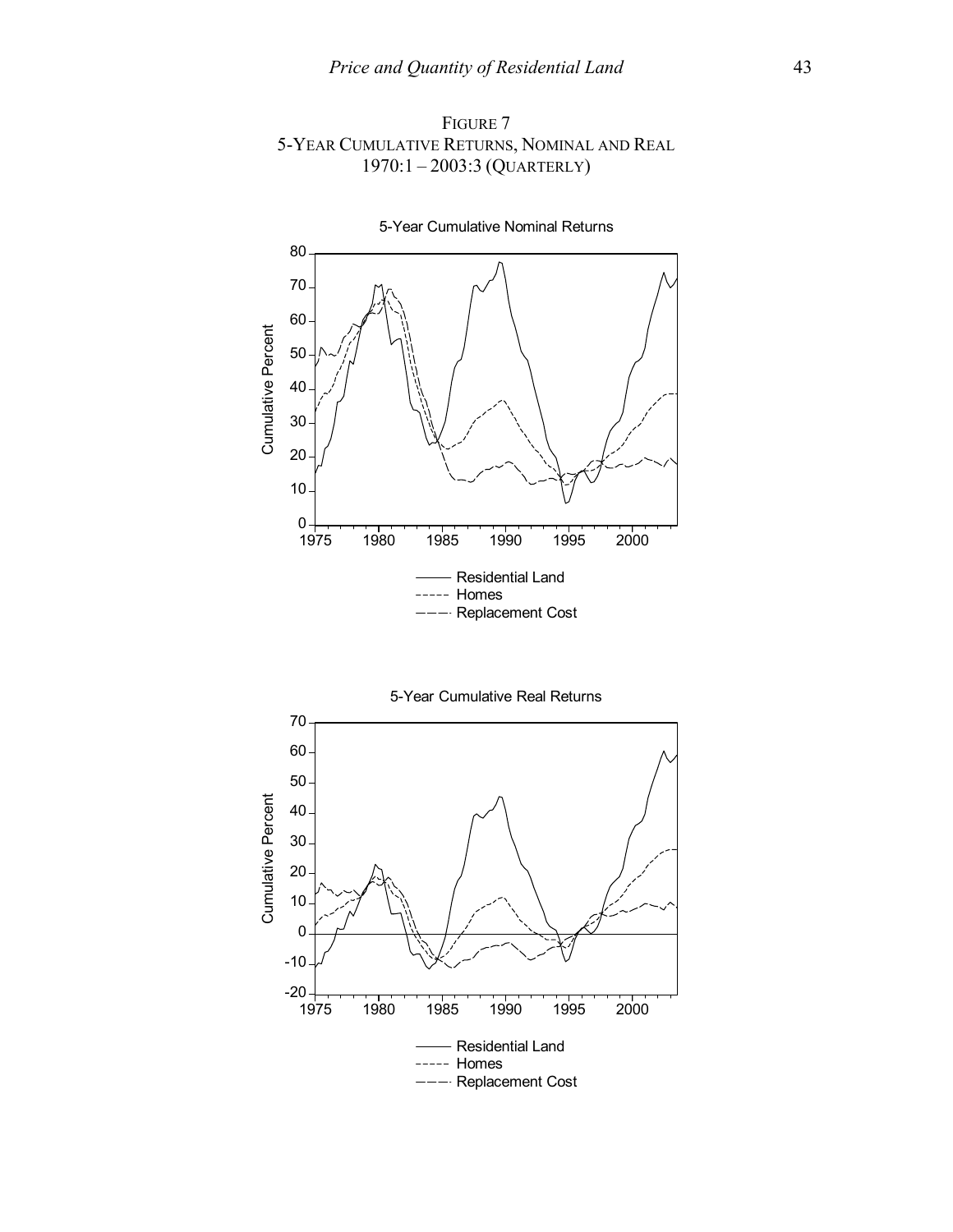



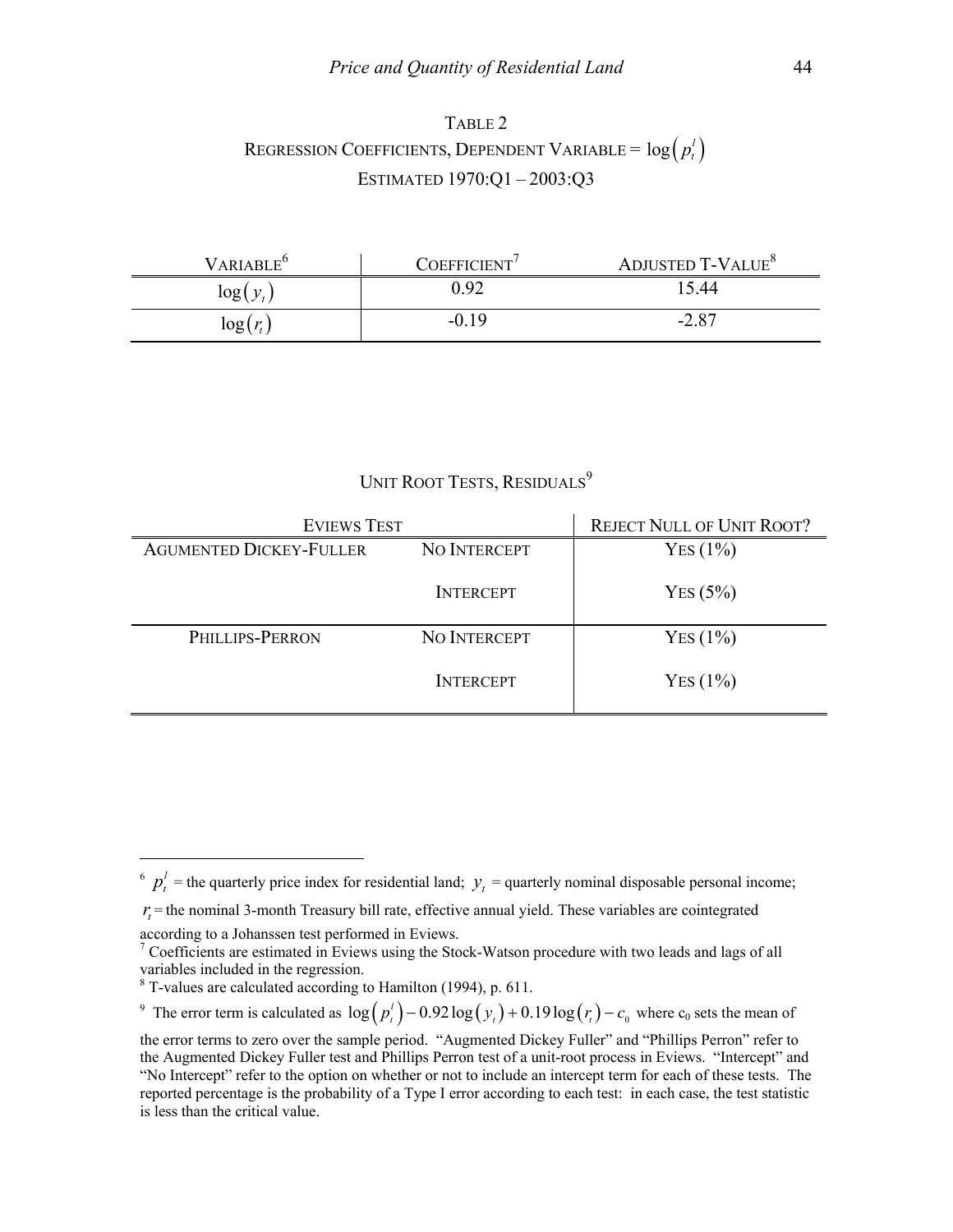## TABLE 2 REGRESSION COEFFICIENTS, DEPENDENT VARIABLE =  $\log \left( p_t^l \right)$ ESTIMATED 1970:Q1 – 2003:Q3

| VARIABLE <sup>6</sup> | COEFFICIENT' | ADJUSTED T-VALUE <sup>8</sup> |
|-----------------------|--------------|-------------------------------|
| log(y)                | 0.92         | 15.44                         |
| log(r)                | $-0.19$      | $-2.87$                       |

## UNIT ROOT TESTS, RESIDUALS<sup>9</sup>

| <b>EVIEWS TEST</b>             | <b>REJECT NULL OF UNIT ROOT?</b> |            |  |  |
|--------------------------------|----------------------------------|------------|--|--|
| <b>AGUMENTED DICKEY-FULLER</b> | NO INTERCEPT                     | $Yes(1\%)$ |  |  |
|                                | <b>INTERCEPT</b>                 | YES(5%)    |  |  |
| PHILLIPS-PERRON                | <b>NO INTERCEPT</b>              | YES(1%)    |  |  |
|                                | <b>INTERCEPT</b>                 | $Yes(1\%)$ |  |  |

according to a Johanssen test performed in Eviews.

 $\overline{a}$ 

<sup>9</sup> The error term is calculated as  $\log(p_i^t) - 0.92 \log(y_i) + 0.19 \log(r_i) - c_0$  where  $c_0$  sets the mean of

 $\sigma$   $p_t^l$  = the quarterly price index for residential land;  $y_t$  = quarterly nominal disposable personal income;

 $r<sub>r</sub>$  = the nominal 3-month Treasury bill rate, effective annual yield. These variables are cointegrated

<sup>&</sup>lt;sup>7</sup> Coefficients are estimated in Eviews using the Stock-Watson procedure with two leads and lags of all variables included in the regression.

<sup>8</sup> T-values are calculated according to Hamilton (1994), p. 611.

the error terms to zero over the sample period. "Augmented Dickey Fuller" and "Phillips Perron" refer to the Augmented Dickey Fuller test and Phillips Perron test of a unit-root process in Eviews. "Intercept" and "No Intercept" refer to the option on whether or not to include an intercept term for each of these tests. The reported percentage is the probability of a Type I error according to each test: in each case, the test statistic is less than the critical value.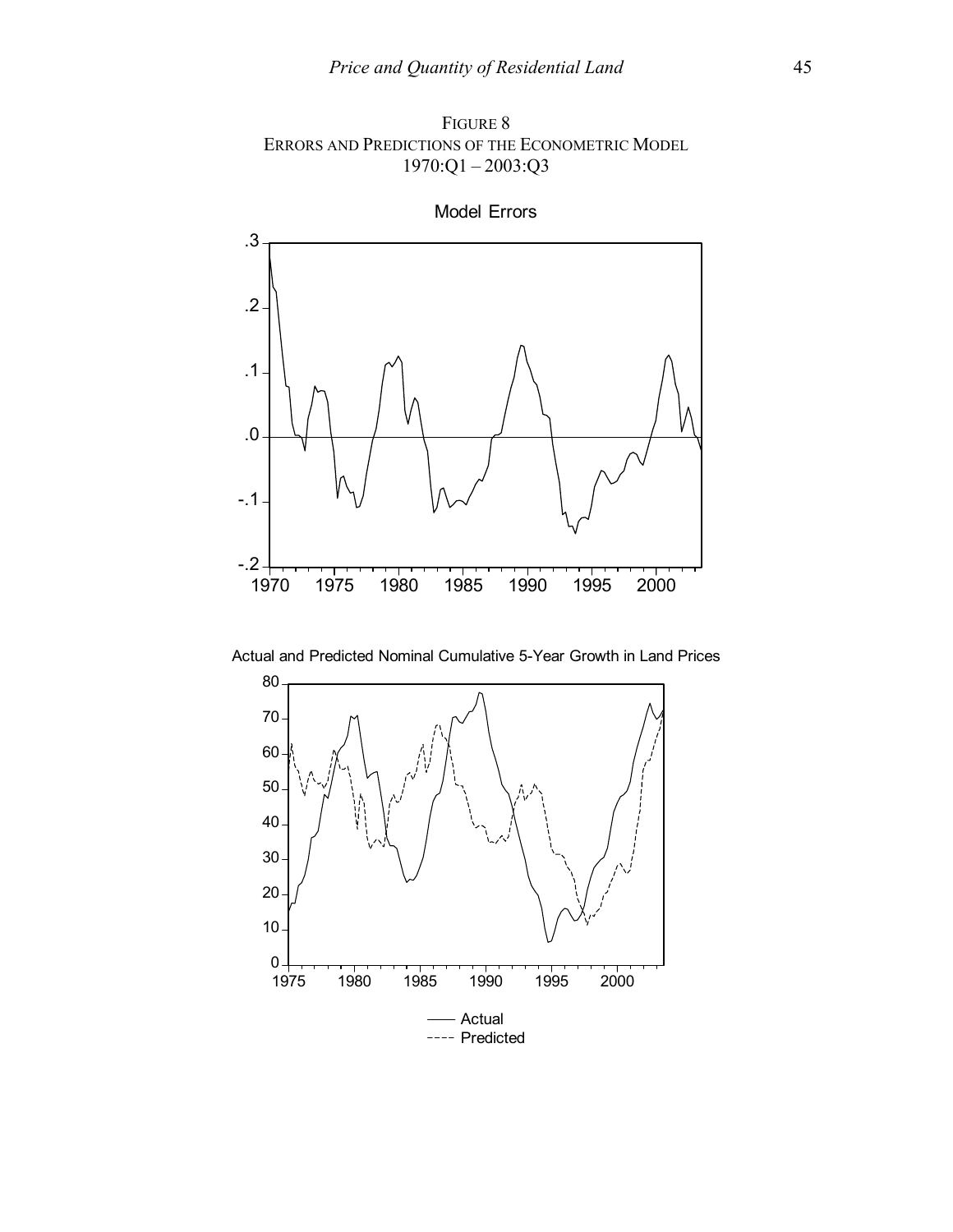FIGURE 8 ERRORS AND PREDICTIONS OF THE ECONOMETRIC MODEL 1970:Q1 – 2003:Q3



Model Errors

Actual and Predicted Nominal Cumulative 5-Year Growth in Land Prices

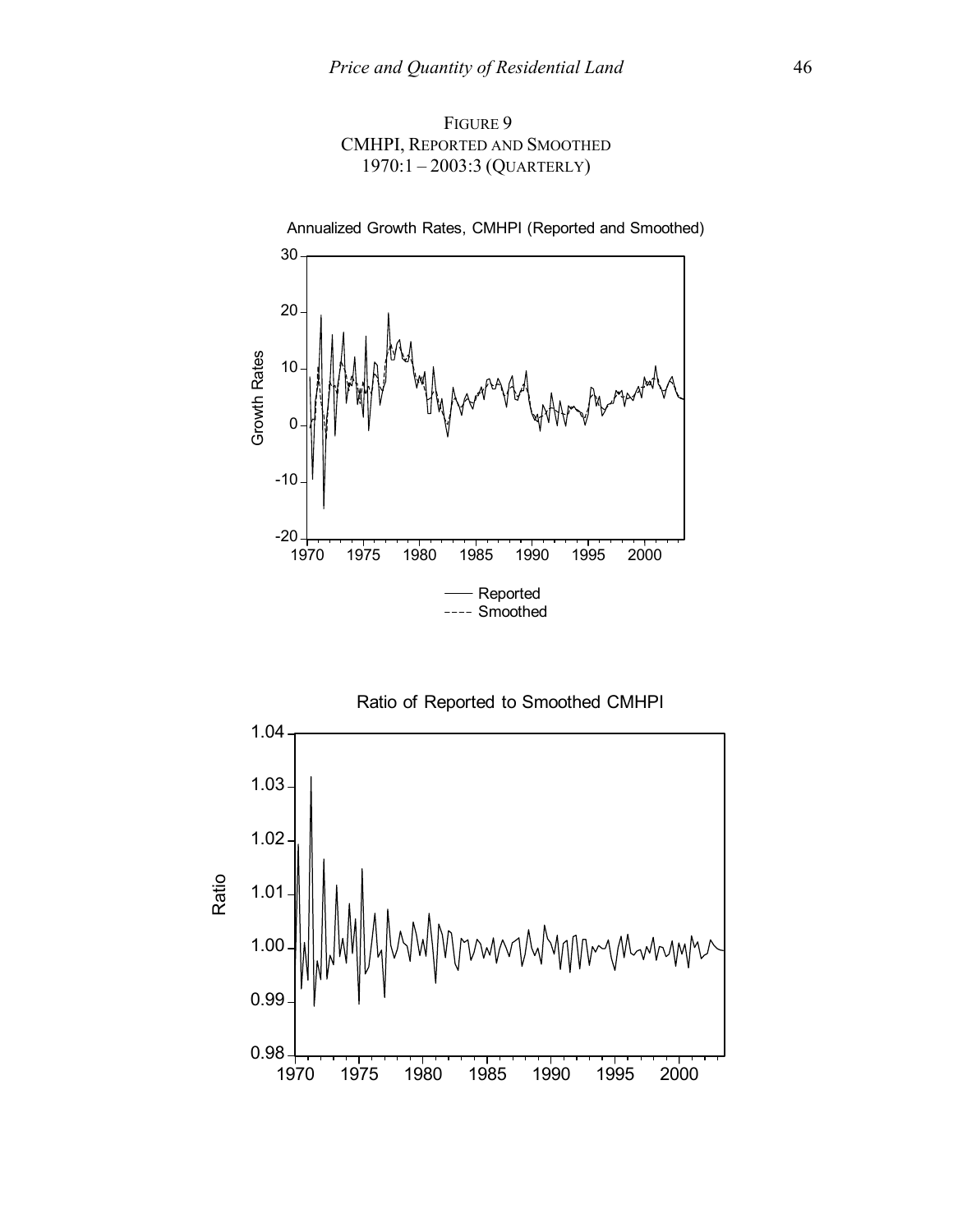



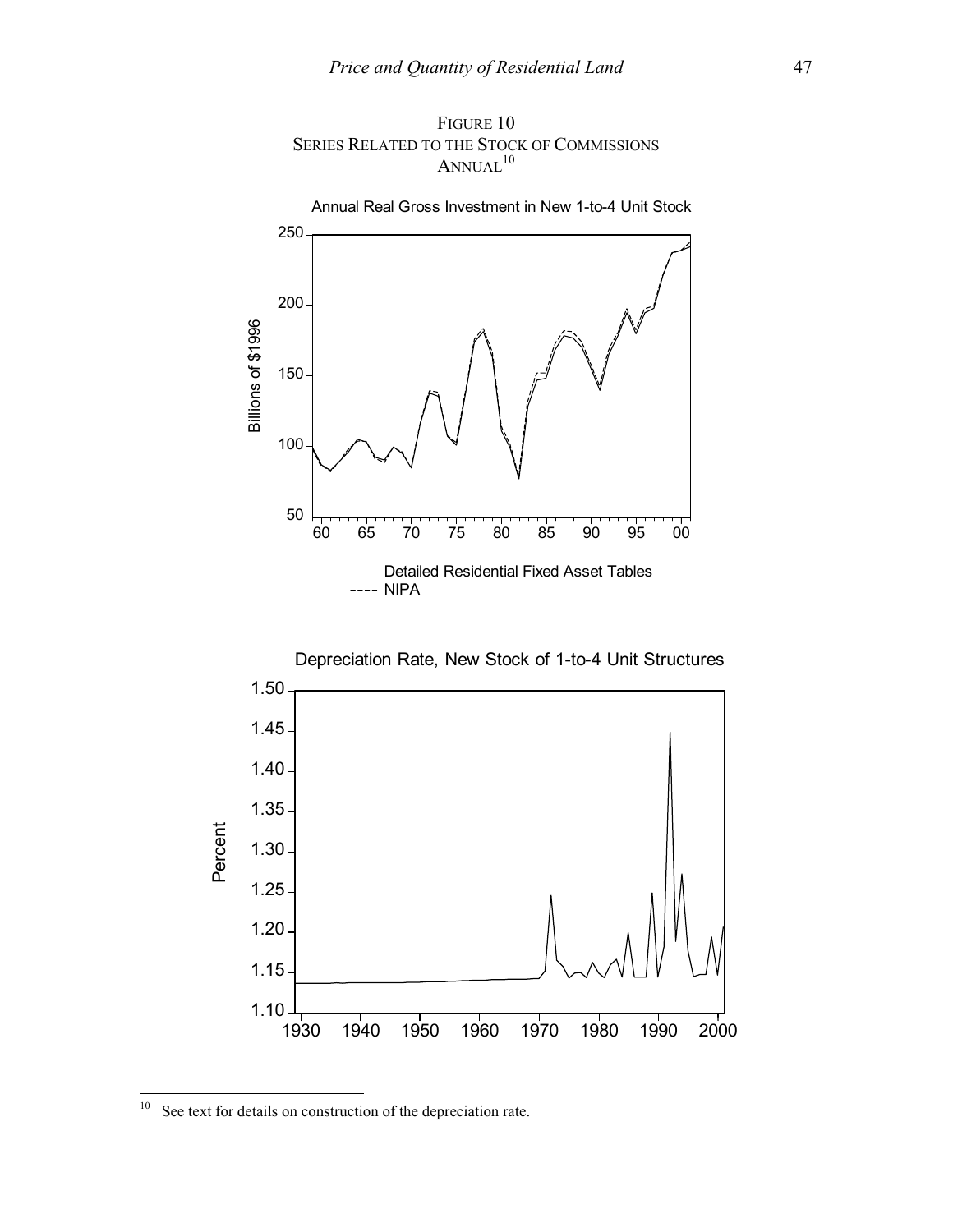





 $10\,$ See text for details on construction of the depreciation rate.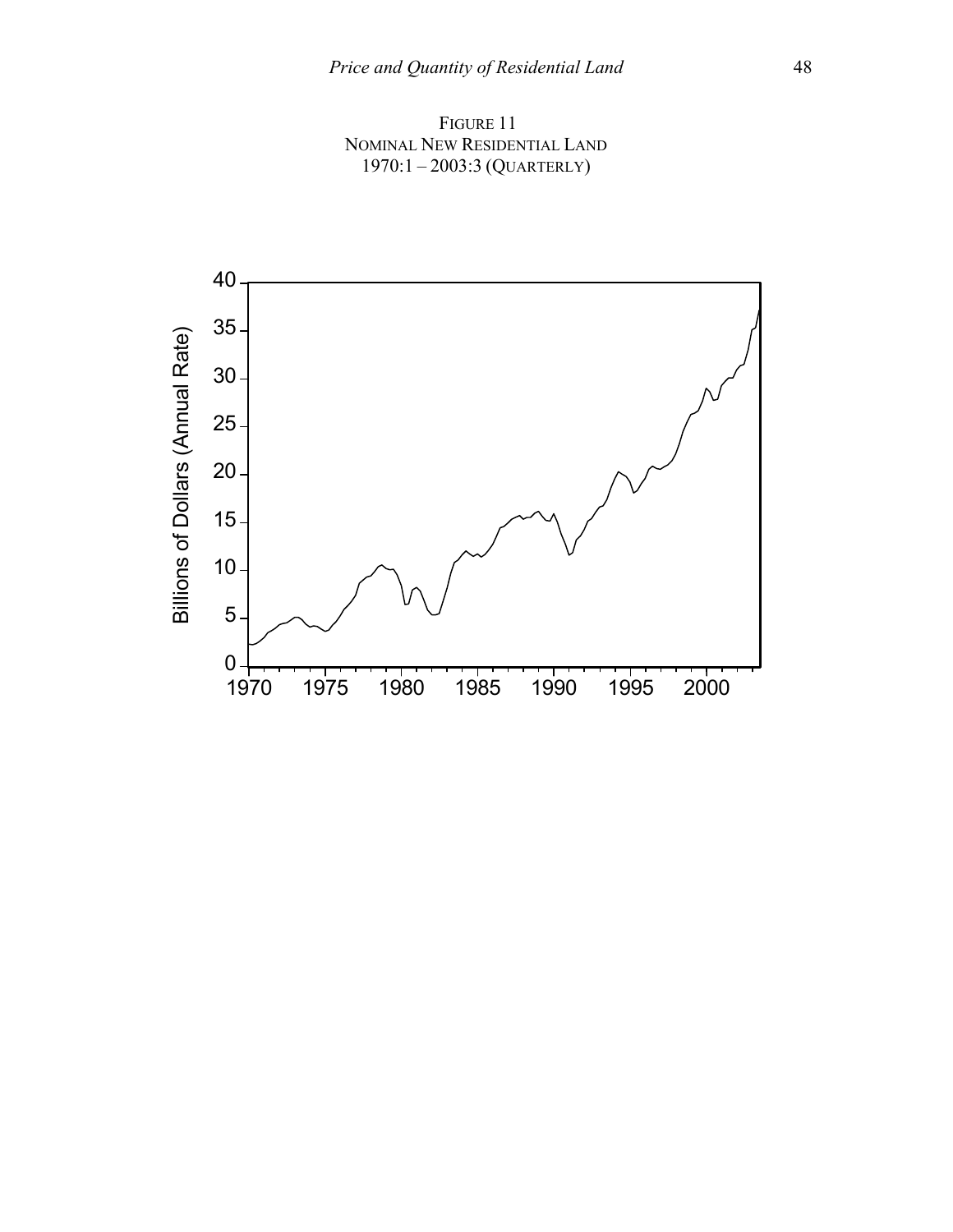FIGURE 11 NOMINAL NEW RESIDENTIAL LAND 1970:1 – 2003:3 (QUARTERLY)

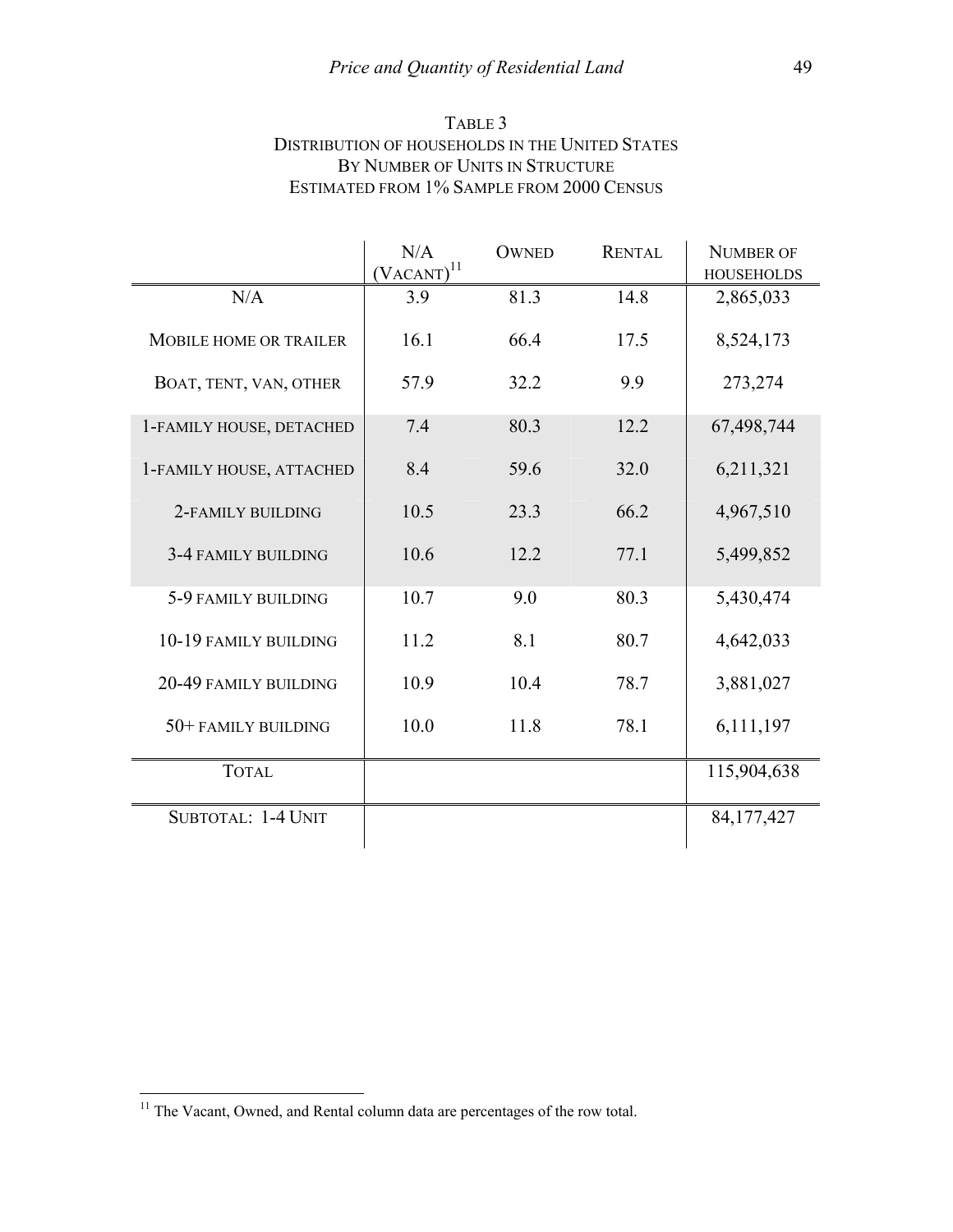| TABLE 3                                                |
|--------------------------------------------------------|
| <b>DISTRIBUTION OF HOUSEHOLDS IN THE UNITED STATES</b> |
| BY NUMBER OF UNITS IN STRUCTURE                        |
| ESTIMATED FROM 1% SAMPLE FROM 2000 CENSUS              |

|                          | N/A<br>$(VACANT)^{11}$ | <b>OWNED</b> | <b>RENTAL</b> | <b>NUMBER OF</b><br><b>HOUSEHOLDS</b> |
|--------------------------|------------------------|--------------|---------------|---------------------------------------|
| N/A                      | 3.9                    | 81.3         | 14.8          | 2,865,033                             |
| MOBILE HOME OR TRAILER   | 16.1                   | 66.4         | 17.5          | 8,524,173                             |
| BOAT, TENT, VAN, OTHER   | 57.9                   | 32.2         | 9.9           | 273,274                               |
| 1-FAMILY HOUSE, DETACHED | 7.4                    | 80.3         | 12.2          | 67,498,744                            |
| 1-FAMILY HOUSE, ATTACHED | 8.4                    | 59.6         | 32.0          | 6,211,321                             |
| 2-FAMILY BUILDING        | 10.5                   | 23.3         | 66.2          | 4,967,510                             |
| 3-4 FAMILY BUILDING      | 10.6                   | 12.2         | 77.1          | 5,499,852                             |
| 5-9 FAMILY BUILDING      | 10.7                   | 9.0          | 80.3          | 5,430,474                             |
| 10-19 FAMILY BUILDING    | 11.2                   | 8.1          | 80.7          | 4,642,033                             |
| 20-49 FAMILY BUILDING    | 10.9                   | 10.4         | 78.7          | 3,881,027                             |
| 50+ FAMILY BUILDING      | 10.0                   | 11.8         | 78.1          | 6,111,197                             |
| <b>TOTAL</b>             |                        |              |               | 115,904,638                           |
| SUBTOTAL: 1-4 UNIT       |                        |              |               | 84, 177, 427                          |

 $11$  The Vacant, Owned, and Rental column data are percentages of the row total.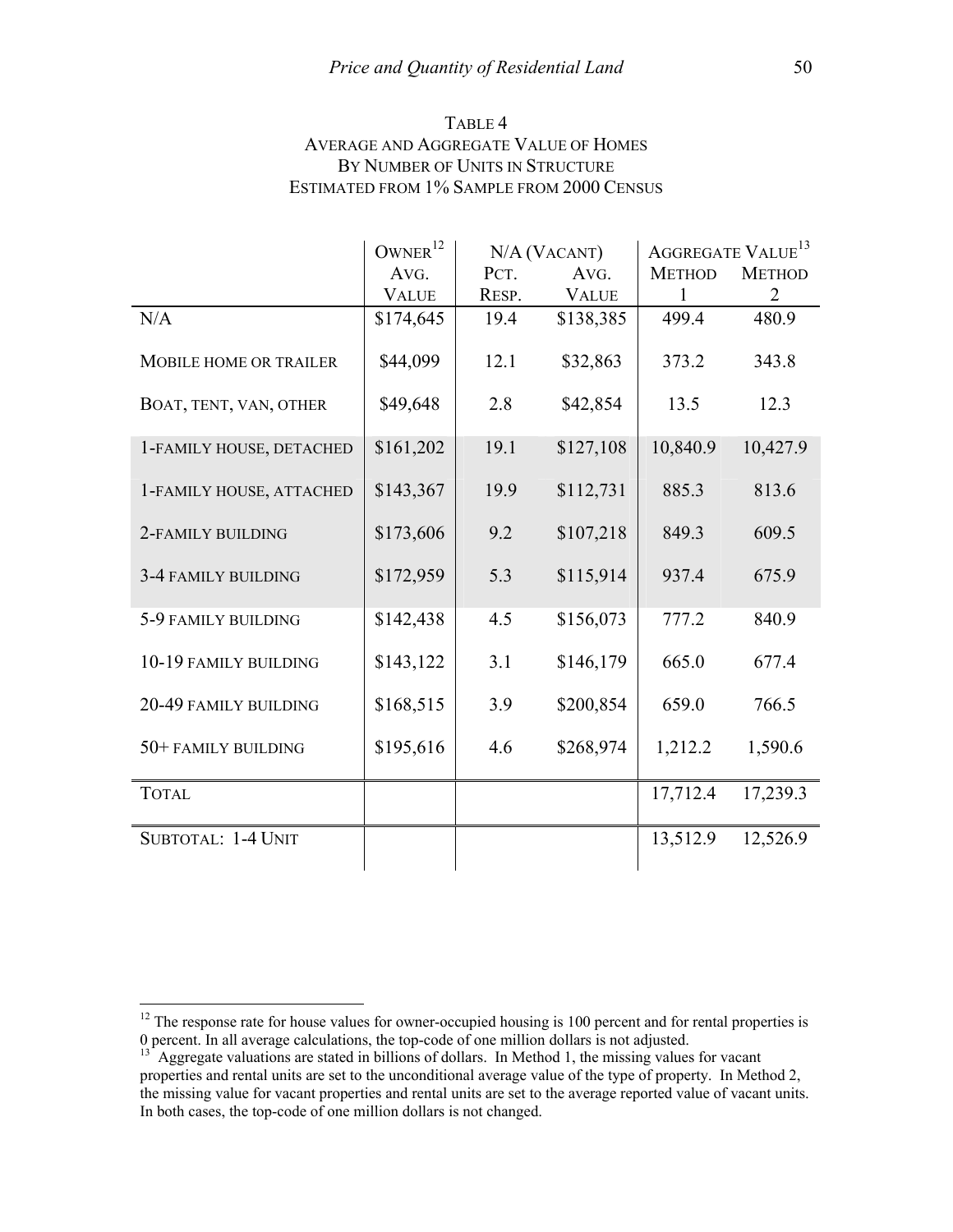| TABLE 4                                     |
|---------------------------------------------|
| <b>AVERAGE AND AGGREGATE VALUE OF HOMES</b> |
| BY NUMBER OF UNITS IN STRUCTURE             |
| ESTIMATED FROM 1% SAMPLE FROM 2000 CENSUS   |

|                          | OWNER <sup>12</sup> |       | N/A (VACANT) | AGGREGATE VALUE <sup>13</sup> |                |
|--------------------------|---------------------|-------|--------------|-------------------------------|----------------|
|                          | AVG.                | PCT.  | AVG.         | <b>METHOD</b>                 | <b>METHOD</b>  |
|                          | <b>VALUE</b>        | RESP. | <b>VALUE</b> | $\mathbf{1}$                  | $\overline{2}$ |
| N/A                      | \$174,645           | 19.4  | \$138,385    | 499.4                         | 480.9          |
| MOBILE HOME OR TRAILER   | \$44,099            | 12.1  | \$32,863     | 373.2                         | 343.8          |
| BOAT, TENT, VAN, OTHER   | \$49,648            | 2.8   | \$42,854     | 13.5                          | 12.3           |
| 1-FAMILY HOUSE, DETACHED | \$161,202           | 19.1  | \$127,108    | 10,840.9                      | 10,427.9       |
| 1-FAMILY HOUSE, ATTACHED | \$143,367           | 19.9  | \$112,731    | 885.3                         | 813.6          |
| 2-FAMILY BUILDING        | \$173,606           | 9.2   | \$107,218    | 849.3                         | 609.5          |
| 3-4 FAMILY BUILDING      | \$172,959           | 5.3   | \$115,914    | 937.4                         | 675.9          |
| 5-9 FAMILY BUILDING      | \$142,438           | 4.5   | \$156,073    | 777.2                         | 840.9          |
| 10-19 FAMILY BUILDING    | \$143,122           | 3.1   | \$146,179    | 665.0                         | 677.4          |
| 20-49 FAMILY BUILDING    | \$168,515           | 3.9   | \$200,854    | 659.0                         | 766.5          |
| 50+ FAMILY BUILDING      | \$195,616           | 4.6   | \$268,974    | 1,212.2                       | 1,590.6        |
| <b>TOTAL</b>             |                     |       |              | 17,712.4                      | 17,239.3       |
| SUBTOTAL: 1-4 UNIT       |                     |       |              | 13,512.9                      | 12,526.9       |

 $12$  The response rate for house values for owner-occupied housing is 100 percent and for rental properties is 0 percent. In all average calculations, the top-code of one million dollars is not adjusted.

Aggregate valuations are stated in billions of dollars. In Method 1, the missing values for vacant properties and rental units are set to the unconditional average value of the type of property. In Method 2, the missing value for vacant properties and rental units are set to the average reported value of vacant units. In both cases, the top-code of one million dollars is not changed.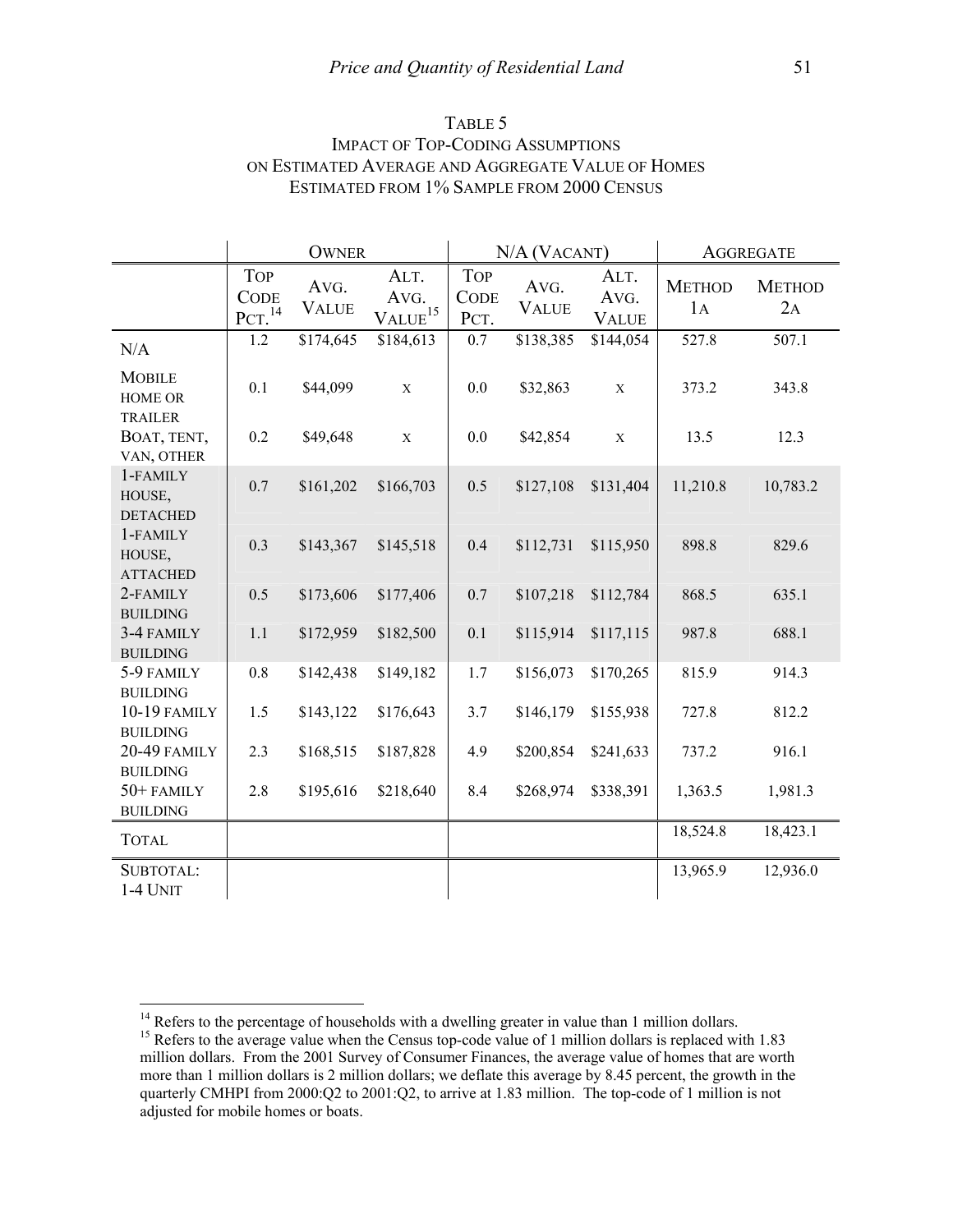| TABLE 5                                           |
|---------------------------------------------------|
| <b>IMPACT OF TOP-CODING ASSUMPTIONS</b>           |
| ON ESTIMATED AVERAGE AND AGGREGATE VALUE OF HOMES |
| ESTIMATED FROM 1% SAMPLE FROM 2000 CENSUS         |

|                                             | <b>OWNER</b>                                    |                      |                                       |                                   | N/A (VACANT)         |                              | <b>AGGREGATE</b>    |                     |
|---------------------------------------------|-------------------------------------------------|----------------------|---------------------------------------|-----------------------------------|----------------------|------------------------------|---------------------|---------------------|
|                                             | <b>TOP</b><br><b>CODE</b><br>PCT. <sup>14</sup> | AVG.<br><b>VALUE</b> | ALT.<br>AVG.<br>$VALUE$ <sup>15</sup> | <b>TOP</b><br><b>CODE</b><br>PCT. | AVG.<br><b>VALUE</b> | ALT.<br>AVG.<br><b>VALUE</b> | <b>METHOD</b><br>1A | <b>METHOD</b><br>2A |
| N/A                                         | 1.2                                             | \$174,645            | \$184,613                             | 0.7                               | \$138,385            | \$144,054                    | 527.8               | 507.1               |
| <b>MOBILE</b><br><b>HOME OR</b>             | 0.1                                             | \$44,099             | $\mathbf X$                           | 0.0                               | \$32,863             | $\mathbf X$                  | 373.2               | 343.8               |
| <b>TRAILER</b><br>BOAT, TENT,<br>VAN, OTHER | 0.2                                             | \$49,648             | $\mathbf X$                           | 0.0                               | \$42,854             | $\mathbf X$                  | 13.5                | 12.3                |
| 1-FAMILY<br>HOUSE,<br><b>DETACHED</b>       | 0.7                                             | \$161,202            | \$166,703                             | 0.5                               | \$127,108            | \$131,404                    | 11,210.8            | 10,783.2            |
| 1-FAMILY<br>HOUSE,<br><b>ATTACHED</b>       | 0.3                                             | \$143,367            | \$145,518                             | 0.4                               | \$112,731            | \$115,950                    | 898.8               | 829.6               |
| 2-FAMILY<br><b>BUILDING</b>                 | 0.5                                             | \$173,606            | \$177,406                             | 0.7                               | \$107,218            | \$112,784                    | 868.5               | 635.1               |
| 3-4 FAMILY<br><b>BUILDING</b>               | 1.1                                             | \$172,959            | \$182,500                             | 0.1                               | \$115,914            | \$117,115                    | 987.8               | 688.1               |
| 5-9 FAMILY<br><b>BUILDING</b>               | $0.8\,$                                         | \$142,438            | \$149,182                             | 1.7                               | \$156,073            | \$170,265                    | 815.9               | 914.3               |
| <b>10-19 FAMILY</b><br><b>BUILDING</b>      | 1.5                                             | \$143,122            | \$176,643                             | 3.7                               | \$146,179            | \$155,938                    | 727.8               | 812.2               |
| 20-49 FAMILY<br><b>BUILDING</b>             | 2.3                                             | \$168,515            | \$187,828                             | 4.9                               | \$200,854            | \$241,633                    | 737.2               | 916.1               |
| 50+FAMILY<br><b>BUILDING</b>                | 2.8                                             | \$195,616            | \$218,640                             | 8.4                               | \$268,974            | \$338,391                    | 1,363.5             | 1,981.3             |
| <b>TOTAL</b>                                |                                                 |                      |                                       |                                   |                      |                              | 18,524.8            | 18,423.1            |
| SUBTOTAL:<br>1-4 UNIT                       |                                                 |                      |                                       |                                   |                      |                              | 13,965.9            | 12,936.0            |

<sup>&</sup>lt;sup>14</sup> Refers to the percentage of households with a dwelling greater in value than 1 million dollars.<br><sup>15</sup> Refers to the average value when the Census top-code value of 1 million dollars is replaced with 1.83

million dollars. From the 2001 Survey of Consumer Finances, the average value of homes that are worth more than 1 million dollars is 2 million dollars; we deflate this average by 8.45 percent, the growth in the quarterly CMHPI from 2000:Q2 to 2001:Q2, to arrive at 1.83 million. The top-code of 1 million is not adjusted for mobile homes or boats.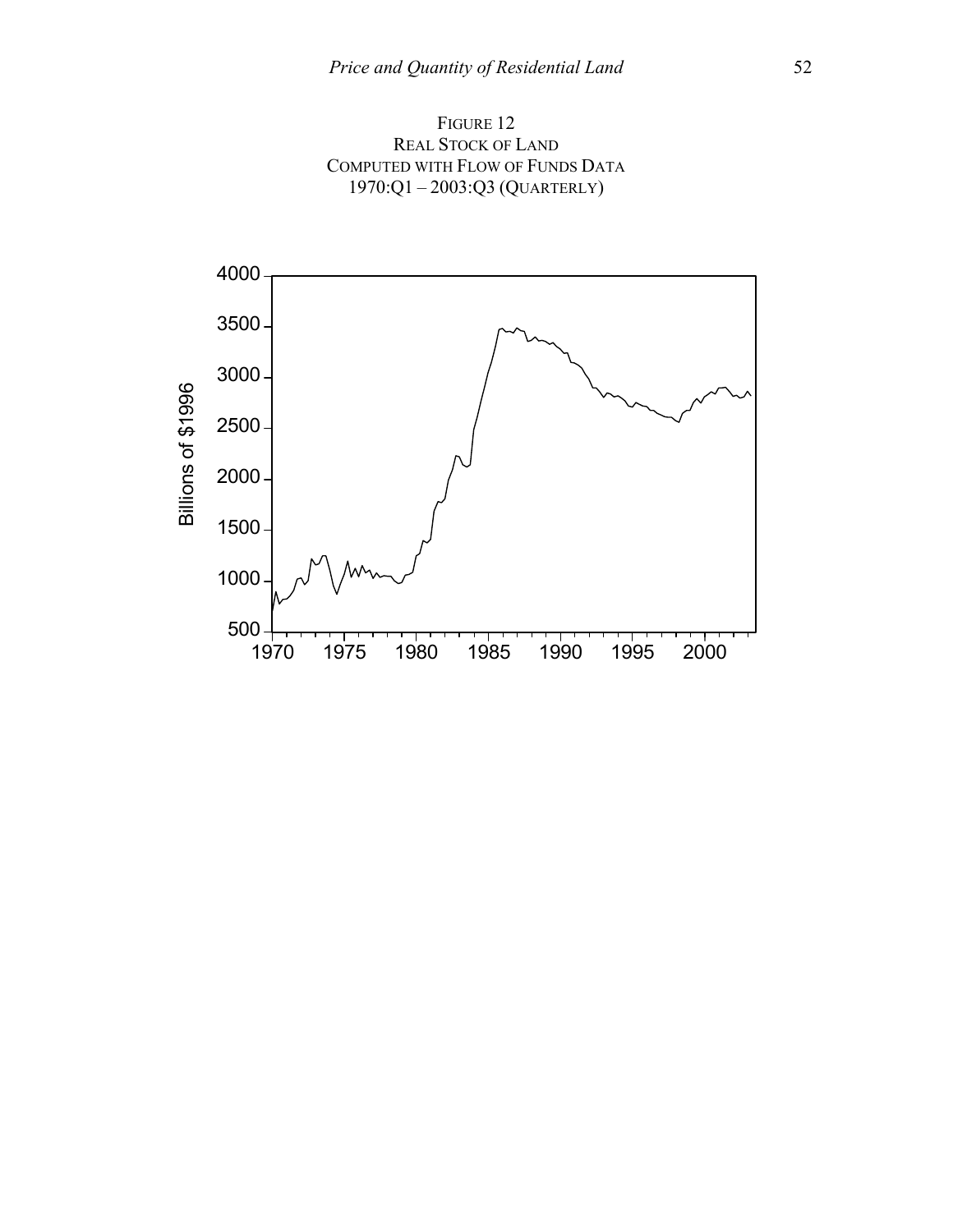

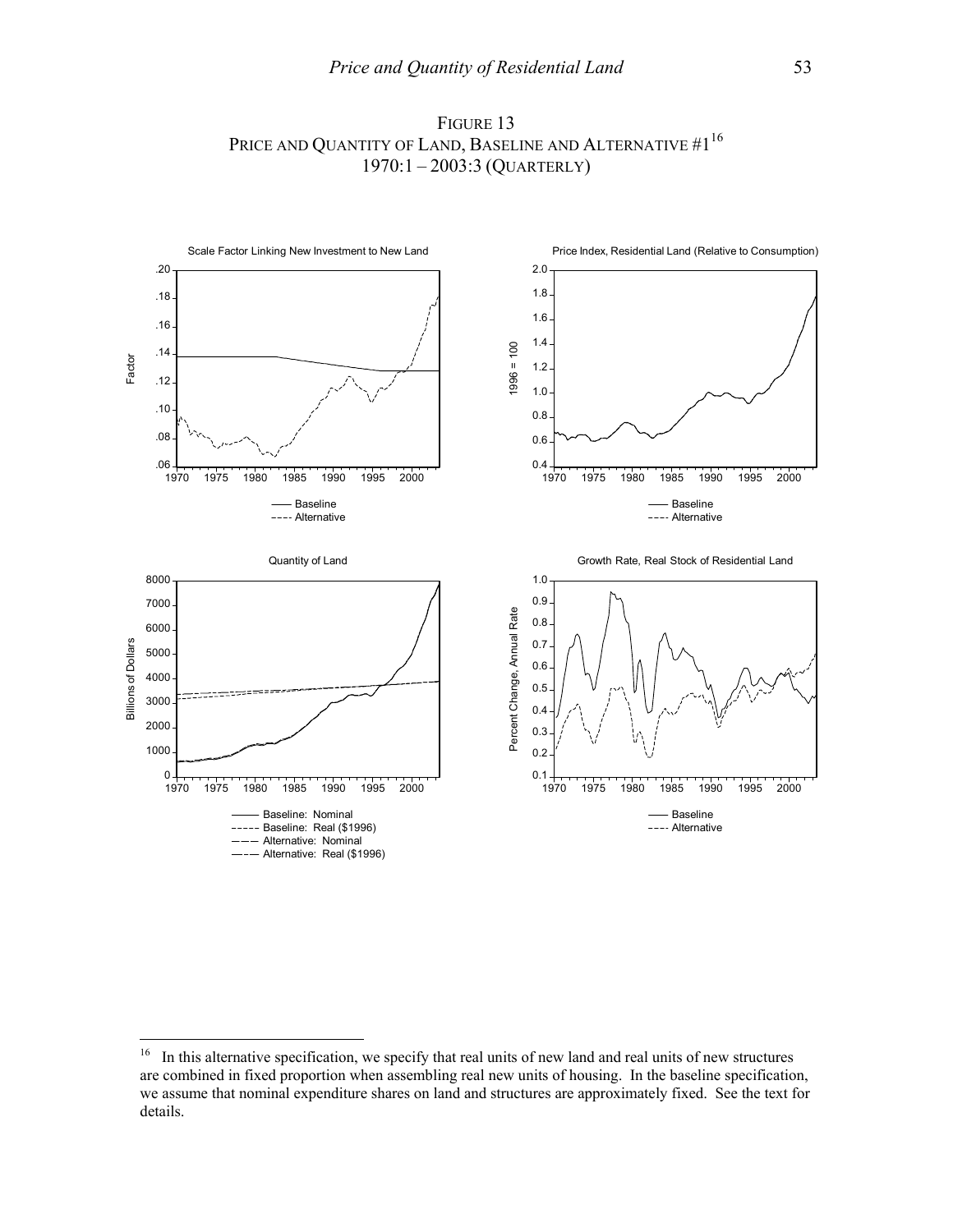

### FIGURE 13 PRICE AND QUANTITY OF LAND, BASELINE AND ALTERNATIVE #1<sup>16</sup> 1970:1 – 2003:3 (QUARTERLY)

 $16\,$ 16 In this alternative specification, we specify that real units of new land and real units of new structures are combined in fixed proportion when assembling real new units of housing. In the baseline specification, we assume that nominal expenditure shares on land and structures are approximately fixed. See the text for details.